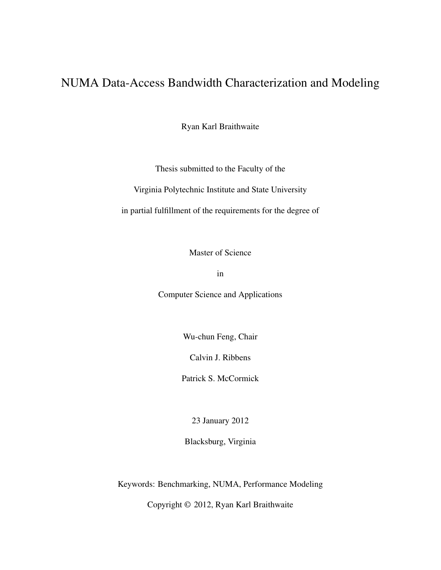### NUMA Data-Access Bandwidth Characterization and Modeling

Ryan Karl Braithwaite

Thesis submitted to the Faculty of the

Virginia Polytechnic Institute and State University

in partial fulfillment of the requirements for the degree of

Master of Science

in

Computer Science and Applications

Wu-chun Feng, Chair

Calvin J. Ribbens

Patrick S. McCormick

23 January 2012

Blacksburg, Virginia

Keywords: Benchmarking, NUMA, Performance Modeling

Copyright © 2012, Ryan Karl Braithwaite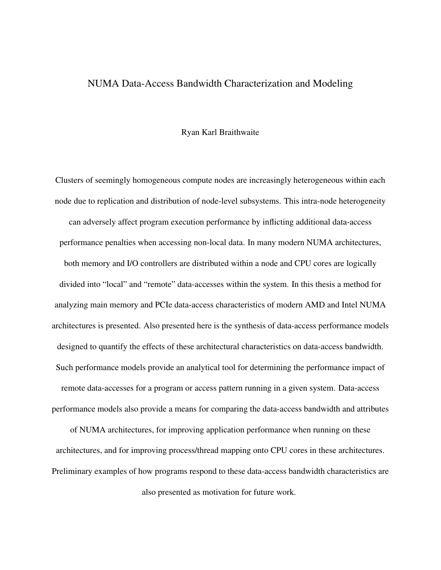#### NUMA Data-Access Bandwidth Characterization and Modeling

#### Ryan Karl Braithwaite

Clusters of seemingly homogeneous compute nodes are increasingly heterogeneous within each node due to replication and distribution of node-level subsystems. This intra-node heterogeneity can adversely affect program execution performance by inflicting additional data-access performance penalties when accessing non-local data. In many modern NUMA architectures, both memory and I/O controllers are distributed within a node and CPU cores are logically divided into "local" and "remote" data-accesses within the system. In this thesis a method for analyzing main memory and PCIe data-access characteristics of modern AMD and Intel NUMA architectures is presented. Also presented here is the synthesis of data-access performance models designed to quantify the effects of these architectural characteristics on data-access bandwidth. Such performance models provide an analytical tool for determining the performance impact of remote data-accesses for a program or access pattern running in a given system. Data-access performance models also provide a means for comparing the data-access bandwidth and attributes

of NUMA architectures, for improving application performance when running on these architectures, and for improving process/thread mapping onto CPU cores in these architectures. Preliminary examples of how programs respond to these data-access bandwidth characteristics are also presented as motivation for future work.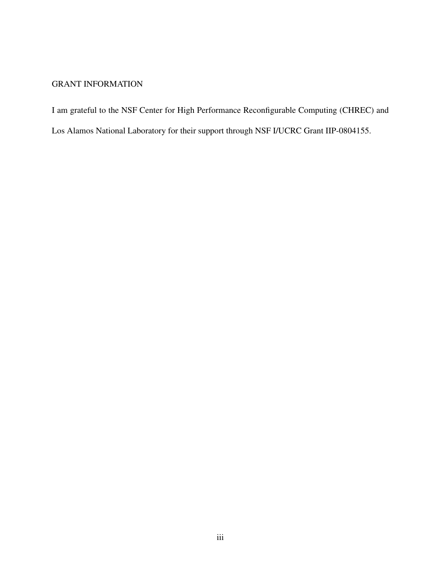#### GRANT INFORMATION

I am grateful to the NSF Center for High Performance Reconfigurable Computing (CHREC) and

Los Alamos National Laboratory for their support through NSF I/UCRC Grant IIP-0804155.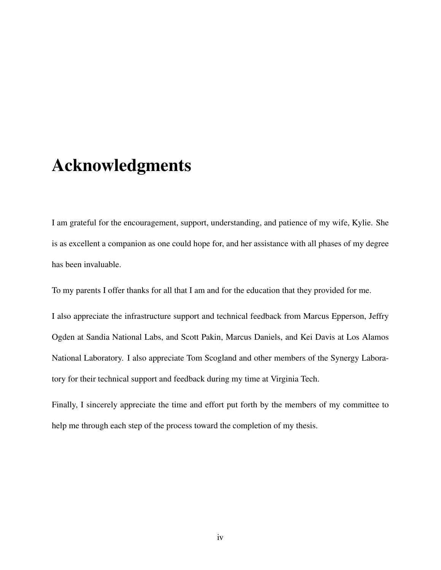### Acknowledgments

I am grateful for the encouragement, support, understanding, and patience of my wife, Kylie. She is as excellent a companion as one could hope for, and her assistance with all phases of my degree has been invaluable.

To my parents I offer thanks for all that I am and for the education that they provided for me.

I also appreciate the infrastructure support and technical feedback from Marcus Epperson, Jeffry Ogden at Sandia National Labs, and Scott Pakin, Marcus Daniels, and Kei Davis at Los Alamos National Laboratory. I also appreciate Tom Scogland and other members of the Synergy Laboratory for their technical support and feedback during my time at Virginia Tech.

Finally, I sincerely appreciate the time and effort put forth by the members of my committee to help me through each step of the process toward the completion of my thesis.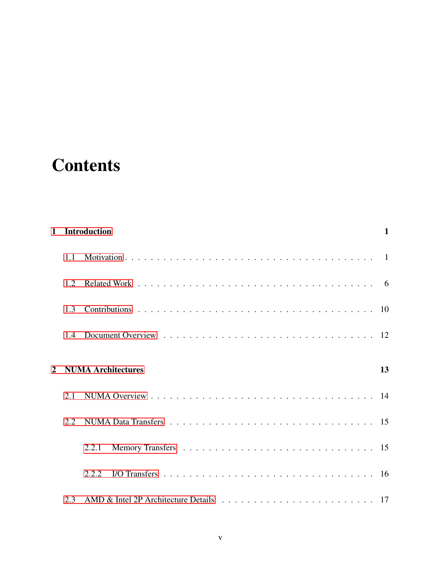### **Contents**

| $\mathbf{1}$   |      | <b>Introduction</b>       | $\mathbf{1}$   |
|----------------|------|---------------------------|----------------|
|                | 1.1  |                           | $\blacksquare$ |
|                | 1.2. |                           |                |
|                | 1.3  |                           |                |
|                | 1.4  |                           |                |
| $\overline{2}$ |      | <b>NUMA Architectures</b> | 13             |
|                | 2.1  |                           |                |
|                | 2.2  |                           |                |
|                |      | 2.2.1                     |                |
|                |      | 2.2.2                     |                |
|                | 2.3  |                           |                |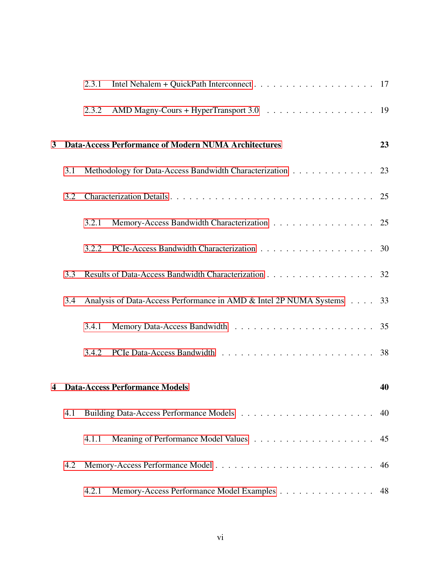|   |     | 2.3.1 |                                                                       |    |
|---|-----|-------|-----------------------------------------------------------------------|----|
|   |     | 2.3.2 |                                                                       |    |
| 3 |     |       | <b>Data-Access Performance of Modern NUMA Architectures</b>           | 23 |
|   | 3.1 |       | Methodology for Data-Access Bandwidth Characterization 23             |    |
|   | 3.2 |       |                                                                       |    |
|   |     | 3.2.1 | Memory-Access Bandwidth Characterization 25                           |    |
|   |     | 3.2.2 | PCIe-Access Bandwidth Characterization 30                             |    |
|   | 3.3 |       | Results of Data-Access Bandwidth Characterization 32                  |    |
|   | 3.4 |       | Analysis of Data-Access Performance in AMD & Intel 2P NUMA Systems 33 |    |
|   |     | 3.4.1 |                                                                       |    |
|   |     | 3.4.2 |                                                                       |    |
| 4 |     |       | <b>Data-Access Performance Models</b>                                 | 40 |
|   | 4.1 |       |                                                                       |    |
|   |     | 4.1.1 |                                                                       | 45 |
|   | 4.2 |       |                                                                       | 46 |
|   |     | 4.2.1 | Memory-Access Performance Model Examples                              | 48 |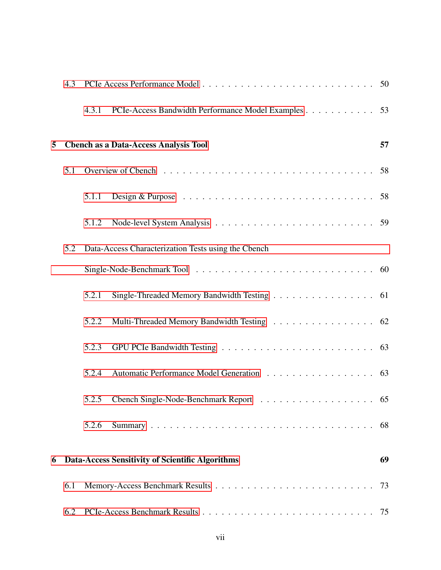|   | 4.3 |       |                                                                                                    |    |
|---|-----|-------|----------------------------------------------------------------------------------------------------|----|
|   |     | 4.3.1 | PCIe-Access Bandwidth Performance Model Examples 53                                                |    |
| 5 |     |       | <b>Chench as a Data-Access Analysis Tool</b>                                                       | 57 |
|   | 5.1 |       |                                                                                                    |    |
|   |     | 5.1.1 | Design & Purpose $\ldots \ldots \ldots \ldots \ldots \ldots \ldots \ldots \ldots \ldots \ldots 58$ |    |
|   |     | 5.1.2 |                                                                                                    |    |
|   | 5.2 |       | Data-Access Characterization Tests using the Cbench                                                |    |
|   |     |       |                                                                                                    |    |
|   |     | 5.2.1 | Single-Threaded Memory Bandwidth Testing 61                                                        |    |
|   |     | 5.2.2 | Multi-Threaded Memory Bandwidth Testing 62                                                         |    |
|   |     | 5.2.3 |                                                                                                    |    |
|   |     | 5.2.4 | Automatic Performance Model Generation 63                                                          |    |
|   |     |       |                                                                                                    |    |
|   |     | 5.2.6 |                                                                                                    | 68 |
| 6 |     |       | Data-Access Sensitivity of Scientific Algorithms                                                   | 69 |
|   | 6.1 |       |                                                                                                    | 73 |
|   | 6.2 |       |                                                                                                    |    |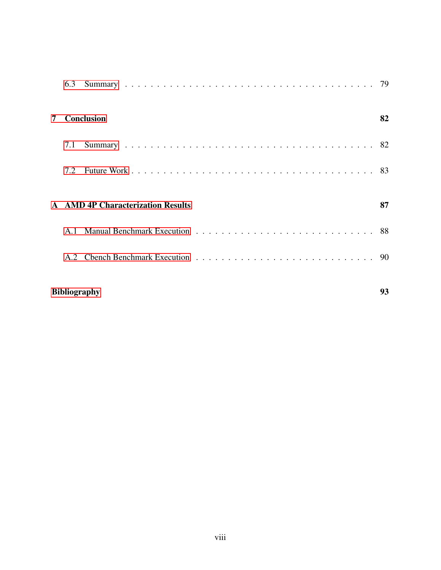|   | 6.3                       |                                          |    |  |  |
|---|---------------------------|------------------------------------------|----|--|--|
| 7 |                           | Conclusion                               | 82 |  |  |
|   | 7.1                       |                                          |    |  |  |
|   | 7.2                       |                                          |    |  |  |
|   |                           | <b>A</b> AMD 4P Characterization Results | 87 |  |  |
|   | A <sub>1</sub>            |                                          |    |  |  |
|   |                           |                                          |    |  |  |
|   | 93<br><b>Bibliography</b> |                                          |    |  |  |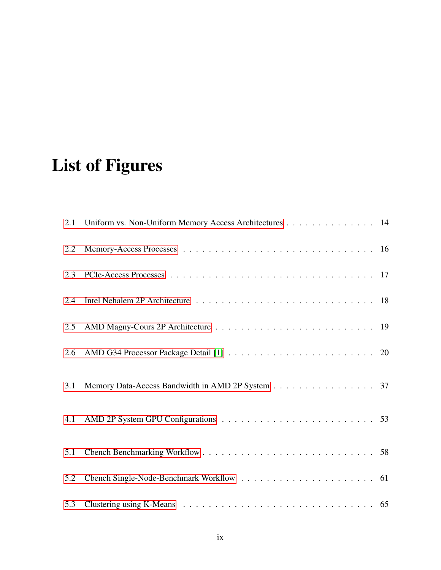## List of Figures

| 2.1 | Uniform vs. Non-Uniform Memory Access Architectures 14 |  |
|-----|--------------------------------------------------------|--|
| 2.2 |                                                        |  |
| 2.3 |                                                        |  |
| 2.4 |                                                        |  |
| 2.5 |                                                        |  |
| 2.6 |                                                        |  |
| 3.1 | Memory Data-Access Bandwidth in AMD 2P System 37       |  |
| 4.1 |                                                        |  |
| 5.1 |                                                        |  |
| 5.2 |                                                        |  |
| 5.3 |                                                        |  |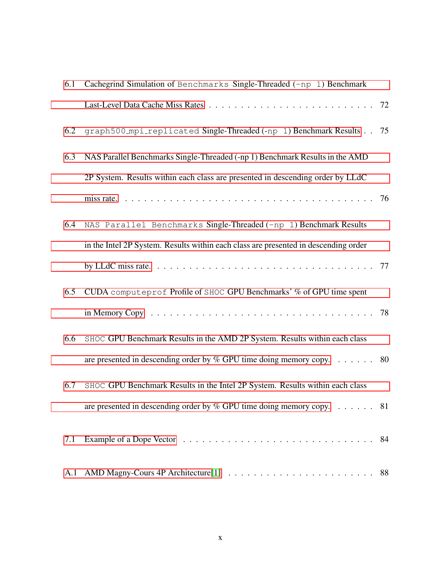| 6.1 | Cachegrind Simulation of Benchmarks Single-Threaded (-np 1) Benchmark               |  |
|-----|-------------------------------------------------------------------------------------|--|
|     |                                                                                     |  |
| 6.2 | graph500_mpi_replicated Single-Threaded (-np 1) Benchmark Results 75                |  |
| 6.3 | NAS Parallel Benchmarks Single-Threaded (-np 1) Benchmark Results in the AMD        |  |
|     | 2P System. Results within each class are presented in descending order by LLdC      |  |
|     |                                                                                     |  |
| 6.4 | NAS Parallel Benchmarks Single-Threaded (-np 1) Benchmark Results                   |  |
|     | in the Intel 2P System. Results within each class are presented in descending order |  |
|     |                                                                                     |  |
| 6.5 | CUDA computeprof Profile of SHOC GPU Benchmarks' % of GPU time spent                |  |
|     |                                                                                     |  |
| 6.6 | SHOC GPU Benchmark Results in the AMD 2P System. Results within each class          |  |
|     | are presented in descending order by $%$ GPU time doing memory copy. 80             |  |
| 6.7 | SHOC GPU Benchmark Results in the Intel 2P System. Results within each class        |  |
|     | are presented in descending order by % GPU time doing memory copy. $\dots \dots$ 81 |  |
| 7.1 |                                                                                     |  |
| A.1 |                                                                                     |  |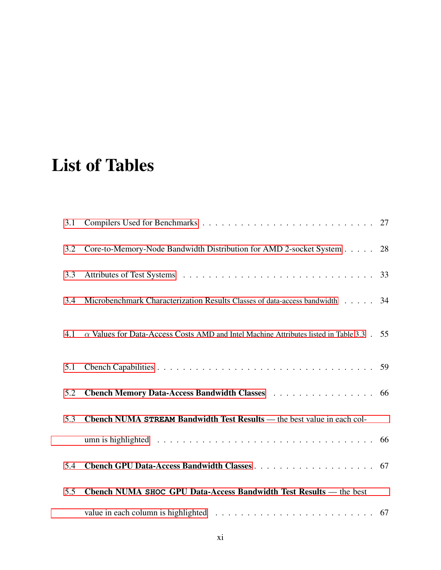### List of Tables

| 3.1 |                                                                                                                 |  |
|-----|-----------------------------------------------------------------------------------------------------------------|--|
| 3.2 | Core-to-Memory-Node Bandwidth Distribution for AMD 2-socket System 28                                           |  |
| 3.3 |                                                                                                                 |  |
| 3.4 | Microbenchmark Characterization Results Classes of data-access bandwidth 34                                     |  |
| 4.1 | $\alpha$ Values for Data-Access Costs AMD and Intel Machine Attributes listed in Table 3.3 $\pm$ 55             |  |
| 5.1 |                                                                                                                 |  |
| 5.2 | Cbench Memory Data-Access Bandwidth Classes 66                                                                  |  |
| 5.3 | Chench NUMA STREAM Bandwidth Test Results — the best value in each col-                                         |  |
|     | umn is highlighted $\ldots \ldots \ldots \ldots \ldots \ldots \ldots \ldots \ldots \ldots \ldots \ldots \ldots$ |  |
| 5.4 |                                                                                                                 |  |
| 5.5 | Cbench NUMA SHOC GPU Data-Access Bandwidth Test Results — the best                                              |  |
|     | value in each column is highlighted $\ldots \ldots \ldots \ldots \ldots \ldots \ldots \ldots \ldots$ 67         |  |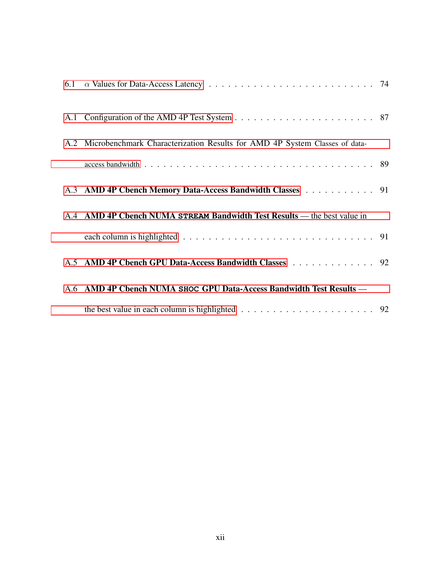| A.2 Microbenchmark Characterization Results for AMD 4P System Classes of data- |  |
|--------------------------------------------------------------------------------|--|
|                                                                                |  |
| A.3 AMD 4P Cbench Memory Data-Access Bandwidth Classes 91                      |  |
| A.4 AMD 4P Cbench NUMA STREAM Bandwidth Test Results — the best value in       |  |
|                                                                                |  |
| A.5 AMD 4P Cbench GPU Data-Access Bandwidth Classes 92                         |  |
| A.6 AMD 4P Cbench NUMA SHOC GPU Data-Access Bandwidth Test Results -           |  |
|                                                                                |  |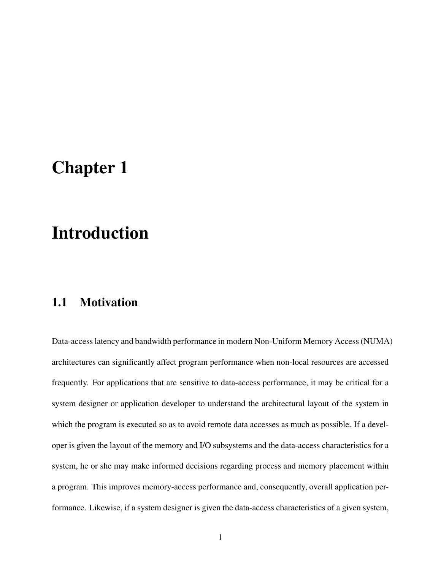### <span id="page-12-0"></span>Chapter 1

### Introduction

#### <span id="page-12-1"></span>1.1 Motivation

Data-access latency and bandwidth performance in modern Non-Uniform Memory Access (NUMA) architectures can significantly affect program performance when non-local resources are accessed frequently. For applications that are sensitive to data-access performance, it may be critical for a system designer or application developer to understand the architectural layout of the system in which the program is executed so as to avoid remote data accesses as much as possible. If a developer is given the layout of the memory and I/O subsystems and the data-access characteristics for a system, he or she may make informed decisions regarding process and memory placement within a program. This improves memory-access performance and, consequently, overall application performance. Likewise, if a system designer is given the data-access characteristics of a given system,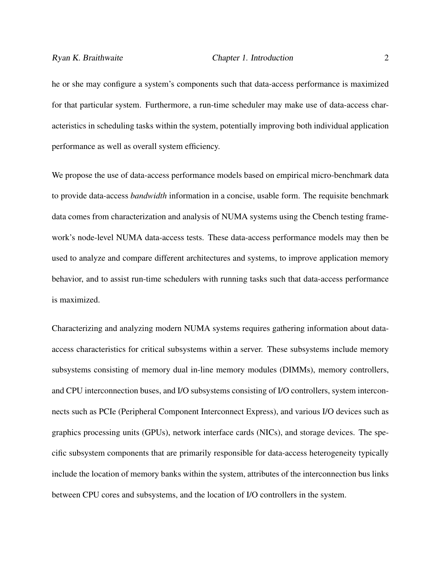he or she may configure a system's components such that data-access performance is maximized for that particular system. Furthermore, a run-time scheduler may make use of data-access characteristics in scheduling tasks within the system, potentially improving both individual application performance as well as overall system efficiency.

We propose the use of data-access performance models based on empirical micro-benchmark data to provide data-access *bandwidth* information in a concise, usable form. The requisite benchmark data comes from characterization and analysis of NUMA systems using the Cbench testing framework's node-level NUMA data-access tests. These data-access performance models may then be used to analyze and compare different architectures and systems, to improve application memory behavior, and to assist run-time schedulers with running tasks such that data-access performance is maximized.

Characterizing and analyzing modern NUMA systems requires gathering information about dataaccess characteristics for critical subsystems within a server. These subsystems include memory subsystems consisting of memory dual in-line memory modules (DIMMs), memory controllers, and CPU interconnection buses, and I/O subsystems consisting of I/O controllers, system interconnects such as PCIe (Peripheral Component Interconnect Express), and various I/O devices such as graphics processing units (GPUs), network interface cards (NICs), and storage devices. The specific subsystem components that are primarily responsible for data-access heterogeneity typically include the location of memory banks within the system, attributes of the interconnection bus links between CPU cores and subsystems, and the location of I/O controllers in the system.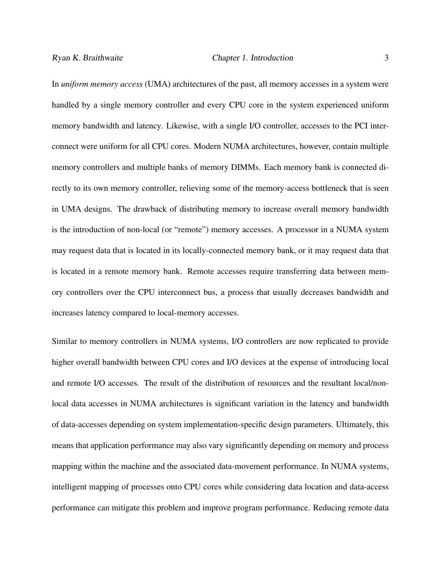In *uniform memory access* (UMA) architectures of the past, all memory accesses in a system were handled by a single memory controller and every CPU core in the system experienced uniform memory bandwidth and latency. Likewise, with a single I/O controller, accesses to the PCI interconnect were uniform for all CPU cores. Modern NUMA architectures, however, contain multiple memory controllers and multiple banks of memory DIMMs. Each memory bank is connected directly to its own memory controller, relieving some of the memory-access bottleneck that is seen in UMA designs. The drawback of distributing memory to increase overall memory bandwidth is the introduction of non-local (or "remote") memory accesses. A processor in a NUMA system may request data that is located in its locally-connected memory bank, or it may request data that is located in a remote memory bank. Remote accesses require transferring data between memory controllers over the CPU interconnect bus, a process that usually decreases bandwidth and increases latency compared to local-memory accesses.

Similar to memory controllers in NUMA systems, I/O controllers are now replicated to provide higher overall bandwidth between CPU cores and I/O devices at the expense of introducing local and remote I/O accesses. The result of the distribution of resources and the resultant local/nonlocal data accesses in NUMA architectures is significant variation in the latency and bandwidth of data-accesses depending on system implementation-specific design parameters. Ultimately, this means that application performance may also vary significantly depending on memory and process mapping within the machine and the associated data-movement performance. In NUMA systems, intelligent mapping of processes onto CPU cores while considering data location and data-access performance can mitigate this problem and improve program performance. Reducing remote data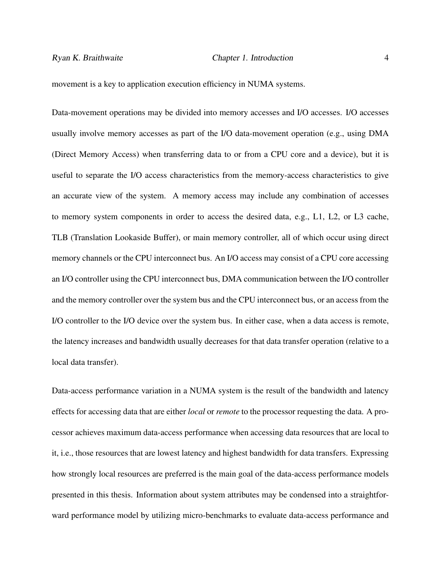movement is a key to application execution efficiency in NUMA systems.

Data-movement operations may be divided into memory accesses and I/O accesses. I/O accesses usually involve memory accesses as part of the I/O data-movement operation (e.g., using DMA (Direct Memory Access) when transferring data to or from a CPU core and a device), but it is useful to separate the I/O access characteristics from the memory-access characteristics to give an accurate view of the system. A memory access may include any combination of accesses to memory system components in order to access the desired data, e.g., L1, L2, or L3 cache, TLB (Translation Lookaside Buffer), or main memory controller, all of which occur using direct memory channels or the CPU interconnect bus. An I/O access may consist of a CPU core accessing an I/O controller using the CPU interconnect bus, DMA communication between the I/O controller and the memory controller over the system bus and the CPU interconnect bus, or an access from the I/O controller to the I/O device over the system bus. In either case, when a data access is remote, the latency increases and bandwidth usually decreases for that data transfer operation (relative to a local data transfer).

Data-access performance variation in a NUMA system is the result of the bandwidth and latency effects for accessing data that are either *local* or *remote* to the processor requesting the data. A processor achieves maximum data-access performance when accessing data resources that are local to it, i.e., those resources that are lowest latency and highest bandwidth for data transfers. Expressing how strongly local resources are preferred is the main goal of the data-access performance models presented in this thesis. Information about system attributes may be condensed into a straightforward performance model by utilizing micro-benchmarks to evaluate data-access performance and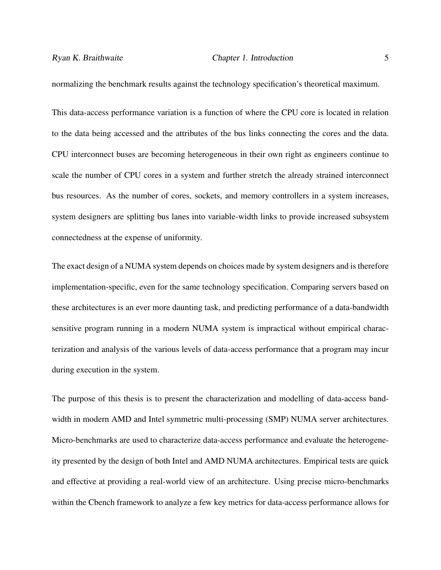normalizing the benchmark results against the technology specification's theoretical maximum.

This data-access performance variation is a function of where the CPU core is located in relation to the data being accessed and the attributes of the bus links connecting the cores and the data. CPU interconnect buses are becoming heterogeneous in their own right as engineers continue to scale the number of CPU cores in a system and further stretch the already strained interconnect bus resources. As the number of cores, sockets, and memory controllers in a system increases, system designers are splitting bus lanes into variable-width links to provide increased subsystem connectedness at the expense of uniformity.

The exact design of a NUMA system depends on choices made by system designers and is therefore implementation-specific, even for the same technology specification. Comparing servers based on these architectures is an ever more daunting task, and predicting performance of a data-bandwidth sensitive program running in a modern NUMA system is impractical without empirical characterization and analysis of the various levels of data-access performance that a program may incur during execution in the system.

The purpose of this thesis is to present the characterization and modelling of data-access bandwidth in modern AMD and Intel symmetric multi-processing (SMP) NUMA server architectures. Micro-benchmarks are used to characterize data-access performance and evaluate the heterogeneity presented by the design of both Intel and AMD NUMA architectures. Empirical tests are quick and effective at providing a real-world view of an architecture. Using precise micro-benchmarks within the Cbench framework to analyze a few key metrics for data-access performance allows for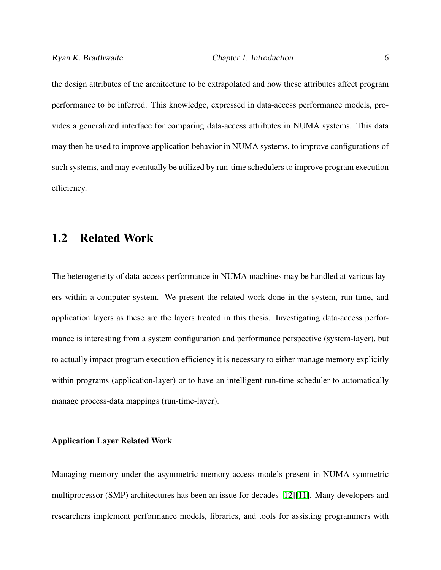the design attributes of the architecture to be extrapolated and how these attributes affect program performance to be inferred. This knowledge, expressed in data-access performance models, provides a generalized interface for comparing data-access attributes in NUMA systems. This data may then be used to improve application behavior in NUMA systems, to improve configurations of such systems, and may eventually be utilized by run-time schedulers to improve program execution efficiency.

#### <span id="page-17-0"></span>1.2 Related Work

The heterogeneity of data-access performance in NUMA machines may be handled at various layers within a computer system. We present the related work done in the system, run-time, and application layers as these are the layers treated in this thesis. Investigating data-access performance is interesting from a system configuration and performance perspective (system-layer), but to actually impact program execution efficiency it is necessary to either manage memory explicitly within programs (application-layer) or to have an intelligent run-time scheduler to automatically manage process-data mappings (run-time-layer).

#### Application Layer Related Work

Managing memory under the asymmetric memory-access models present in NUMA symmetric multiprocessor (SMP) architectures has been an issue for decades [\[12\]](#page-105-0)[\[11\]](#page-105-1). Many developers and researchers implement performance models, libraries, and tools for assisting programmers with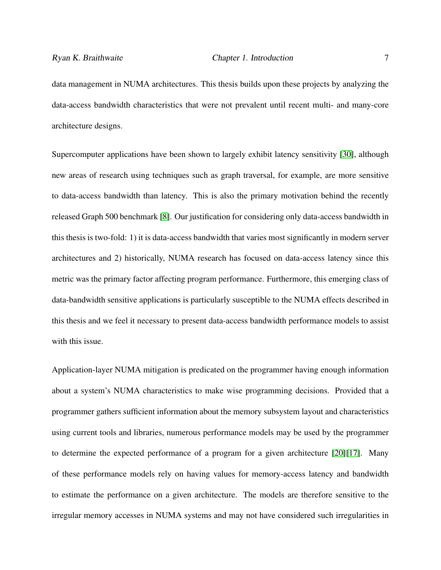data management in NUMA architectures. This thesis builds upon these projects by analyzing the data-access bandwidth characteristics that were not prevalent until recent multi- and many-core architecture designs.

Supercomputer applications have been shown to largely exhibit latency sensitivity [\[30\]](#page-108-0), although new areas of research using techniques such as graph traversal, for example, are more sensitive to data-access bandwidth than latency. This is also the primary motivation behind the recently released Graph 500 benchmark [\[8\]](#page-105-2). Our justification for considering only data-access bandwidth in this thesis is two-fold: 1) it is data-access bandwidth that varies most significantly in modern server architectures and 2) historically, NUMA research has focused on data-access latency since this metric was the primary factor affecting program performance. Furthermore, this emerging class of data-bandwidth sensitive applications is particularly susceptible to the NUMA effects described in this thesis and we feel it necessary to present data-access bandwidth performance models to assist with this issue.

Application-layer NUMA mitigation is predicated on the programmer having enough information about a system's NUMA characteristics to make wise programming decisions. Provided that a programmer gathers sufficient information about the memory subsystem layout and characteristics using current tools and libraries, numerous performance models may be used by the programmer to determine the expected performance of a program for a given architecture [\[20\]](#page-107-0)[\[17\]](#page-106-0). Many of these performance models rely on having values for memory-access latency and bandwidth to estimate the performance on a given architecture. The models are therefore sensitive to the irregular memory accesses in NUMA systems and may not have considered such irregularities in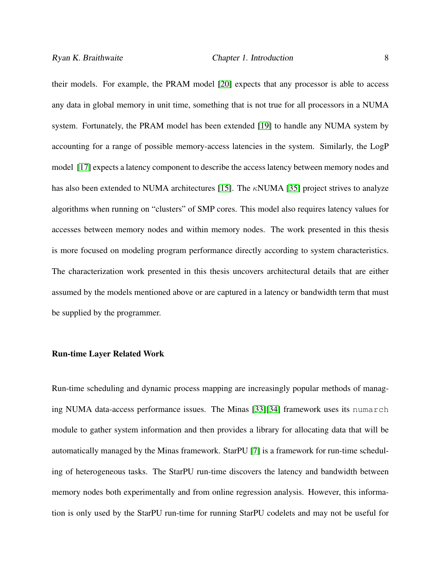their models. For example, the PRAM model [\[20\]](#page-107-0) expects that any processor is able to access any data in global memory in unit time, something that is not true for all processors in a NUMA system. Fortunately, the PRAM model has been extended [\[19\]](#page-107-1) to handle any NUMA system by accounting for a range of possible memory-access latencies in the system. Similarly, the LogP model [\[17\]](#page-106-0) expects a latency component to describe the access latency between memory nodes and has also been extended to NUMA architectures [\[15\]](#page-106-1). The  $\kappa$ NUMA [\[35\]](#page-109-0) project strives to analyze algorithms when running on "clusters" of SMP cores. This model also requires latency values for accesses between memory nodes and within memory nodes. The work presented in this thesis is more focused on modeling program performance directly according to system characteristics. The characterization work presented in this thesis uncovers architectural details that are either assumed by the models mentioned above or are captured in a latency or bandwidth term that must be supplied by the programmer.

#### Run-time Layer Related Work

Run-time scheduling and dynamic process mapping are increasingly popular methods of managing NUMA data-access performance issues. The Minas [\[33\]](#page-109-1)[\[34\]](#page-109-2) framework uses its numarch module to gather system information and then provides a library for allocating data that will be automatically managed by the Minas framework. StarPU [\[7\]](#page-105-3) is a framework for run-time scheduling of heterogeneous tasks. The StarPU run-time discovers the latency and bandwidth between memory nodes both experimentally and from online regression analysis. However, this information is only used by the StarPU run-time for running StarPU codelets and may not be useful for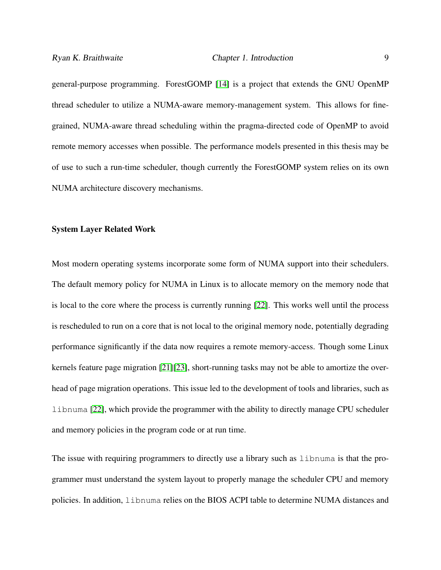general-purpose programming. ForestGOMP [\[14\]](#page-106-2) is a project that extends the GNU OpenMP thread scheduler to utilize a NUMA-aware memory-management system. This allows for finegrained, NUMA-aware thread scheduling within the pragma-directed code of OpenMP to avoid remote memory accesses when possible. The performance models presented in this thesis may be of use to such a run-time scheduler, though currently the ForestGOMP system relies on its own NUMA architecture discovery mechanisms.

#### System Layer Related Work

Most modern operating systems incorporate some form of NUMA support into their schedulers. The default memory policy for NUMA in Linux is to allocate memory on the memory node that is local to the core where the process is currently running [\[22\]](#page-107-2). This works well until the process is rescheduled to run on a core that is not local to the original memory node, potentially degrading performance significantly if the data now requires a remote memory-access. Though some Linux kernels feature page migration [\[21\]](#page-107-3)[\[23\]](#page-107-4), short-running tasks may not be able to amortize the overhead of page migration operations. This issue led to the development of tools and libraries, such as libnuma [\[22\]](#page-107-2), which provide the programmer with the ability to directly manage CPU scheduler and memory policies in the program code or at run time.

The issue with requiring programmers to directly use a library such as libnuma is that the programmer must understand the system layout to properly manage the scheduler CPU and memory policies. In addition, libnuma relies on the BIOS ACPI table to determine NUMA distances and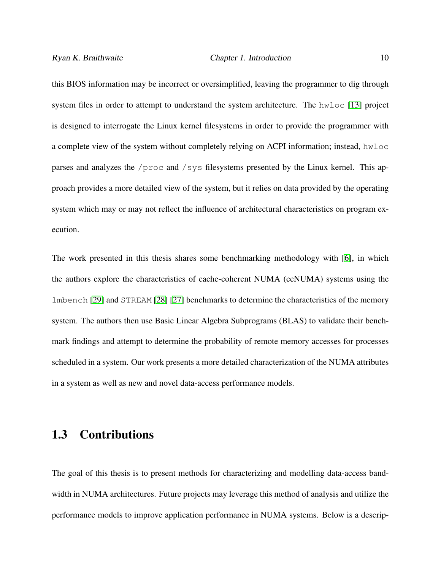this BIOS information may be incorrect or oversimplified, leaving the programmer to dig through system files in order to attempt to understand the system architecture. The hwloc [\[13\]](#page-106-3) project is designed to interrogate the Linux kernel filesystems in order to provide the programmer with a complete view of the system without completely relying on ACPI information; instead, hwloc parses and analyzes the /proc and /sys filesystems presented by the Linux kernel. This approach provides a more detailed view of the system, but it relies on data provided by the operating system which may or may not reflect the influence of architectural characteristics on program execution.

The work presented in this thesis shares some benchmarking methodology with [\[6\]](#page-104-1), in which the authors explore the characteristics of cache-coherent NUMA (ccNUMA) systems using the lmbench [\[29\]](#page-108-1) and STREAM [\[28\]](#page-108-2) [\[27\]](#page-108-3) benchmarks to determine the characteristics of the memory system. The authors then use Basic Linear Algebra Subprograms (BLAS) to validate their benchmark findings and attempt to determine the probability of remote memory accesses for processes scheduled in a system. Our work presents a more detailed characterization of the NUMA attributes in a system as well as new and novel data-access performance models.

#### <span id="page-21-0"></span>1.3 Contributions

The goal of this thesis is to present methods for characterizing and modelling data-access bandwidth in NUMA architectures. Future projects may leverage this method of analysis and utilize the performance models to improve application performance in NUMA systems. Below is a descrip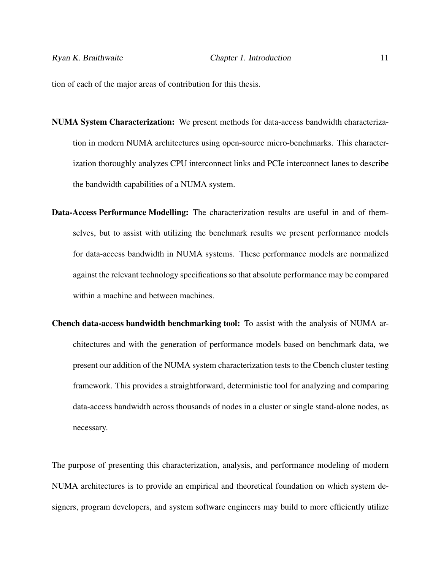tion of each of the major areas of contribution for this thesis.

- NUMA System Characterization: We present methods for data-access bandwidth characterization in modern NUMA architectures using open-source micro-benchmarks. This characterization thoroughly analyzes CPU interconnect links and PCIe interconnect lanes to describe the bandwidth capabilities of a NUMA system.
- Data-Access Performance Modelling: The characterization results are useful in and of themselves, but to assist with utilizing the benchmark results we present performance models for data-access bandwidth in NUMA systems. These performance models are normalized against the relevant technology specifications so that absolute performance may be compared within a machine and between machines.
- Cbench data-access bandwidth benchmarking tool: To assist with the analysis of NUMA architectures and with the generation of performance models based on benchmark data, we present our addition of the NUMA system characterization tests to the Cbench cluster testing framework. This provides a straightforward, deterministic tool for analyzing and comparing data-access bandwidth across thousands of nodes in a cluster or single stand-alone nodes, as necessary.

The purpose of presenting this characterization, analysis, and performance modeling of modern NUMA architectures is to provide an empirical and theoretical foundation on which system designers, program developers, and system software engineers may build to more efficiently utilize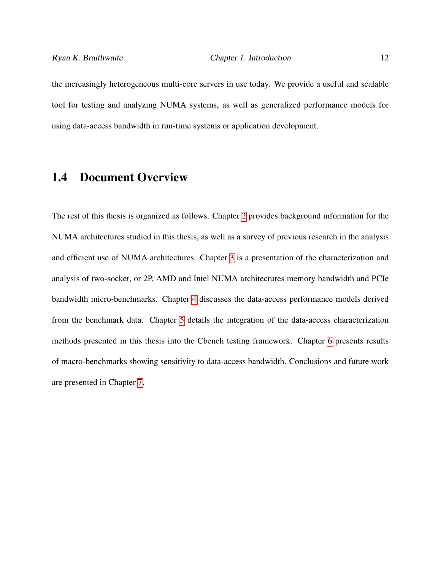the increasingly heterogeneous multi-core servers in use today. We provide a useful and scalable tool for testing and analyzing NUMA systems, as well as generalized performance models for using data-access bandwidth in run-time systems or application development.

#### <span id="page-23-0"></span>1.4 Document Overview

The rest of this thesis is organized as follows. Chapter [2](#page-24-0) provides background information for the NUMA architectures studied in this thesis, as well as a survey of previous research in the analysis and efficient use of NUMA architectures. Chapter [3](#page-34-0) is a presentation of the characterization and analysis of two-socket, or 2P, AMD and Intel NUMA architectures memory bandwidth and PCIe bandwidth micro-benchmarks. Chapter [4](#page-51-0) discusses the data-access performance models derived from the benchmark data. Chapter [5](#page-68-0) details the integration of the data-access characterization methods presented in this thesis into the Cbench testing framework. Chapter [6](#page-80-0) presents results of macro-benchmarks showing sensitivity to data-access bandwidth. Conclusions and future work are presented in Chapter [7.](#page-93-0)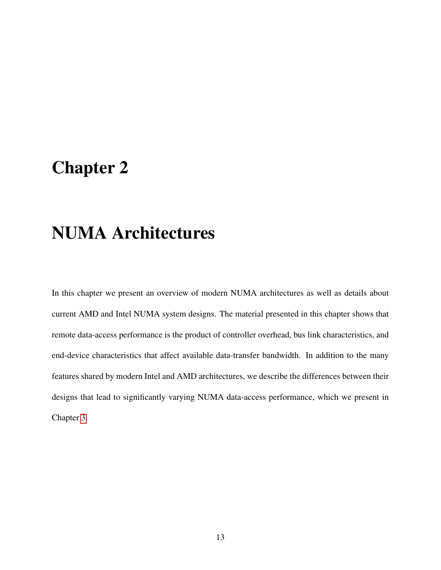### <span id="page-24-0"></span>Chapter 2

### NUMA Architectures

In this chapter we present an overview of modern NUMA architectures as well as details about current AMD and Intel NUMA system designs. The material presented in this chapter shows that remote data-access performance is the product of controller overhead, bus link characteristics, and end-device characteristics that affect available data-transfer bandwidth. In addition to the many features shared by modern Intel and AMD architectures, we describe the differences between their designs that lead to significantly varying NUMA data-access performance, which we present in Chapter [3.](#page-34-0)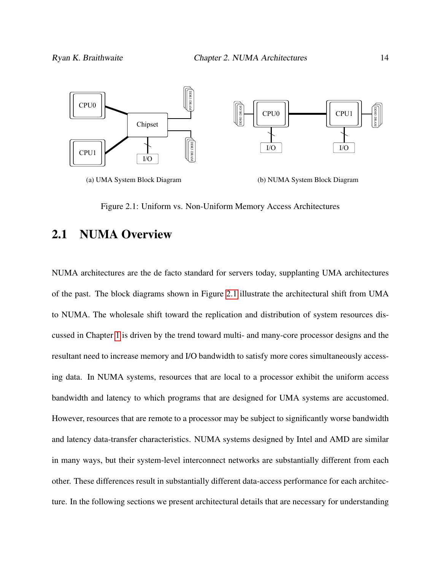<span id="page-25-1"></span>

Figure 2.1: Uniform vs. Non-Uniform Memory Access Architectures

#### <span id="page-25-0"></span>2.1 NUMA Overview

NUMA architectures are the de facto standard for servers today, supplanting UMA architectures of the past. The block diagrams shown in Figure [2.1](#page-25-1) illustrate the architectural shift from UMA to NUMA. The wholesale shift toward the replication and distribution of system resources discussed in Chapter [1](#page-12-0) is driven by the trend toward multi- and many-core processor designs and the resultant need to increase memory and I/O bandwidth to satisfy more cores simultaneously accessing data. In NUMA systems, resources that are local to a processor exhibit the uniform access bandwidth and latency to which programs that are designed for UMA systems are accustomed. However, resources that are remote to a processor may be subject to significantly worse bandwidth and latency data-transfer characteristics. NUMA systems designed by Intel and AMD are similar in many ways, but their system-level interconnect networks are substantially different from each other. These differences result in substantially different data-access performance for each architecture. In the following sections we present architectural details that are necessary for understanding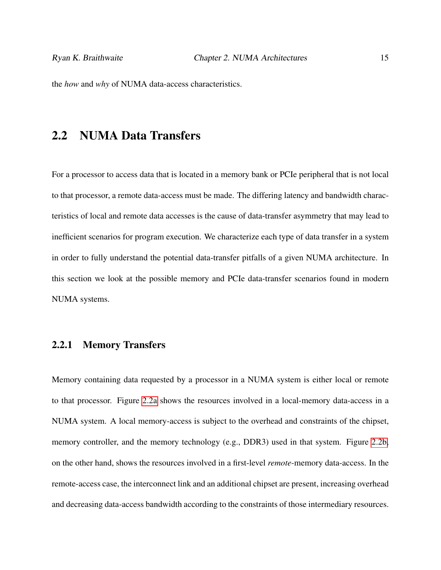<span id="page-26-0"></span>the *how* and *why* of NUMA data-access characteristics.

#### 2.2 NUMA Data Transfers

For a processor to access data that is located in a memory bank or PCIe peripheral that is not local to that processor, a remote data-access must be made. The differing latency and bandwidth characteristics of local and remote data accesses is the cause of data-transfer asymmetry that may lead to inefficient scenarios for program execution. We characterize each type of data transfer in a system in order to fully understand the potential data-transfer pitfalls of a given NUMA architecture. In this section we look at the possible memory and PCIe data-transfer scenarios found in modern NUMA systems.

#### <span id="page-26-1"></span>2.2.1 Memory Transfers

Memory containing data requested by a processor in a NUMA system is either local or remote to that processor. Figure [2.2a](#page-27-2) shows the resources involved in a local-memory data-access in a NUMA system. A local memory-access is subject to the overhead and constraints of the chipset, memory controller, and the memory technology (e.g., DDR3) used in that system. Figure [2.2b,](#page-27-3) on the other hand, shows the resources involved in a first-level *remote*-memory data-access. In the remote-access case, the interconnect link and an additional chipset are present, increasing overhead and decreasing data-access bandwidth according to the constraints of those intermediary resources.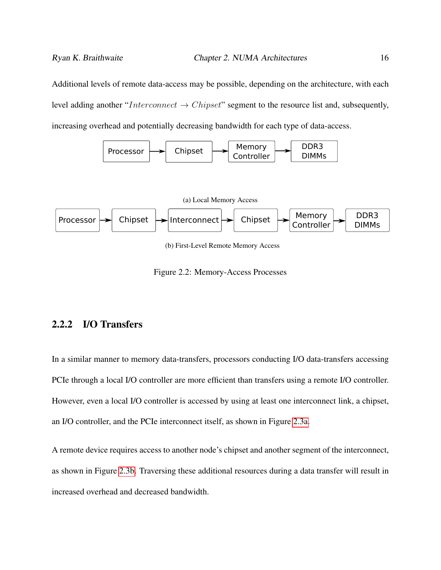Additional levels of remote data-access may be possible, depending on the architecture, with each level adding another "Interconnect  $\rightarrow$  Chipset" segment to the resource list and, subsequently,

<span id="page-27-1"></span>increasing overhead and potentially decreasing bandwidth for each type of data-access.

<span id="page-27-3"></span><span id="page-27-2"></span>

Figure 2.2: Memory-Access Processes

#### <span id="page-27-0"></span>2.2.2 I/O Transfers

In a similar manner to memory data-transfers, processors conducting I/O data-transfers accessing PCIe through a local I/O controller are more efficient than transfers using a remote I/O controller. However, even a local I/O controller is accessed by using at least one interconnect link, a chipset, an I/O controller, and the PCIe interconnect itself, as shown in Figure [2.3a.](#page-28-3)

A remote device requires access to another node's chipset and another segment of the interconnect, as shown in Figure [2.3b.](#page-28-4) Traversing these additional resources during a data transfer will result in increased overhead and decreased bandwidth.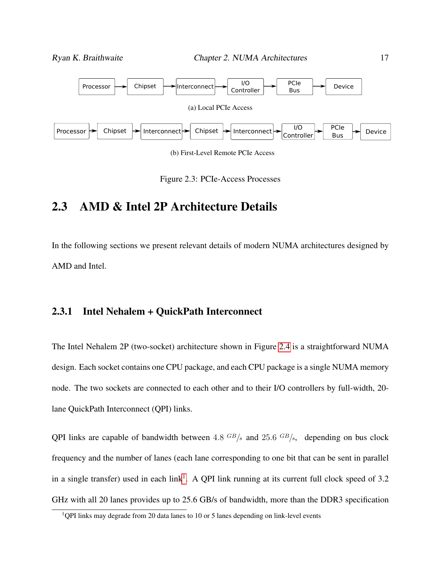<span id="page-28-4"></span><span id="page-28-3"></span><span id="page-28-2"></span>



#### <span id="page-28-0"></span>2.3 AMD & Intel 2P Architecture Details

In the following sections we present relevant details of modern NUMA architectures designed by AMD and Intel.

#### <span id="page-28-1"></span>2.3.1 Intel Nehalem + QuickPath Interconnect

The Intel Nehalem 2P (two-socket) architecture shown in Figure [2.4](#page-29-0) is a straightforward NUMA design. Each socket contains one CPU package, and each CPU package is a single NUMA memory node. The two sockets are connected to each other and to their I/O controllers by full-width, 20 lane QuickPath Interconnect (QPI) links.

QPI links are capable of bandwidth between  $4.8 \text{ }^{GB}/s$  and  $25.6 \text{ }^{GB}/s$ , depending on bus clock frequency and the number of lanes (each lane corresponding to one bit that can be sent in parallel in a single transfer) used in each link<sup>[1](#page-28-5)</sup>. A QPI link running at its current full clock speed of 3.2 GHz with all 20 lanes provides up to 25.6 GB/s of bandwidth, more than the DDR3 specification

<span id="page-28-5"></span> $1$ QPI links may degrade from 20 data lanes to 10 or 5 lanes depending on link-level events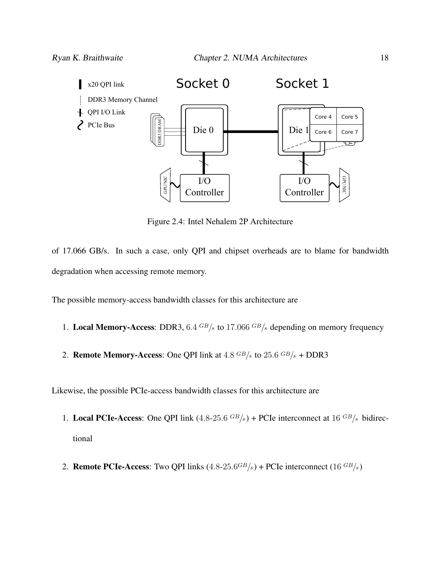<span id="page-29-0"></span>

Figure 2.4: Intel Nehalem 2P Architecture

of 17.066 GB/s. In such a case, only QPI and chipset overheads are to blame for bandwidth degradation when accessing remote memory.

The possible memory-access bandwidth classes for this architecture are

- 1. Local Memory-Access: DDR3,  $6.4 \frac{GB}{s}$  to 17.066  $GB/s$  depending on memory frequency
- 2. **Remote Memory-Access:** One QPI link at  $4.8 \text{ GB/s}$  to  $25.6 \text{ GB/s} + \text{DDR}3$

Likewise, the possible PCIe-access bandwidth classes for this architecture are

- 1. Local PCIe-Access: One QPI link  $(4.8\n-25.6\text{ GB/s}) +$  PCIe interconnect at  $16\text{ GB/s}$  bidirectional
- 2. **Remote PCIe-Access:** Two QPI links  $(4.8\n-25.6^{GB/s})$  + PCIe interconnect  $(16^{GB/s})$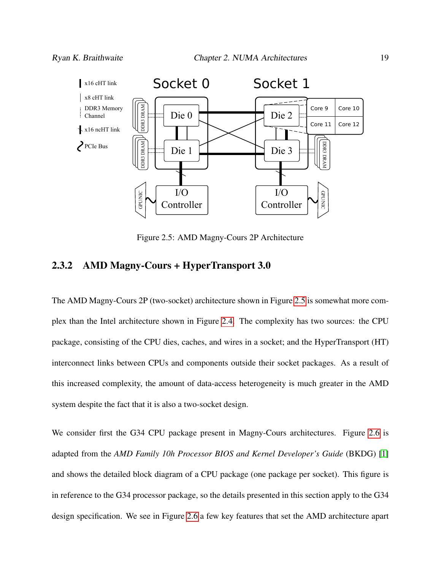<span id="page-30-1"></span>

Figure 2.5: AMD Magny-Cours 2P Architecture

#### <span id="page-30-0"></span>2.3.2 AMD Magny-Cours + HyperTransport 3.0

The AMD Magny-Cours 2P (two-socket) architecture shown in Figure [2.5](#page-30-1) is somewhat more complex than the Intel architecture shown in Figure [2.4.](#page-29-0) The complexity has two sources: the CPU package, consisting of the CPU dies, caches, and wires in a socket; and the HyperTransport (HT) interconnect links between CPUs and components outside their socket packages. As a result of this increased complexity, the amount of data-access heterogeneity is much greater in the AMD system despite the fact that it is also a two-socket design.

We consider first the G34 CPU package present in Magny-Cours architectures. Figure [2.6](#page-31-0) is adapted from the *AMD Family 10h Processor BIOS and Kernel Developer's Guide* (BKDG) [\[1\]](#page-104-0) and shows the detailed block diagram of a CPU package (one package per socket). This figure is in reference to the G34 processor package, so the details presented in this section apply to the G34 design specification. We see in Figure [2.6](#page-31-0) a few key features that set the AMD architecture apart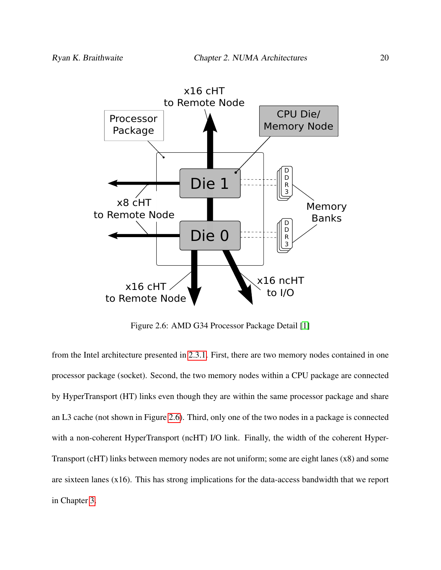<span id="page-31-0"></span>

Figure 2.6: AMD G34 Processor Package Detail [\[1\]](#page-104-0)

from the Intel architecture presented in [2.3.1.](#page-28-1) First, there are two memory nodes contained in one processor package (socket). Second, the two memory nodes within a CPU package are connected by HyperTransport (HT) links even though they are within the same processor package and share an L3 cache (not shown in Figure [2.6\)](#page-31-0). Third, only one of the two nodes in a package is connected with a non-coherent HyperTransport (ncHT) I/O link. Finally, the width of the coherent Hyper-Transport (cHT) links between memory nodes are not uniform; some are eight lanes (x8) and some are sixteen lanes (x16). This has strong implications for the data-access bandwidth that we report in Chapter [3.](#page-34-0)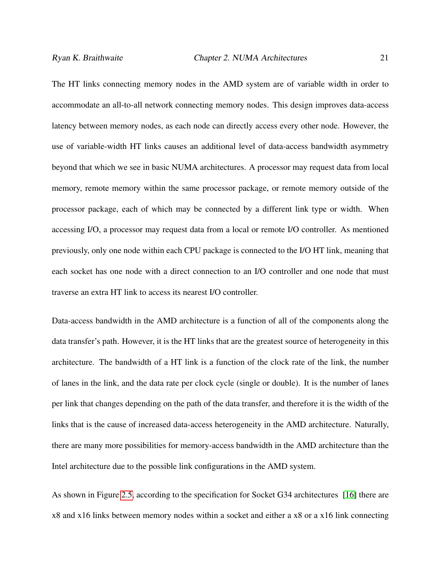The HT links connecting memory nodes in the AMD system are of variable width in order to accommodate an all-to-all network connecting memory nodes. This design improves data-access latency between memory nodes, as each node can directly access every other node. However, the use of variable-width HT links causes an additional level of data-access bandwidth asymmetry beyond that which we see in basic NUMA architectures. A processor may request data from local memory, remote memory within the same processor package, or remote memory outside of the processor package, each of which may be connected by a different link type or width. When accessing I/O, a processor may request data from a local or remote I/O controller. As mentioned previously, only one node within each CPU package is connected to the I/O HT link, meaning that each socket has one node with a direct connection to an I/O controller and one node that must traverse an extra HT link to access its nearest I/O controller.

Data-access bandwidth in the AMD architecture is a function of all of the components along the data transfer's path. However, it is the HT links that are the greatest source of heterogeneity in this architecture. The bandwidth of a HT link is a function of the clock rate of the link, the number of lanes in the link, and the data rate per clock cycle (single or double). It is the number of lanes per link that changes depending on the path of the data transfer, and therefore it is the width of the links that is the cause of increased data-access heterogeneity in the AMD architecture. Naturally, there are many more possibilities for memory-access bandwidth in the AMD architecture than the Intel architecture due to the possible link configurations in the AMD system.

As shown in Figure [2.5,](#page-30-1) according to the specification for Socket G34 architectures [\[16\]](#page-106-4) there are x8 and x16 links between memory nodes within a socket and either a x8 or a x16 link connecting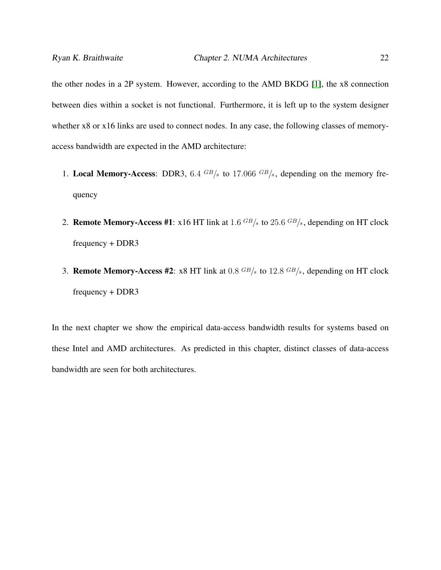the other nodes in a 2P system. However, according to the AMD BKDG [\[1\]](#page-104-0), the x8 connection between dies within a socket is not functional. Furthermore, it is left up to the system designer whether x8 or x16 links are used to connect nodes. In any case, the following classes of memoryaccess bandwidth are expected in the AMD architecture:

- 1. Local Memory-Access: DDR3, 6.4  $GB/s$  to 17.066  $GB/s$ , depending on the memory frequency
- 2. **Remote Memory-Access #1**: x16 HT link at 1.6  $GB/s$  to 25.6  $GB/s$ , depending on HT clock frequency + DDR3
- 3. **Remote Memory-Access #2:** x8 HT link at  $0.8 \text{ GB/s}$  to  $12.8 \text{ GB/s}$ , depending on HT clock frequency + DDR3

In the next chapter we show the empirical data-access bandwidth results for systems based on these Intel and AMD architectures. As predicted in this chapter, distinct classes of data-access bandwidth are seen for both architectures.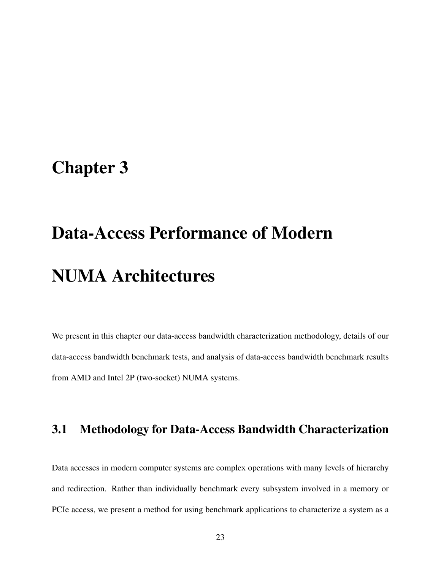### <span id="page-34-0"></span>Chapter 3

# Data-Access Performance of Modern NUMA Architectures

We present in this chapter our data-access bandwidth characterization methodology, details of our data-access bandwidth benchmark tests, and analysis of data-access bandwidth benchmark results from AMD and Intel 2P (two-socket) NUMA systems.

#### <span id="page-34-1"></span>3.1 Methodology for Data-Access Bandwidth Characterization

Data accesses in modern computer systems are complex operations with many levels of hierarchy and redirection. Rather than individually benchmark every subsystem involved in a memory or PCIe access, we present a method for using benchmark applications to characterize a system as a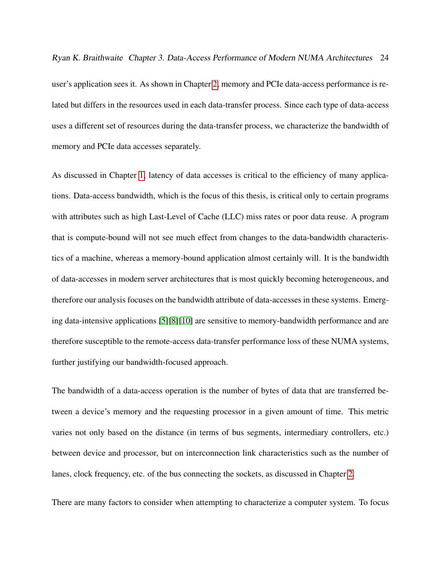Ryan K. Braithwaite Chapter 3. Data-Access Performance of Modern NUMA Architectures 24

user's application sees it. As shown in Chapter [2,](#page-24-0) memory and PCIe data-access performance is related but differs in the resources used in each data-transfer process. Since each type of data-access uses a different set of resources during the data-transfer process, we characterize the bandwidth of memory and PCIe data accesses separately.

As discussed in Chapter [1,](#page-12-0) latency of data accesses is critical to the efficiency of many applications. Data-access bandwidth, which is the focus of this thesis, is critical only to certain programs with attributes such as high Last-Level of Cache (LLC) miss rates or poor data reuse. A program that is compute-bound will not see much effect from changes to the data-bandwidth characteristics of a machine, whereas a memory-bound application almost certainly will. It is the bandwidth of data-accesses in modern server architectures that is most quickly becoming heterogeneous, and therefore our analysis focuses on the bandwidth attribute of data-accesses in these systems. Emerging data-intensive applications [\[5\]](#page-104-2)[\[8\]](#page-105-2)[\[10\]](#page-105-4) are sensitive to memory-bandwidth performance and are therefore susceptible to the remote-access data-transfer performance loss of these NUMA systems, further justifying our bandwidth-focused approach.

The bandwidth of a data-access operation is the number of bytes of data that are transferred between a device's memory and the requesting processor in a given amount of time. This metric varies not only based on the distance (in terms of bus segments, intermediary controllers, etc.) between device and processor, but on interconnection link characteristics such as the number of lanes, clock frequency, etc. of the bus connecting the sockets, as discussed in Chapter [2.](#page-24-0)

There are many factors to consider when attempting to characterize a computer system. To focus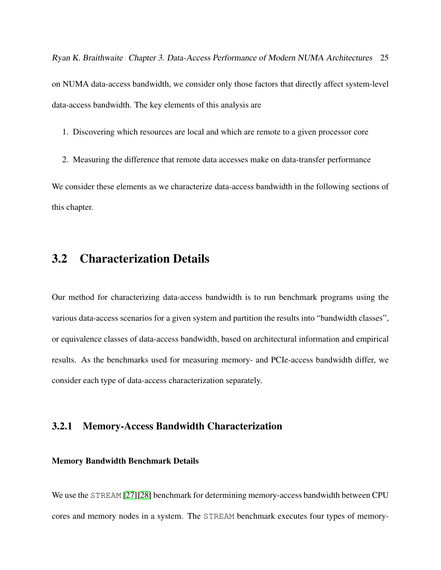Ryan K. Braithwaite Chapter 3. Data-Access Performance of Modern NUMA Architectures 25 on NUMA data-access bandwidth, we consider only those factors that directly affect system-level data-access bandwidth. The key elements of this analysis are

1. Discovering which resources are local and which are remote to a given processor core

2. Measuring the difference that remote data accesses make on data-transfer performance

We consider these elements as we characterize data-access bandwidth in the following sections of this chapter.

## 3.2 Characterization Details

Our method for characterizing data-access bandwidth is to run benchmark programs using the various data-access scenarios for a given system and partition the results into "bandwidth classes", or equivalence classes of data-access bandwidth, based on architectural information and empirical results. As the benchmarks used for measuring memory- and PCIe-access bandwidth differ, we consider each type of data-access characterization separately.

#### 3.2.1 Memory-Access Bandwidth Characterization

#### Memory Bandwidth Benchmark Details

We use the STREAM [\[27\]](#page-108-0)[\[28\]](#page-108-1) benchmark for determining memory-access bandwidth between CPU cores and memory nodes in a system. The STREAM benchmark executes four types of memory-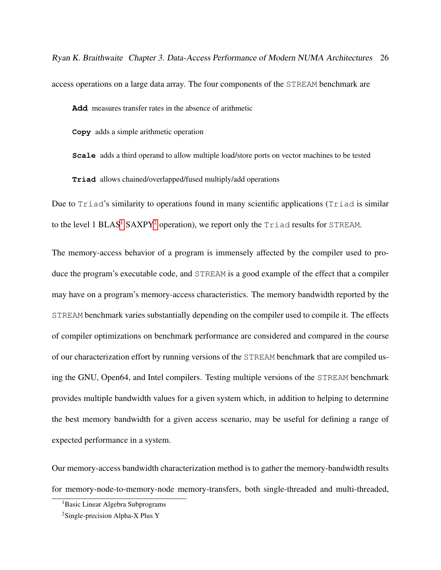Ryan K. Braithwaite Chapter 3. Data-Access Performance of Modern NUMA Architectures 26 access operations on a large data array. The four components of the STREAM benchmark are

**Add** measures transfer rates in the absence of arithmetic

**Copy** adds a simple arithmetic operation

**Scale** adds a third operand to allow multiple load/store ports on vector machines to be tested **Triad** allows chained/overlapped/fused multiply/add operations

Due to Triad's similarity to operations found in many scientific applications (Triad is similar to the level [1](#page-37-0) BLAS<sup>1</sup> SAXPY<sup>[2](#page-37-1)</sup> operation), we report only the  $Triad$  results for STREAM.

The memory-access behavior of a program is immensely affected by the compiler used to produce the program's executable code, and STREAM is a good example of the effect that a compiler may have on a program's memory-access characteristics. The memory bandwidth reported by the STREAM benchmark varies substantially depending on the compiler used to compile it. The effects of compiler optimizations on benchmark performance are considered and compared in the course of our characterization effort by running versions of the STREAM benchmark that are compiled using the GNU, Open64, and Intel compilers. Testing multiple versions of the STREAM benchmark provides multiple bandwidth values for a given system which, in addition to helping to determine the best memory bandwidth for a given access scenario, may be useful for defining a range of expected performance in a system.

Our memory-access bandwidth characterization method is to gather the memory-bandwidth results for memory-node-to-memory-node memory-transfers, both single-threaded and multi-threaded,

<span id="page-37-1"></span><span id="page-37-0"></span><sup>1</sup>Basic Linear Algebra Subprograms

<sup>2</sup>Single-precision Alpha-X Plus Y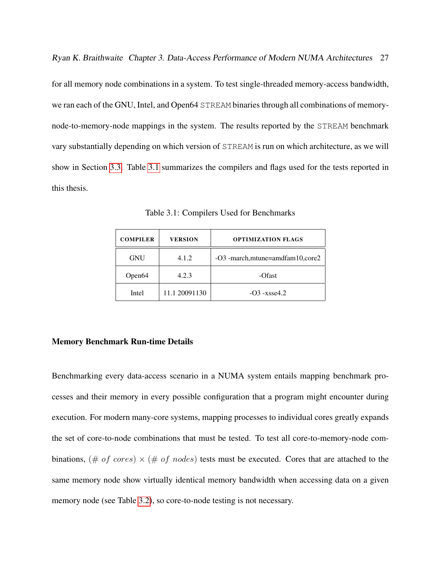Ryan K. Braithwaite Chapter 3. Data-Access Performance of Modern NUMA Architectures 27

for all memory node combinations in a system. To test single-threaded memory-access bandwidth, we ran each of the GNU, Intel, and Open64 STREAM binaries through all combinations of memorynode-to-memory-node mappings in the system. The results reported by the STREAM benchmark vary substantially depending on which version of STREAM is run on which architecture, as we will show in Section [3.3.](#page-43-0) Table [3.1](#page-38-0) summarizes the compilers and flags used for the tests reported in this thesis.

Table 3.1: Compilers Used for Benchmarks

<span id="page-38-0"></span>

| <b>COMPILER</b>    | <b>VERSION</b> | <b>OPTIMIZATION FLAGS</b>         |  |  |
|--------------------|----------------|-----------------------------------|--|--|
| <b>GNU</b>         | 4.1.2          | -O3 -march, mtune=amdfam10, core2 |  |  |
| Open <sub>64</sub> | 4.2.3          | -Ofast                            |  |  |
| Intel              | 11.1 20091130  | $-O3 - x$ sse $4.2$               |  |  |

#### Memory Benchmark Run-time Details

Benchmarking every data-access scenario in a NUMA system entails mapping benchmark processes and their memory in every possible configuration that a program might encounter during execution. For modern many-core systems, mapping processes to individual cores greatly expands the set of core-to-node combinations that must be tested. To test all core-to-memory-node combinations, (# of cores)  $\times$  (# of nodes) tests must be executed. Cores that are attached to the same memory node show virtually identical memory bandwidth when accessing data on a given memory node (see Table [3.2\)](#page-39-0), so core-to-node testing is not necessary.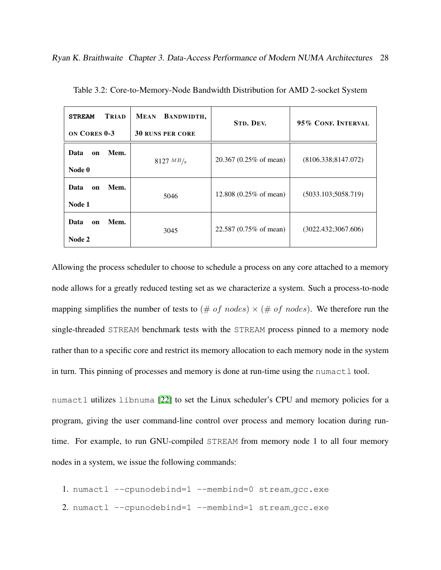| TRIAD<br><b>STREAM</b><br><b>ON CORES 0-3</b> | BANDWIDTH,<br><b>MEAN</b><br><b>30 RUNS PER CORE</b> | <b>STD. DEV.</b>                  | 95% CONF. INTERVAL   |
|-----------------------------------------------|------------------------------------------------------|-----------------------------------|----------------------|
| Data<br>Mem.<br>on<br>Node 0                  | 8127 $MB/s$                                          | 20.367 (0.25% of mean)            | (8106.338; 8147.072) |
| Data<br>Mem.<br><sub>on</sub><br>Node 1       | 5046                                                 | 12.808 $(0.25\% \text{ of mean})$ | (5033.103; 5058.719) |
| Data<br>Mem.<br>on<br>Node 2                  | 3045                                                 | 22.587 (0.75% of mean)            | (3022.432; 3067.606) |

<span id="page-39-0"></span>Table 3.2: Core-to-Memory-Node Bandwidth Distribution for AMD 2-socket System

Allowing the process scheduler to choose to schedule a process on any core attached to a memory node allows for a greatly reduced testing set as we characterize a system. Such a process-to-node mapping simplifies the number of tests to  $(\# of nodes) \times (\# of nodes)$ . We therefore run the single-threaded STREAM benchmark tests with the STREAM process pinned to a memory node rather than to a specific core and restrict its memory allocation to each memory node in the system in turn. This pinning of processes and memory is done at run-time using the numactl tool.

numactl utilizes libnuma [\[22\]](#page-107-0) to set the Linux scheduler's CPU and memory policies for a program, giving the user command-line control over process and memory location during runtime. For example, to run GNU-compiled STREAM from memory node 1 to all four memory nodes in a system, we issue the following commands:

- 1. numactl --cpunodebind=1 --membind=0 stream gcc.exe
- 2. numactl --cpunodebind=1 --membind=1 stream gcc.exe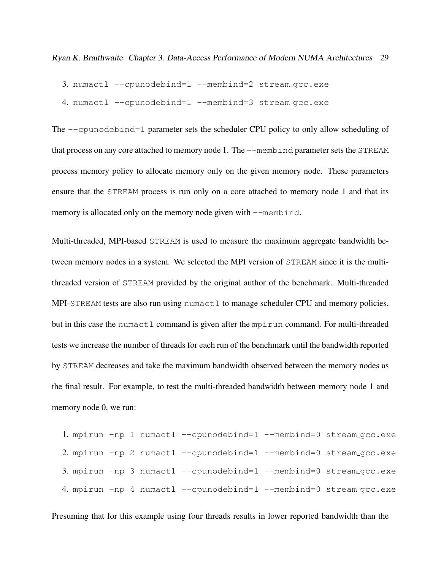- 3. numactl --cpunodebind=1 --membind=2 stream gcc.exe
- 4. numactl --cpunodebind=1 --membind=3 stream\_gcc.exe

The --cpunodebind=1 parameter sets the scheduler CPU policy to only allow scheduling of that process on any core attached to memory node 1. The --membind parameter sets the STREAM process memory policy to allocate memory only on the given memory node. These parameters ensure that the STREAM process is run only on a core attached to memory node 1 and that its memory is allocated only on the memory node given with  $-$ membind.

Multi-threaded, MPI-based STREAM is used to measure the maximum aggregate bandwidth between memory nodes in a system. We selected the MPI version of STREAM since it is the multithreaded version of STREAM provided by the original author of the benchmark. Multi-threaded MPI-STREAM tests are also run using numactl to manage scheduler CPU and memory policies, but in this case the numactl command is given after the mpirun command. For multi-threaded tests we increase the number of threads for each run of the benchmark until the bandwidth reported by STREAM decreases and take the maximum bandwidth observed between the memory nodes as the final result. For example, to test the multi-threaded bandwidth between memory node 1 and memory node 0, we run:

```
1. mpirun -np 1 numactl --cpunodebind=1 --membind=0 stream gcc.exe
2. mpirun -np 2 numactl --cpunodebind=1 --membind=0 stream gcc.exe
3. mpirun -np 3 numactl --cpunodebind=1 --membind=0 stream gcc.exe
4. mpirun -np 4 numactl --cpunodebind=1 --membind=0 stream_qcc.exe
```
Presuming that for this example using four threads results in lower reported bandwidth than the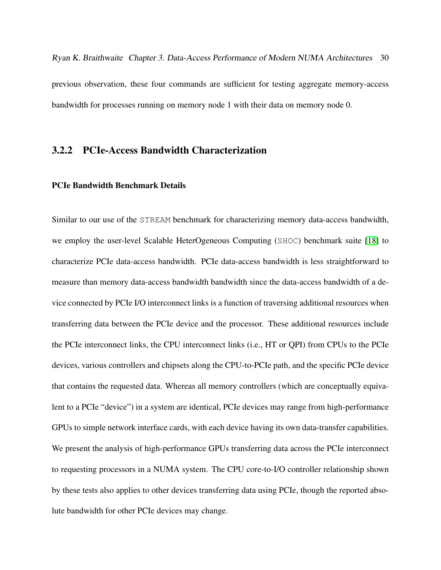Ryan K. Braithwaite Chapter 3. Data-Access Performance of Modern NUMA Architectures 30 previous observation, these four commands are sufficient for testing aggregate memory-access bandwidth for processes running on memory node 1 with their data on memory node 0.

#### 3.2.2 PCIe-Access Bandwidth Characterization

#### PCIe Bandwidth Benchmark Details

Similar to our use of the STREAM benchmark for characterizing memory data-access bandwidth, we employ the user-level Scalable HeterOgeneous Computing (SHOC) benchmark suite [\[18\]](#page-107-1) to characterize PCIe data-access bandwidth. PCIe data-access bandwidth is less straightforward to measure than memory data-access bandwidth bandwidth since the data-access bandwidth of a device connected by PCIe I/O interconnect links is a function of traversing additional resources when transferring data between the PCIe device and the processor. These additional resources include the PCIe interconnect links, the CPU interconnect links (i.e., HT or QPI) from CPUs to the PCIe devices, various controllers and chipsets along the CPU-to-PCIe path, and the specific PCIe device that contains the requested data. Whereas all memory controllers (which are conceptually equivalent to a PCIe "device") in a system are identical, PCIe devices may range from high-performance GPUs to simple network interface cards, with each device having its own data-transfer capabilities. We present the analysis of high-performance GPUs transferring data across the PCIe interconnect to requesting processors in a NUMA system. The CPU core-to-I/O controller relationship shown by these tests also applies to other devices transferring data using PCIe, though the reported absolute bandwidth for other PCIe devices may change.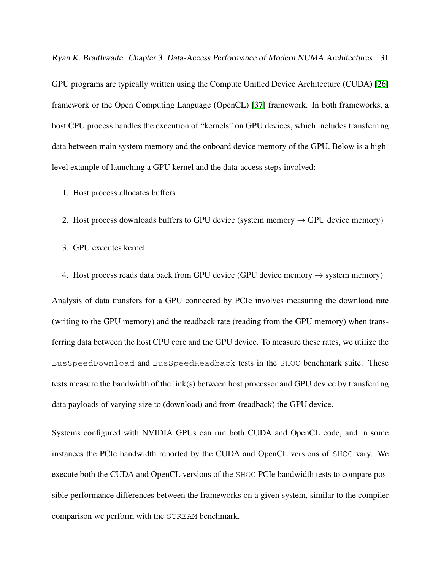Ryan K. Braithwaite Chapter 3. Data-Access Performance of Modern NUMA Architectures 31

GPU programs are typically written using the Compute Unified Device Architecture (CUDA) [\[26\]](#page-108-2) framework or the Open Computing Language (OpenCL) [\[37\]](#page-110-0) framework. In both frameworks, a host CPU process handles the execution of "kernels" on GPU devices, which includes transferring data between main system memory and the onboard device memory of the GPU. Below is a highlevel example of launching a GPU kernel and the data-access steps involved:

1. Host process allocates buffers

2. Host process downloads buffers to GPU device (system memory  $\rightarrow$  GPU device memory)

3. GPU executes kernel

4. Host process reads data back from GPU device (GPU device memory  $\rightarrow$  system memory)

Analysis of data transfers for a GPU connected by PCIe involves measuring the download rate (writing to the GPU memory) and the readback rate (reading from the GPU memory) when transferring data between the host CPU core and the GPU device. To measure these rates, we utilize the BusSpeedDownload and BusSpeedReadback tests in the SHOC benchmark suite. These tests measure the bandwidth of the link(s) between host processor and GPU device by transferring data payloads of varying size to (download) and from (readback) the GPU device.

Systems configured with NVIDIA GPUs can run both CUDA and OpenCL code, and in some instances the PCIe bandwidth reported by the CUDA and OpenCL versions of SHOC vary. We execute both the CUDA and OpenCL versions of the SHOC PCIe bandwidth tests to compare possible performance differences between the frameworks on a given system, similar to the compiler comparison we perform with the STREAM benchmark.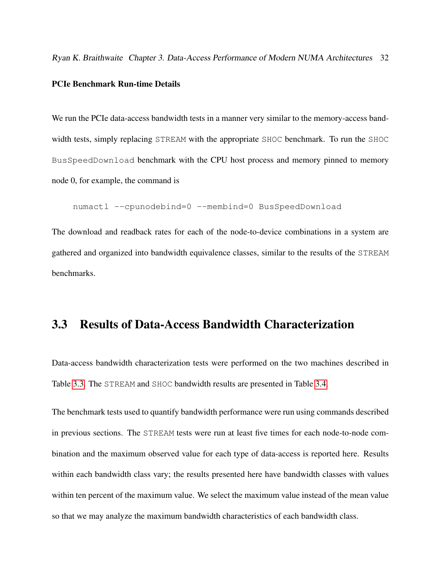Ryan K. Braithwaite Chapter 3. Data-Access Performance of Modern NUMA Architectures 32

#### PCIe Benchmark Run-time Details

We run the PCIe data-access bandwidth tests in a manner very similar to the memory-access bandwidth tests, simply replacing STREAM with the appropriate SHOC benchmark. To run the SHOC BusSpeedDownload benchmark with the CPU host process and memory pinned to memory node 0, for example, the command is

```
numactl --cpunodebind=0 --membind=0 BusSpeedDownload
```
The download and readback rates for each of the node-to-device combinations in a system are gathered and organized into bandwidth equivalence classes, similar to the results of the STREAM benchmarks.

## <span id="page-43-0"></span>3.3 Results of Data-Access Bandwidth Characterization

Data-access bandwidth characterization tests were performed on the two machines described in Table [3.3.](#page-44-0) The STREAM and SHOC bandwidth results are presented in Table [3.4.](#page-45-0)

The benchmark tests used to quantify bandwidth performance were run using commands described in previous sections. The STREAM tests were run at least five times for each node-to-node combination and the maximum observed value for each type of data-access is reported here. Results within each bandwidth class vary; the results presented here have bandwidth classes with values within ten percent of the maximum value. We select the maximum value instead of the mean value so that we may analyze the maximum bandwidth characteristics of each bandwidth class.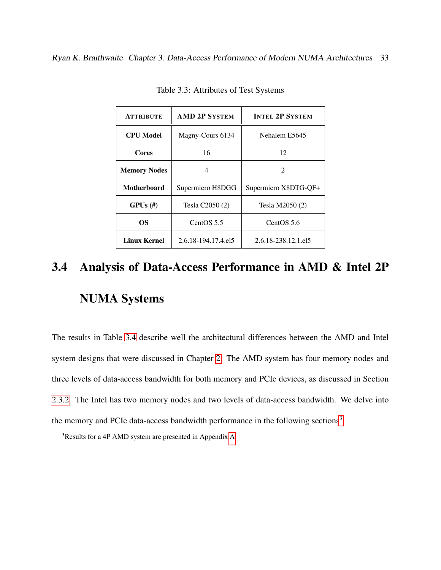<span id="page-44-0"></span>

| <b>ATTRIBUTE</b>    | <b>AMD 2P SYSTEM</b> | <b>INTEL 2P SYSTEM</b> |  |
|---------------------|----------------------|------------------------|--|
| <b>CPU Model</b>    | Magny-Cours 6134     | Nehalem E5645          |  |
| Cores               | 16                   | 12                     |  |
| <b>Memory Nodes</b> | 4                    | 2                      |  |
| <b>Motherboard</b>  | Supermicro H8DGG     | Supermicro X8DTG-QF+   |  |
| $GPUs$ (#)          | Tesla C2050 (2)      | Tesla M2050 (2)        |  |
| OS                  | CentOS 5.5           | CentOS 5.6             |  |
| Linux Kernel        | 2.6.18-194.17.4.el5  | 2.6.18-238.12.1.el5    |  |

Table 3.3: Attributes of Test Systems

# 3.4 Analysis of Data-Access Performance in AMD & Intel 2P NUMA Systems

The results in Table [3.4](#page-45-0) describe well the architectural differences between the AMD and Intel system designs that were discussed in Chapter [2.](#page-24-0) The AMD system has four memory nodes and three levels of data-access bandwidth for both memory and PCIe devices, as discussed in Section [2.3.2.](#page-30-0) The Intel has two memory nodes and two levels of data-access bandwidth. We delve into the memory and PCIe data-access bandwidth performance in the following sections<sup>[3](#page-44-1)</sup>.

<span id="page-44-1"></span><sup>3</sup>Results for a 4P AMD system are presented in Appendix [A](#page-98-0)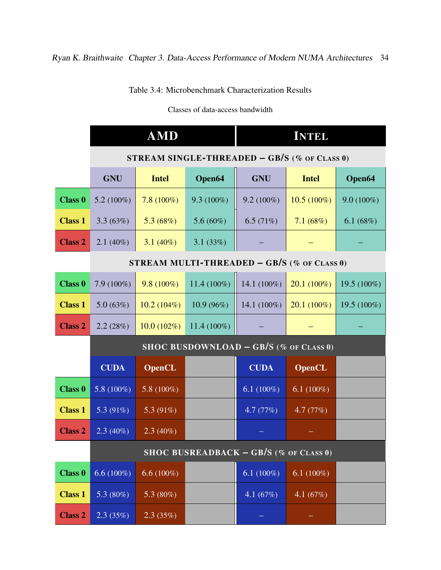Table 3.4: Microbenchmark Characterization Results

Classes of data-access bandwidth

<span id="page-45-0"></span>

|                |                                                     | <b>AMD</b>    |               |                | <b>INTEL</b>  |                |
|----------------|-----------------------------------------------------|---------------|---------------|----------------|---------------|----------------|
|                | <b>STREAM SINGLE-THREADED – GB/S</b> (% OF CLASS 0) |               |               |                |               |                |
|                | <b>GNU</b>                                          | <b>Intel</b>  | Open64        | <b>GNU</b>     | <b>Intel</b>  | Open64         |
| <b>Class 0</b> | 5.2 $(100\%)$                                       | $7.8(100\%)$  | $9.3(100\%)$  | $9.2(100\%)$   | $10.5(100\%)$ | $9.0(100\%)$   |
| <b>Class 1</b> | 3.3(63%)                                            | 5.3 $(68\%)$  | 5.6 $(60\%)$  | 6.5 $(71%)$    | 7.1 $(68%)$   | 6.1 $(68%)$    |
| <b>Class 2</b> | $2.1(40\%)$                                         | 3.1 $(40\%)$  | 3.1 $(33%)$   |                |               |                |
|                | <b>STREAM MULTI-THREADED – GB/S</b> (% OF CLASS 0)  |               |               |                |               |                |
| <b>Class 0</b> | $7.9(100\%)$                                        | $9.8(100\%)$  | 11.4 (100%)   | 14.1 (100%)    | $20.1(100\%)$ | 19.5 $(100\%)$ |
| <b>Class 1</b> | 5.0(63%)                                            | 10.2(104%)    | 10.9(96%)     | 14.1 $(100\%)$ | $20.1(100\%)$ | 19.5 $(100\%)$ |
| <b>Class 2</b> | 2.2(28%)                                            | $10.0(102\%)$ | $11.4(100\%)$ |                |               |                |
|                | SHOC BUSDOWNLOAD - GB/S (% OF CLASS 0)              |               |               |                |               |                |
|                | <b>CUDA</b>                                         | <b>OpenCL</b> |               | <b>CUDA</b>    | <b>OpenCL</b> |                |
| <b>Class 0</b> | 5.8 $(100\%)$                                       | 5.8 $(100\%)$ |               | 6.1 $(100\%)$  | 6.1 $(100\%)$ |                |
| <b>Class 1</b> | 5.3 (91%)                                           | 5.3 $(91\%)$  |               | 4.7 (77%)      | 4.7(77%)      |                |
| <b>Class 2</b> | $2.3(40\%)$                                         | $2.3(40\%)$   |               |                |               |                |
|                | SHOC BUSREADBACK $-$ GB/S (% of CLASS 0)            |               |               |                |               |                |
| <b>Class 0</b> | 6.6 $(100\%)$                                       | 6.6 $(100\%)$ |               | 6.1 $(100\%)$  | 6.1 $(100\%)$ |                |
| <b>Class 1</b> | 5.3 $(80\%)$                                        | 5.3 $(80\%)$  |               | 4.1 $(67%)$    | 4.1 $(67%)$   |                |
| <b>Class 2</b> | 2.3(35%)                                            | 2.3(35%)      |               |                |               |                |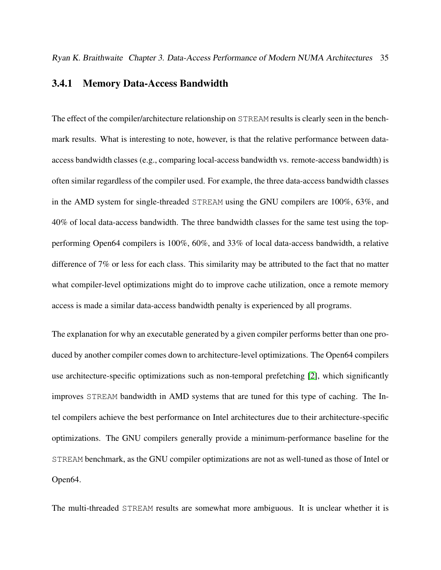#### 3.4.1 Memory Data-Access Bandwidth

The effect of the compiler/architecture relationship on STREAM results is clearly seen in the benchmark results. What is interesting to note, however, is that the relative performance between dataaccess bandwidth classes (e.g., comparing local-access bandwidth vs. remote-access bandwidth) is often similar regardless of the compiler used. For example, the three data-access bandwidth classes in the AMD system for single-threaded STREAM using the GNU compilers are 100%, 63%, and 40% of local data-access bandwidth. The three bandwidth classes for the same test using the topperforming Open64 compilers is 100%, 60%, and 33% of local data-access bandwidth, a relative difference of 7% or less for each class. This similarity may be attributed to the fact that no matter what compiler-level optimizations might do to improve cache utilization, once a remote memory access is made a similar data-access bandwidth penalty is experienced by all programs.

The explanation for why an executable generated by a given compiler performs better than one produced by another compiler comes down to architecture-level optimizations. The Open64 compilers use architecture-specific optimizations such as non-temporal prefetching [\[2\]](#page-104-0), which significantly improves STREAM bandwidth in AMD systems that are tuned for this type of caching. The Intel compilers achieve the best performance on Intel architectures due to their architecture-specific optimizations. The GNU compilers generally provide a minimum-performance baseline for the STREAM benchmark, as the GNU compiler optimizations are not as well-tuned as those of Intel or Open64.

The multi-threaded STREAM results are somewhat more ambiguous. It is unclear whether it is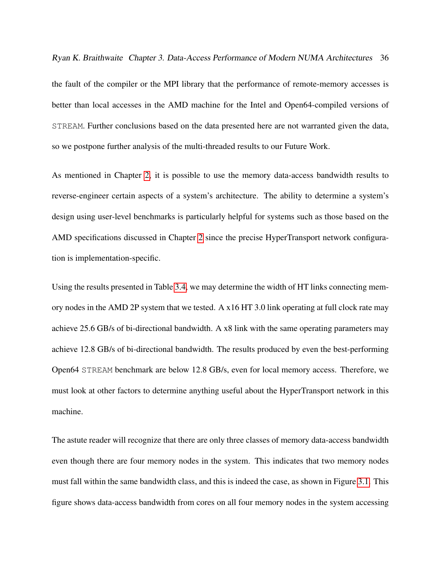Ryan K. Braithwaite Chapter 3. Data-Access Performance of Modern NUMA Architectures 36

the fault of the compiler or the MPI library that the performance of remote-memory accesses is better than local accesses in the AMD machine for the Intel and Open64-compiled versions of STREAM. Further conclusions based on the data presented here are not warranted given the data, so we postpone further analysis of the multi-threaded results to our Future Work.

As mentioned in Chapter [2,](#page-24-0) it is possible to use the memory data-access bandwidth results to reverse-engineer certain aspects of a system's architecture. The ability to determine a system's design using user-level benchmarks is particularly helpful for systems such as those based on the AMD specifications discussed in Chapter [2](#page-24-0) since the precise HyperTransport network configuration is implementation-specific.

Using the results presented in Table [3.4,](#page-45-0) we may determine the width of HT links connecting memory nodes in the AMD 2P system that we tested. A x16 HT 3.0 link operating at full clock rate may achieve 25.6 GB/s of bi-directional bandwidth. A x8 link with the same operating parameters may achieve 12.8 GB/s of bi-directional bandwidth. The results produced by even the best-performing Open64 STREAM benchmark are below 12.8 GB/s, even for local memory access. Therefore, we must look at other factors to determine anything useful about the HyperTransport network in this machine.

The astute reader will recognize that there are only three classes of memory data-access bandwidth even though there are four memory nodes in the system. This indicates that two memory nodes must fall within the same bandwidth class, and this is indeed the case, as shown in Figure [3.1.](#page-48-0) This figure shows data-access bandwidth from cores on all four memory nodes in the system accessing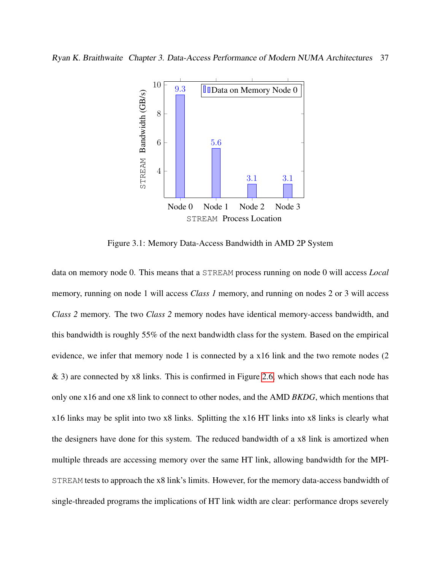<span id="page-48-0"></span>

Figure 3.1: Memory Data-Access Bandwidth in AMD 2P System

data on memory node 0. This means that a STREAM process running on node 0 will access *Local* memory, running on node 1 will access *Class 1* memory, and running on nodes 2 or 3 will access *Class 2* memory. The two *Class 2* memory nodes have identical memory-access bandwidth, and this bandwidth is roughly 55% of the next bandwidth class for the system. Based on the empirical evidence, we infer that memory node 1 is connected by a x16 link and the two remote nodes (2 & 3) are connected by x8 links. This is confirmed in Figure [2.6,](#page-31-0) which shows that each node has only one x16 and one x8 link to connect to other nodes, and the AMD *BKDG*, which mentions that x16 links may be split into two x8 links. Splitting the x16 HT links into x8 links is clearly what the designers have done for this system. The reduced bandwidth of a x8 link is amortized when multiple threads are accessing memory over the same HT link, allowing bandwidth for the MPI-STREAM tests to approach the x8 link's limits. However, for the memory data-access bandwidth of single-threaded programs the implications of HT link width are clear: performance drops severely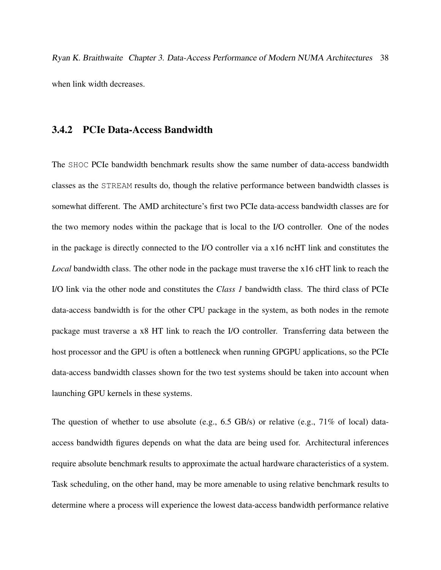Ryan K. Braithwaite Chapter 3. Data-Access Performance of Modern NUMA Architectures 38 when link width decreases.

#### 3.4.2 PCIe Data-Access Bandwidth

The SHOC PCIe bandwidth benchmark results show the same number of data-access bandwidth classes as the STREAM results do, though the relative performance between bandwidth classes is somewhat different. The AMD architecture's first two PCIe data-access bandwidth classes are for the two memory nodes within the package that is local to the I/O controller. One of the nodes in the package is directly connected to the I/O controller via a x16 ncHT link and constitutes the *Local* bandwidth class. The other node in the package must traverse the x16 cHT link to reach the I/O link via the other node and constitutes the *Class 1* bandwidth class. The third class of PCIe data-access bandwidth is for the other CPU package in the system, as both nodes in the remote package must traverse a x8 HT link to reach the I/O controller. Transferring data between the host processor and the GPU is often a bottleneck when running GPGPU applications, so the PCIe data-access bandwidth classes shown for the two test systems should be taken into account when launching GPU kernels in these systems.

The question of whether to use absolute (e.g., 6.5 GB/s) or relative (e.g., 71% of local) dataaccess bandwidth figures depends on what the data are being used for. Architectural inferences require absolute benchmark results to approximate the actual hardware characteristics of a system. Task scheduling, on the other hand, may be more amenable to using relative benchmark results to determine where a process will experience the lowest data-access bandwidth performance relative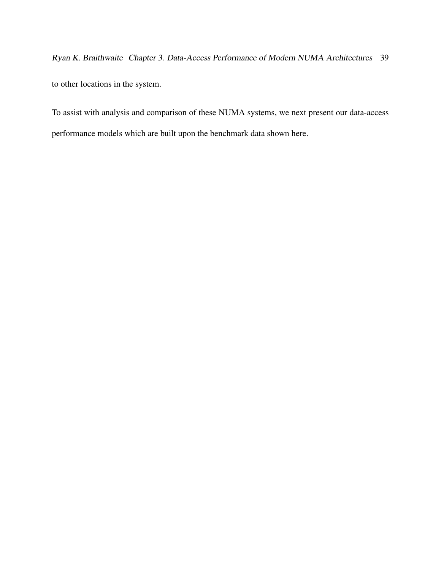Ryan K. Braithwaite Chapter 3. Data-Access Performance of Modern NUMA Architectures 39 to other locations in the system.

To assist with analysis and comparison of these NUMA systems, we next present our data-access performance models which are built upon the benchmark data shown here.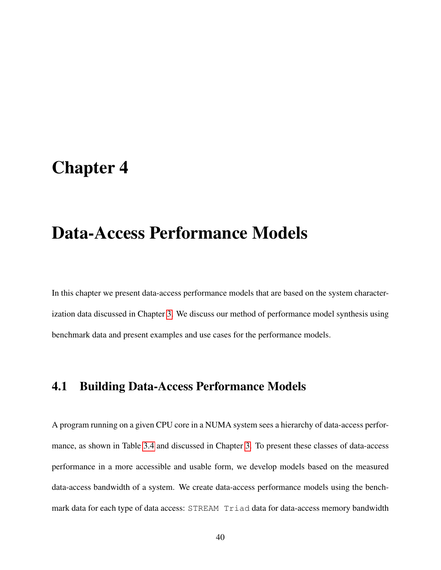## <span id="page-51-0"></span>Chapter 4

## Data-Access Performance Models

In this chapter we present data-access performance models that are based on the system characterization data discussed in Chapter [3.](#page-34-0) We discuss our method of performance model synthesis using benchmark data and present examples and use cases for the performance models.

## 4.1 Building Data-Access Performance Models

A program running on a given CPU core in a NUMA system sees a hierarchy of data-access performance, as shown in Table [3.4](#page-45-0) and discussed in Chapter [3.](#page-34-0) To present these classes of data-access performance in a more accessible and usable form, we develop models based on the measured data-access bandwidth of a system. We create data-access performance models using the benchmark data for each type of data access: STREAM Triad data for data-access memory bandwidth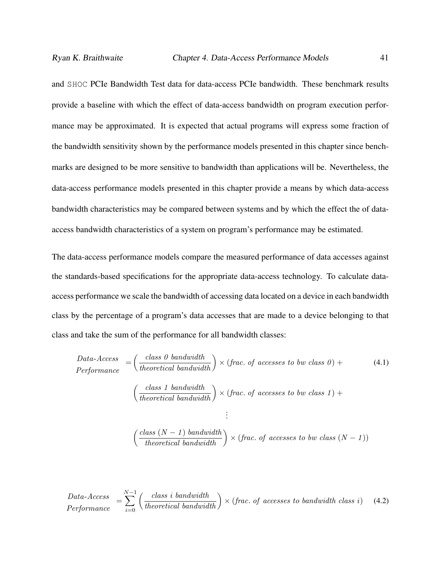and SHOC PCIe Bandwidth Test data for data-access PCIe bandwidth. These benchmark results provide a baseline with which the effect of data-access bandwidth on program execution performance may be approximated. It is expected that actual programs will express some fraction of the bandwidth sensitivity shown by the performance models presented in this chapter since benchmarks are designed to be more sensitive to bandwidth than applications will be. Nevertheless, the data-access performance models presented in this chapter provide a means by which data-access bandwidth characteristics may be compared between systems and by which the effect the of dataaccess bandwidth characteristics of a system on program's performance may be estimated.

The data-access performance models compare the measured performance of data accesses against the standards-based specifications for the appropriate data-access technology. To calculate dataaccess performance we scale the bandwidth of accessing data located on a device in each bandwidth class by the percentage of a program's data accesses that are made to a device belonging to that class and take the sum of the performance for all bandwidth classes:

<span id="page-52-0"></span>
$$
Data-Access = \left(\frac{class\ 0\ bandwidth}{theoretical\ bandwidth}\right) \times (frac\ .of\ accesses\ to\ bw\ class\ 0) + \left(\frac{class\ 1\ bandwidth}{theoretical\ bandwidth}\right) \times (frac\ .of\ accesses\ to\ bw\ class\ 1) + \left(\frac{class\ 1\ bandwidth}{theoretical\ bandwidth}\right) \times (frac\ .of\ accesses\ to\ bw\ class\ 1) + \vdots
$$
\n
$$
\left(\frac{class\ (N-1)\ bandwidth}{theoretical\ bandwidth}\right) \times (frac\ .of\ accesses\ to\ bw\ class\ (N-1))
$$

$$
Data-Acess = \sum_{i=0}^{N-1} \left( \frac{class \ i \ bandwidth}{theoretical \ bandwidth} \right) \times (frac. \ of \ access \ to \ bandwidth \ class \ i) \tag{4.2}
$$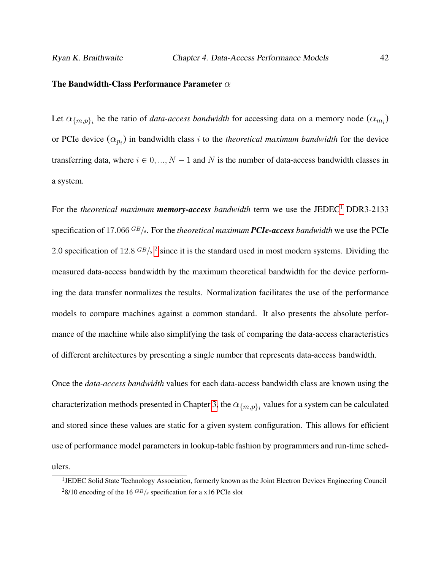#### The Bandwidth-Class Performance Parameter  $\alpha$

Let  $\alpha_{\{m,p\}_i}$  be the ratio of *data-access bandwidth* for accessing data on a memory node  $(\alpha_{m_i})$ or PCIe device  $(\alpha_{p_i})$  in bandwidth class i to the *theoretical maximum bandwidth* for the device transferring data, where  $i \in 0, ..., N - 1$  and N is the number of data-access bandwidth classes in a system.

For the *theoretical maximum memory-access bandwidth* term we use the JEDEC<sup>[1](#page-53-0)</sup> DDR3-2133 specification of 17.066 GB/s. For the *theoretical maximum PCIe-access bandwidth* we use the PCIe [2](#page-53-1).0 specification of 12.8  $GB/s^2$  since it is the standard used in most modern systems. Dividing the measured data-access bandwidth by the maximum theoretical bandwidth for the device performing the data transfer normalizes the results. Normalization facilitates the use of the performance models to compare machines against a common standard. It also presents the absolute performance of the machine while also simplifying the task of comparing the data-access characteristics of different architectures by presenting a single number that represents data-access bandwidth.

Once the *data-access bandwidth* values for each data-access bandwidth class are known using the characterization methods presented in Chapter [3,](#page-34-0) the  $\alpha_{\{m,p\}_i}$  values for a system can be calculated and stored since these values are static for a given system configuration. This allows for efficient use of performance model parameters in lookup-table fashion by programmers and run-time schedulers.

<span id="page-53-1"></span><span id="page-53-0"></span><sup>&</sup>lt;sup>1</sup>JEDEC Solid State Technology Association, formerly known as the Joint Electron Devices Engineering Council <sup>2</sup>8/10 encoding of the 16  $GB/s$  specification for a x16 PCIe slot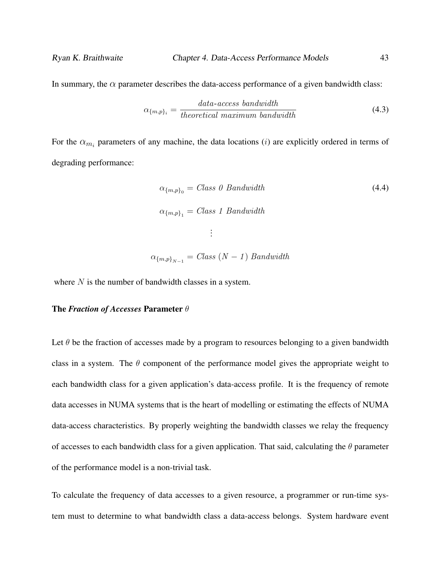In summary, the  $\alpha$  parameter describes the data-access performance of a given bandwidth class:

$$
\alpha_{\{m,p\}_i} = \frac{data \text{-}access\ bandwidth}{theoretical\ maximum\ bandwidth} \tag{4.3}
$$

For the  $\alpha_{m_i}$  parameters of any machine, the data locations (*i*) are explicitly ordered in terms of degrading performance:

$$
\alpha_{\{m,p\}_0} = Class\ 0\ Bandwidth
$$
\n
$$
\alpha_{\{m,p\}_1} = Class\ 1\ Bandwidth
$$
\n
$$
\vdots
$$
\n
$$
\alpha_{\{m,p\}_{N-1}} = Class\ (N-1)\ Bandwidth
$$
\n(4.4)

where  $N$  is the number of bandwidth classes in a system.

#### The *Fraction of Accesses* Parameter θ

Let  $\theta$  be the fraction of accesses made by a program to resources belonging to a given bandwidth class in a system. The  $\theta$  component of the performance model gives the appropriate weight to each bandwidth class for a given application's data-access profile. It is the frequency of remote data accesses in NUMA systems that is the heart of modelling or estimating the effects of NUMA data-access characteristics. By properly weighting the bandwidth classes we relay the frequency of accesses to each bandwidth class for a given application. That said, calculating the  $\theta$  parameter of the performance model is a non-trivial task.

To calculate the frequency of data accesses to a given resource, a programmer or run-time system must to determine to what bandwidth class a data-access belongs. System hardware event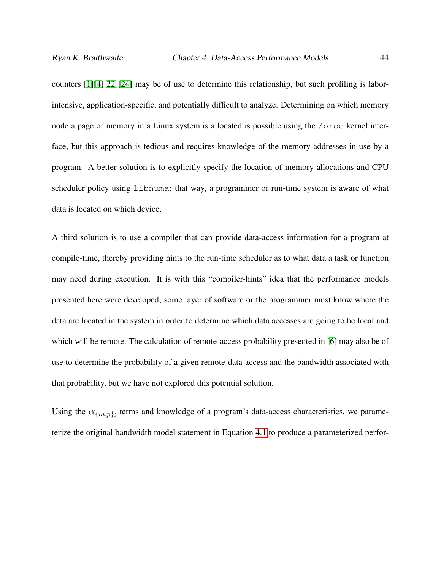counters [\[1\]](#page-104-1)[\[4\]](#page-104-2)[\[22\]](#page-107-0)[\[24\]](#page-108-3) may be of use to determine this relationship, but such profiling is laborintensive, application-specific, and potentially difficult to analyze. Determining on which memory node a page of memory in a Linux system is allocated is possible using the /proc kernel interface, but this approach is tedious and requires knowledge of the memory addresses in use by a program. A better solution is to explicitly specify the location of memory allocations and CPU scheduler policy using libnuma; that way, a programmer or run-time system is aware of what data is located on which device.

A third solution is to use a compiler that can provide data-access information for a program at compile-time, thereby providing hints to the run-time scheduler as to what data a task or function may need during execution. It is with this "compiler-hints" idea that the performance models presented here were developed; some layer of software or the programmer must know where the data are located in the system in order to determine which data accesses are going to be local and which will be remote. The calculation of remote-access probability presented in [\[6\]](#page-104-3) may also be of use to determine the probability of a given remote-data-access and the bandwidth associated with that probability, but we have not explored this potential solution.

Using the  $\alpha_{\{m,p\}_i}$  terms and knowledge of a program's data-access characteristics, we parameterize the original bandwidth model statement in Equation [4.1](#page-52-0) to produce a parameterized perfor-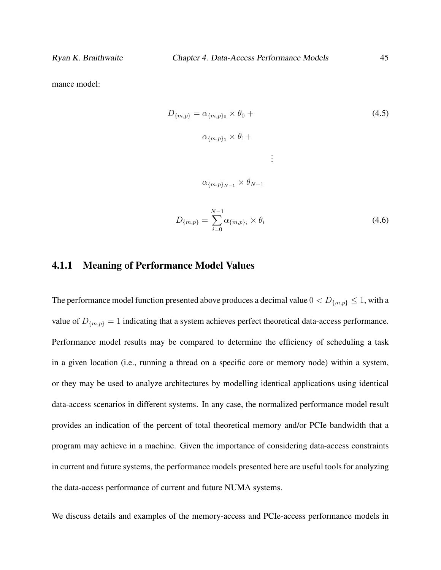mance model:

$$
D_{\{m,p\}} = \alpha_{\{m,p\}_0} \times \theta_0 +
$$
  
\n
$$
\alpha_{\{m,p\}_1} \times \theta_1 +
$$
  
\n
$$
\vdots
$$
  
\n
$$
\alpha_{\{m,p\}_{N-1}} \times \theta_{N-1}
$$
  
\n
$$
D_{\{m,p\}} = \sum_{i=1}^{N-1} \alpha_{\{m,p\}_i} \times \theta_i
$$
\n(4.6)

#### 4.1.1 Meaning of Performance Model Values

The performance model function presented above produces a decimal value  $0 < D_{m,p} \leq 1$ , with a value of  $D_{\{m,p\}} = 1$  indicating that a system achieves perfect theoretical data-access performance. Performance model results may be compared to determine the efficiency of scheduling a task in a given location (i.e., running a thread on a specific core or memory node) within a system, or they may be used to analyze architectures by modelling identical applications using identical data-access scenarios in different systems. In any case, the normalized performance model result provides an indication of the percent of total theoretical memory and/or PCIe bandwidth that a program may achieve in a machine. Given the importance of considering data-access constraints in current and future systems, the performance models presented here are useful tools for analyzing the data-access performance of current and future NUMA systems.

 $i=0$ 

We discuss details and examples of the memory-access and PCIe-access performance models in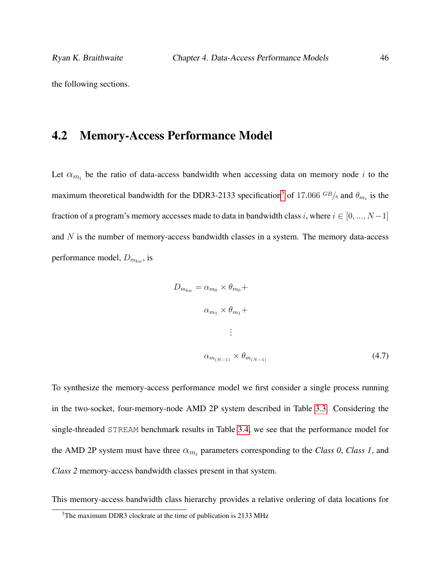the following sections.

### 4.2 Memory-Access Performance Model

Let  $\alpha_{m_i}$  be the ratio of data-access bandwidth when accessing data on memory node i to the maximum theoretical bandwidth for the DDR[3](#page-57-0)-2133 specification<sup>3</sup> of 17.066  $GB/s$  and  $\theta_{m_i}$  is the fraction of a program's memory accesses made to data in bandwidth class i, where  $i \in [0, ..., N-1]$ and  $N$  is the number of memory-access bandwidth classes in a system. The memory data-access performance model,  $D_{m_{bw}}$ , is

$$
D_{m_{bw}} = \alpha_{m_0} \times \theta_{m_0} +
$$
  
\n
$$
\alpha_{m_1} \times \theta_{m_1} +
$$
  
\n
$$
\vdots
$$
  
\n
$$
\alpha_{m_{(N-1)}} \times \theta_{m_{(N-1)}}
$$
\n(4.7)

To synthesize the memory-access performance model we first consider a single process running in the two-socket, four-memory-node AMD 2P system described in Table [3.3.](#page-44-0) Considering the single-threaded STREAM benchmark results in Table [3.4,](#page-45-0) we see that the performance model for the AMD 2P system must have three  $\alpha_{m_i}$  parameters corresponding to the *Class 0*, *Class 1*, and *Class 2* memory-access bandwidth classes present in that system.

This memory-access bandwidth class hierarchy provides a relative ordering of data locations for

<span id="page-57-0"></span><sup>&</sup>lt;sup>3</sup>The maximum DDR3 clockrate at the time of publication is 2133 MHz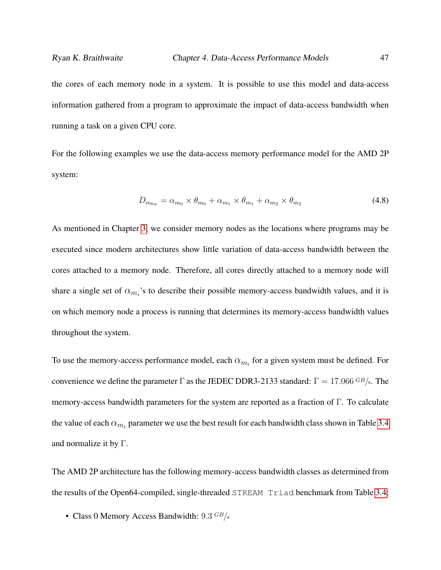the cores of each memory node in a system. It is possible to use this model and data-access information gathered from a program to approximate the impact of data-access bandwidth when running a task on a given CPU core.

For the following examples we use the data-access memory performance model for the AMD 2P system:

$$
D_{m_{bw}} = \alpha_{m_0} \times \theta_{m_0} + \alpha_{m_1} \times \theta_{m_1} + \alpha_{m_2} \times \theta_{m_2}
$$
\n
$$
(4.8)
$$

As mentioned in Chapter [3,](#page-34-0) we consider memory nodes as the locations where programs may be executed since modern architectures show little variation of data-access bandwidth between the cores attached to a memory node. Therefore, all cores directly attached to a memory node will share a single set of  $\alpha_{m_i}$ 's to describe their possible memory-access bandwidth values, and it is on which memory node a process is running that determines its memory-access bandwidth values throughout the system.

To use the memory-access performance model, each  $\alpha_{m_i}$  for a given system must be defined. For convenience we define the parameter Γ as the JEDEC DDR3-2133 standard:  $\Gamma = 17.066 \, \frac{GB}{s}$ . The memory-access bandwidth parameters for the system are reported as a fraction of Γ. To calculate the value of each  $\alpha_{m_i}$  parameter we use the best result for each bandwidth class shown in Table [3.4](#page-45-0) and normalize it by Γ.

The AMD 2P architecture has the following memory-access bandwidth classes as determined from the results of the Open64-compiled, single-threaded STREAM Triad benchmark from Table [3.4:](#page-45-0)

• Class 0 Memory Access Bandwidth:  $9.3 \text{ }^{GB/s}$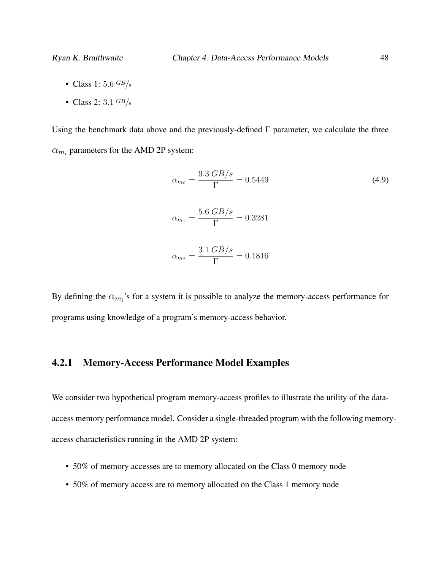- Class 1: 5.6  $GB/s$
- Class 2:  $3.1 \text{ GB/s}$

Using the benchmark data above and the previously-defined  $\Gamma$  parameter, we calculate the three  $\alpha_{m_i}$  parameters for the AMD 2P system:

$$
\alpha_{m_0} = \frac{9.3 \, GB/s}{\Gamma} = 0.5449
$$
\n
$$
\alpha_{m_1} = \frac{5.6 \, GB/s}{\Gamma} = 0.3281
$$
\n
$$
\alpha_{m_2} = \frac{3.1 \, GB/s}{\Gamma} = 0.1816
$$
\n(4.9)

By defining the  $\alpha_{m_i}$ 's for a system it is possible to analyze the memory-access performance for programs using knowledge of a program's memory-access behavior.

### 4.2.1 Memory-Access Performance Model Examples

We consider two hypothetical program memory-access profiles to illustrate the utility of the dataaccess memory performance model. Consider a single-threaded program with the following memoryaccess characteristics running in the AMD 2P system:

- 50% of memory accesses are to memory allocated on the Class 0 memory node
- 50% of memory access are to memory allocated on the Class 1 memory node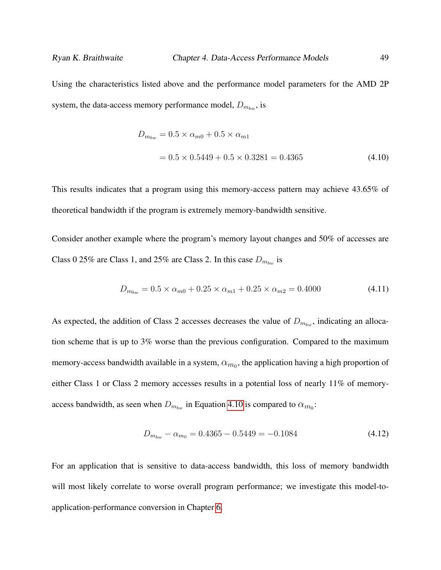Using the characteristics listed above and the performance model parameters for the AMD 2P system, the data-access memory performance model,  $D_{m_{bw}}$ , is

<span id="page-60-0"></span>
$$
D_{m_{bw}} = 0.5 \times \alpha_{m0} + 0.5 \times \alpha_{m1}
$$
  
= 0.5 × 0.5449 + 0.5 × 0.3281 = 0.4365 (4.10)

This results indicates that a program using this memory-access pattern may achieve 43.65% of theoretical bandwidth if the program is extremely memory-bandwidth sensitive.

Consider another example where the program's memory layout changes and 50% of accesses are Class 0 25% are Class 1, and 25% are Class 2. In this case  $D_{m_{bw}}$  is

$$
D_{m_{bw}} = 0.5 \times \alpha_{m0} + 0.25 \times \alpha_{m1} + 0.25 \times \alpha_{m2} = 0.4000 \tag{4.11}
$$

As expected, the addition of Class 2 accesses decreases the value of  $D_{m_{b}}$ , indicating an allocation scheme that is up to 3% worse than the previous configuration. Compared to the maximum memory-access bandwidth available in a system,  $\alpha_{m_0}$ , the application having a high proportion of either Class 1 or Class 2 memory accesses results in a potential loss of nearly 11% of memoryaccess bandwidth, as seen when  $D_{m_{bw}}$  in Equation [4.10](#page-60-0) is compared to  $\alpha_{m_0}$ :

$$
D_{m_{bw}} - \alpha_{m_0} = 0.4365 - 0.5449 = -0.1084 \tag{4.12}
$$

For an application that is sensitive to data-access bandwidth, this loss of memory bandwidth will most likely correlate to worse overall program performance; we investigate this model-toapplication-performance conversion in Chapter [6.](#page-80-0)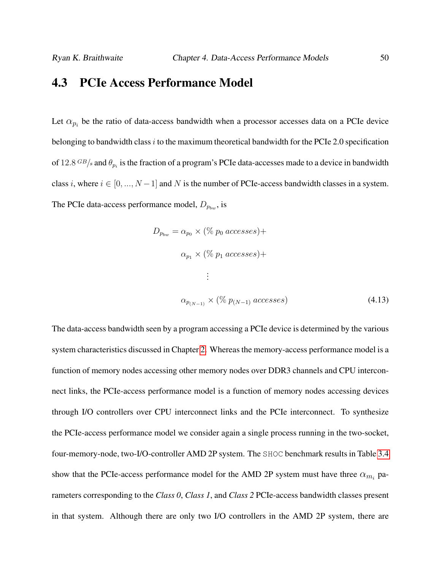## 4.3 PCIe Access Performance Model

Let  $\alpha_{p_i}$  be the ratio of data-access bandwidth when a processor accesses data on a PCIe device belonging to bandwidth class  $i$  to the maximum theoretical bandwidth for the PCIe 2.0 specification of 12.8  $GB/s$  and  $\theta_{p_i}$  is the fraction of a program's PCIe data-accesses made to a device in bandwidth class i, where  $i \in [0, ..., N-1]$  and N is the number of PCIe-access bandwidth classes in a system. The PCIe data-access performance model,  $D_{p_{bw}}$ , is

$$
D_{p_{bw}} = \alpha_{p_0} \times (\% p_0 \, accesses) +
$$
  
\n
$$
\alpha_{p_1} \times (\% p_1 \, accesses) +
$$
  
\n
$$
\vdots
$$
  
\n
$$
\alpha_{p_{(N-1)}} \times (\% p_{(N-1)} \, accesses)
$$
\n(4.13)

The data-access bandwidth seen by a program accessing a PCIe device is determined by the various system characteristics discussed in Chapter [2.](#page-24-0) Whereas the memory-access performance model is a function of memory nodes accessing other memory nodes over DDR3 channels and CPU interconnect links, the PCIe-access performance model is a function of memory nodes accessing devices through I/O controllers over CPU interconnect links and the PCIe interconnect. To synthesize the PCIe-access performance model we consider again a single process running in the two-socket, four-memory-node, two-I/O-controller AMD 2P system. The SHOC benchmark results in Table [3.4](#page-45-0) show that the PCIe-access performance model for the AMD 2P system must have three  $\alpha_{m_i}$  parameters corresponding to the *Class 0*, *Class 1*, and *Class 2* PCIe-access bandwidth classes present in that system. Although there are only two I/O controllers in the AMD 2P system, there are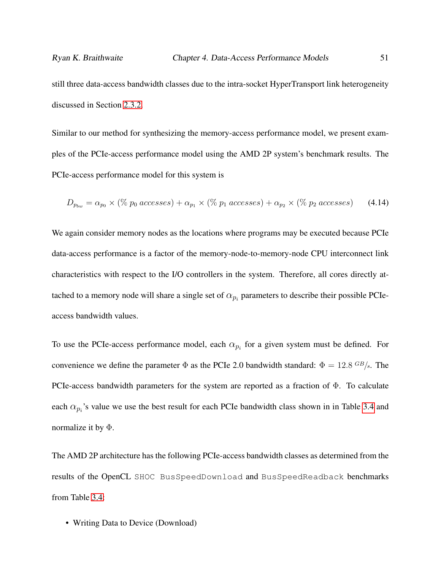Similar to our method for synthesizing the memory-access performance model, we present examples of the PCIe-access performance model using the AMD 2P system's benchmark results. The PCIe-access performance model for this system is

$$
D_{p_{bw}} = \alpha_{p_0} \times (\% \ p_0 \ accesses) + \alpha_{p_1} \times (\% \ p_1 \ accesses) + \alpha_{p_2} \times (\% \ p_2 \ accesses) \tag{4.14}
$$

We again consider memory nodes as the locations where programs may be executed because PCIe data-access performance is a factor of the memory-node-to-memory-node CPU interconnect link characteristics with respect to the I/O controllers in the system. Therefore, all cores directly attached to a memory node will share a single set of  $\alpha_{p_i}$  parameters to describe their possible PCIeaccess bandwidth values.

To use the PCIe-access performance model, each  $\alpha_{p_i}$  for a given system must be defined. For convenience we define the parameter  $\Phi$  as the PCIe 2.0 bandwidth standard:  $\Phi = 12.8 \text{ }^{GB/s}$ . The PCIe-access bandwidth parameters for the system are reported as a fraction of Φ. To calculate each  $\alpha_{p_i}$ 's value we use the best result for each PCIe bandwidth class shown in in Table [3.4](#page-45-0) and normalize it by  $\Phi$ .

The AMD 2P architecture has the following PCIe-access bandwidth classes as determined from the results of the OpenCL SHOC BusSpeedDownload and BusSpeedReadback benchmarks from Table [3.4:](#page-45-0)

• Writing Data to Device (Download)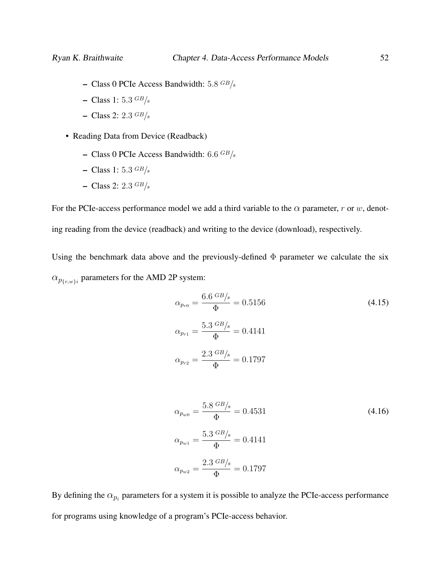- Class 0 PCIe Access Bandwidth:  $5.8 \text{ }^{GB/s}$
- Class 1: 5.3  $GB/s$
- Class 2:  $2.3 \text{ GB/s}$
- Reading Data from Device (Readback)
	- Class 0 PCIe Access Bandwidth:  $6.6$  GB/s
	- Class 1: 5.3  $GB/s$
	- Class 2:  $2.3 \frac{GB}{s}$

For the PCIe-access performance model we add a third variable to the  $\alpha$  parameter, r or w, denoting reading from the device (readback) and writing to the device (download), respectively.

Using the benchmark data above and the previously-defined  $\Phi$  parameter we calculate the six  $\alpha_{p_{\{r,w\}i}}$  parameters for the AMD 2P system:

$$
\alpha_{p_{r0}} = \frac{6.6 \text{ }^{GB/s}}{\Phi} = 0.5156
$$
\n
$$
\alpha_{p_{r1}} = \frac{5.3 \text{ }^{GB/s}}{\Phi} = 0.4141
$$
\n
$$
\alpha_{p_{r2}} = \frac{2.3 \text{ }^{GB/s}}{\Phi} = 0.1797
$$
\n
$$
\epsilon \approx \frac{1}{3} \text{ }^{GB/s}
$$

$$
\alpha_{p_{w0}} = \frac{3.8 \text{ dB/s}}{\Phi} = 0.4531
$$
\n
$$
\alpha_{p_{w1}} = \frac{5.3 \text{ GB/s}}{\Phi} = 0.4141
$$
\n
$$
\alpha_{p_{w2}} = \frac{2.3 \text{ GB/s}}{\Phi} = 0.1797
$$
\n(4.16)

By defining the  $\alpha_{p_i}$  parameters for a system it is possible to analyze the PCIe-access performance for programs using knowledge of a program's PCIe-access behavior.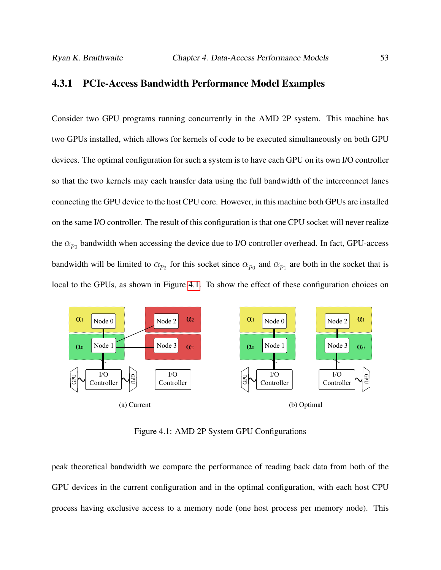#### 4.3.1 PCIe-Access Bandwidth Performance Model Examples

Consider two GPU programs running concurrently in the AMD 2P system. This machine has two GPUs installed, which allows for kernels of code to be executed simultaneously on both GPU devices. The optimal configuration for such a system is to have each GPU on its own I/O controller so that the two kernels may each transfer data using the full bandwidth of the interconnect lanes connecting the GPU device to the host CPU core. However, in this machine both GPUs are installed on the same I/O controller. The result of this configuration is that one CPU socket will never realize the  $\alpha_{p_0}$  bandwidth when accessing the device due to I/O controller overhead. In fact, GPU-access bandwidth will be limited to  $\alpha_{p_2}$  for this socket since  $\alpha_{p_0}$  and  $\alpha_{p_1}$  are both in the socket that is local to the GPUs, as shown in Figure [4.1.](#page-64-0) To show the effect of these configuration choices on

<span id="page-64-0"></span>

Figure 4.1: AMD 2P System GPU Configurations

peak theoretical bandwidth we compare the performance of reading back data from both of the GPU devices in the current configuration and in the optimal configuration, with each host CPU process having exclusive access to a memory node (one host process per memory node). This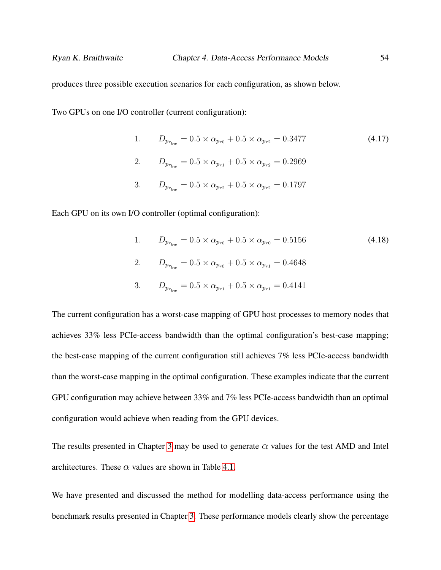produces three possible execution scenarios for each configuration, as shown below.

Two GPUs on one I/O controller (current configuration):

1. 
$$
D_{p_{r_{bw}}} = 0.5 \times \alpha_{p_{r0}} + 0.5 \times \alpha_{p_{r2}} = 0.3477
$$
 (4.17)  
\n2.  $D_{p_{r_{bw}}} = 0.5 \times \alpha_{p_{r1}} + 0.5 \times \alpha_{p_{r2}} = 0.2969$   
\n3.  $D_{p_{r_{bw}}} = 0.5 \times \alpha_{p_{r2}} + 0.5 \times \alpha_{p_{r2}} = 0.1797$ 

Each GPU on its own I/O controller (optimal configuration):

1. 
$$
D_{p_{r_{bw}}} = 0.5 \times \alpha_{p_{r0}} + 0.5 \times \alpha_{p_{r0}} = 0.5156
$$
 (4.18)  
\n2.  $D_{p_{r_{bw}}} = 0.5 \times \alpha_{p_{r0}} + 0.5 \times \alpha_{p_{r1}} = 0.4648$   
\n3.  $D_{p_{r_{bw}}} = 0.5 \times \alpha_{p_{r1}} + 0.5 \times \alpha_{p_{r1}} = 0.4141$ 

The current configuration has a worst-case mapping of GPU host processes to memory nodes that achieves 33% less PCIe-access bandwidth than the optimal configuration's best-case mapping; the best-case mapping of the current configuration still achieves 7% less PCIe-access bandwidth than the worst-case mapping in the optimal configuration. These examples indicate that the current GPU configuration may achieve between 33% and 7% less PCIe-access bandwidth than an optimal configuration would achieve when reading from the GPU devices.

The results presented in Chapter [3](#page-34-0) may be used to generate  $\alpha$  values for the test AMD and Intel architectures. These  $\alpha$  values are shown in Table [4.1.](#page-66-0)

We have presented and discussed the method for modelling data-access performance using the benchmark results presented in Chapter [3.](#page-34-0) These performance models clearly show the percentage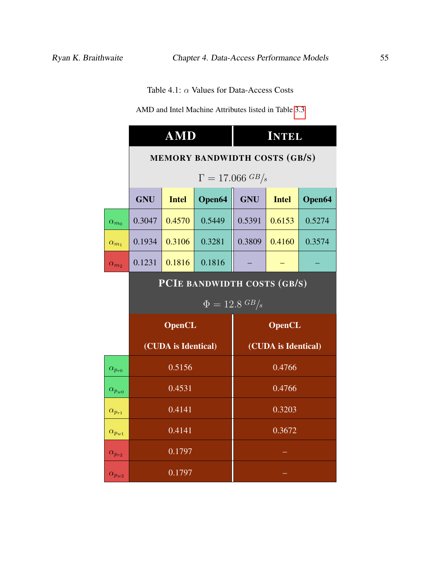Table 4.1:  $\alpha$  Values for Data-Access Costs

AMD and Intel Machine Attributes listed in Table [3.3](#page-44-0)

<span id="page-66-0"></span>

|                              | <b>AMD</b>                    |                                   |        | <b>INTEL</b>        |              |        |  |
|------------------------------|-------------------------------|-----------------------------------|--------|---------------------|--------------|--------|--|
|                              | MEMORY BANDWIDTH COSTS (GB/S) |                                   |        |                     |              |        |  |
|                              |                               | $\Gamma = 17.066 \, \frac{GB}{s}$ |        |                     |              |        |  |
|                              | <b>GNU</b>                    | <b>Intel</b>                      | Open64 | <b>GNU</b>          | <b>Intel</b> | Open64 |  |
| $\overline{\alpha_{m_0}}$    | 0.3047                        | 0.4570                            | 0.5449 | 0.5391              | 0.6153       | 0.5274 |  |
| $\alpha_{m_1}$               | 0.1934                        | 0.3106                            | 0.3281 | 0.3809              | 0.4160       | 0.3574 |  |
| $\overline{\alpha_{m_2}}$    | 0.1231                        | 0.1816                            | 0.1816 |                     |              |        |  |
|                              | PCIE BANDWIDTH COSTS (GB/S)   |                                   |        |                     |              |        |  |
|                              | $\Phi = 12.8 \text{ GB/s}$    |                                   |        |                     |              |        |  |
|                              | <b>OpenCL</b>                 |                                   |        | <b>OpenCL</b>       |              |        |  |
|                              | (CUDA is Identical)           |                                   |        | (CUDA is Identical) |              |        |  |
| $\overline{\alpha}_{p_{r0}}$ | 0.5156                        |                                   |        | 0.4766              |              |        |  |
| $\alpha_{p_{w0}}$            | 0.4531                        |                                   |        | 0.4766              |              |        |  |
| $\alpha_{p_{r1}}$            | 0.4141                        |                                   |        | 0.3203              |              |        |  |
| $\alpha_{p_{w1}}$            | 0.4141                        |                                   |        | 0.3672              |              |        |  |
| $\alpha_{p_{r2}}$            | 0.1797                        |                                   |        |                     |              |        |  |
| $\overline{\alpha}_{p_{w2}}$ | 0.1797                        |                                   |        |                     |              |        |  |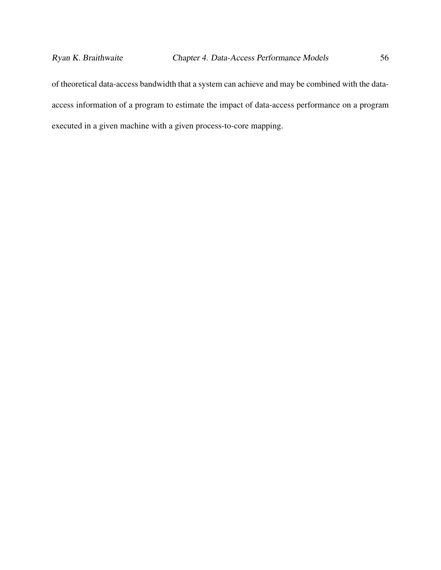of theoretical data-access bandwidth that a system can achieve and may be combined with the dataaccess information of a program to estimate the impact of data-access performance on a program executed in a given machine with a given process-to-core mapping.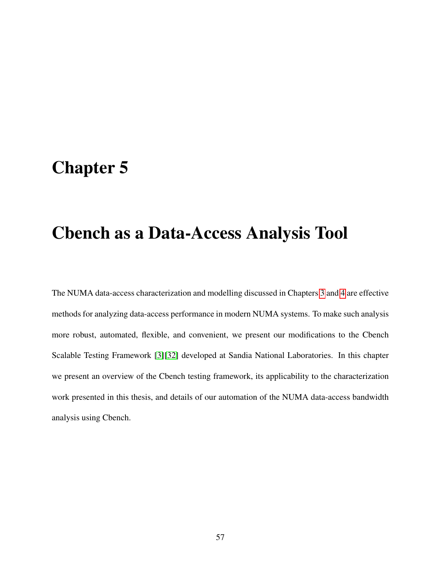## Chapter 5

## Cbench as a Data-Access Analysis Tool

The NUMA data-access characterization and modelling discussed in Chapters [3](#page-34-0) and [4](#page-51-0) are effective methods for analyzing data-access performance in modern NUMA systems. To make such analysis more robust, automated, flexible, and convenient, we present our modifications to the Cbench Scalable Testing Framework [\[3\]](#page-104-4)[\[32\]](#page-109-0) developed at Sandia National Laboratories. In this chapter we present an overview of the Cbench testing framework, its applicability to the characterization work presented in this thesis, and details of our automation of the NUMA data-access bandwidth analysis using Cbench.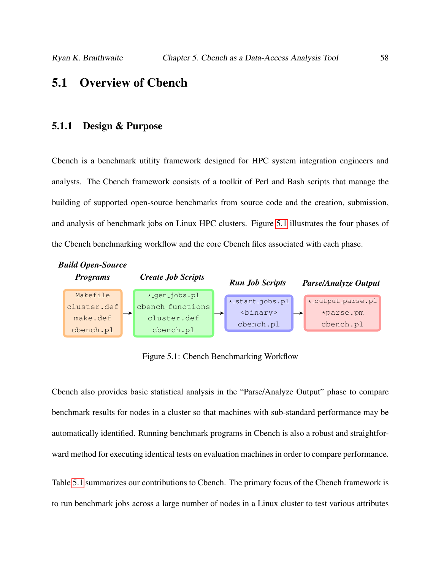## 5.1 Overview of Cbench

#### 5.1.1 Design & Purpose

Cbench is a benchmark utility framework designed for HPC system integration engineers and analysts. The Cbench framework consists of a toolkit of Perl and Bash scripts that manage the building of supported open-source benchmarks from source code and the creation, submission, and analysis of benchmark jobs on Linux HPC clusters. Figure [5.1](#page-69-0) illustrates the four phases of the Cbench benchmarking workflow and the core Cbench files associated with each phase.

<span id="page-69-0"></span>

Figure 5.1: Cbench Benchmarking Workflow

Cbench also provides basic statistical analysis in the "Parse/Analyze Output" phase to compare benchmark results for nodes in a cluster so that machines with sub-standard performance may be automatically identified. Running benchmark programs in Cbench is also a robust and straightforward method for executing identical tests on evaluation machines in order to compare performance.

Table [5.1](#page-70-0) summarizes our contributions to Cbench. The primary focus of the Cbench framework is to run benchmark jobs across a large number of nodes in a Linux cluster to test various attributes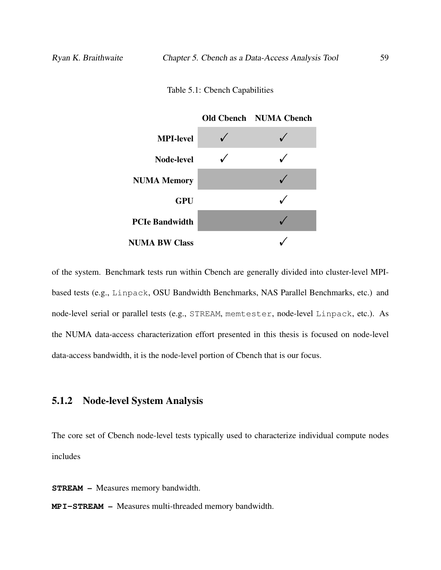Table 5.1: Cbench Capabilities

<span id="page-70-0"></span>

of the system. Benchmark tests run within Cbench are generally divided into cluster-level MPIbased tests (e.g., Linpack, OSU Bandwidth Benchmarks, NAS Parallel Benchmarks, etc.) and node-level serial or parallel tests (e.g., STREAM, memtester, node-level Linpack, etc.). As the NUMA data-access characterization effort presented in this thesis is focused on node-level data-access bandwidth, it is the node-level portion of Cbench that is our focus.

## 5.1.2 Node-level System Analysis

The core set of Cbench node-level tests typically used to characterize individual compute nodes includes

**STREAM** – Measures memory bandwidth.

**MPI-STREAM** – Measures multi-threaded memory bandwidth.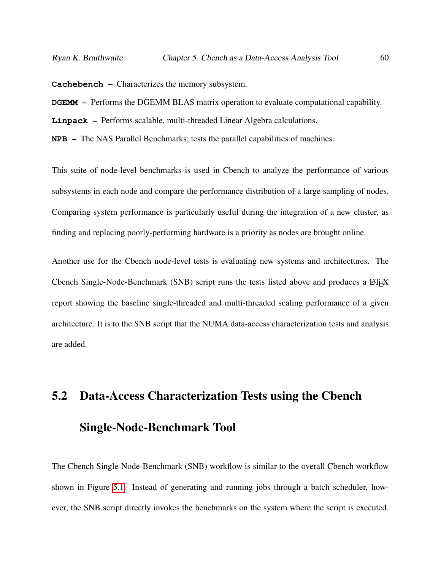**Cachebench** – Characterizes the memory subsystem.

**DGEMM** – Performs the DGEMM BLAS matrix operation to evaluate computational capability.

**Linpack** – Performs scalable, multi-threaded Linear Algebra calculations.

**NPB** – The NAS Parallel Benchmarks; tests the parallel capabilities of machines.

This suite of node-level benchmarks is used in Cbench to analyze the performance of various subsystems in each node and compare the performance distribution of a large sampling of nodes. Comparing system performance is particularly useful during the integration of a new cluster, as finding and replacing poorly-performing hardware is a priority as nodes are brought online.

Another use for the Cbench node-level tests is evaluating new systems and architectures. The Cbench Single-Node-Benchmark (SNB) script runs the tests listed above and produces a  $\Delta E$ F report showing the baseline single-threaded and multi-threaded scaling performance of a given architecture. It is to the SNB script that the NUMA data-access characterization tests and analysis are added.

# 5.2 Data-Access Characterization Tests using the Cbench Single-Node-Benchmark Tool

The Cbench Single-Node-Benchmark (SNB) workflow is similar to the overall Cbench workflow shown in Figure [5.1.](#page-69-0) Instead of generating and running jobs through a batch scheduler, however, the SNB script directly invokes the benchmarks on the system where the script is executed.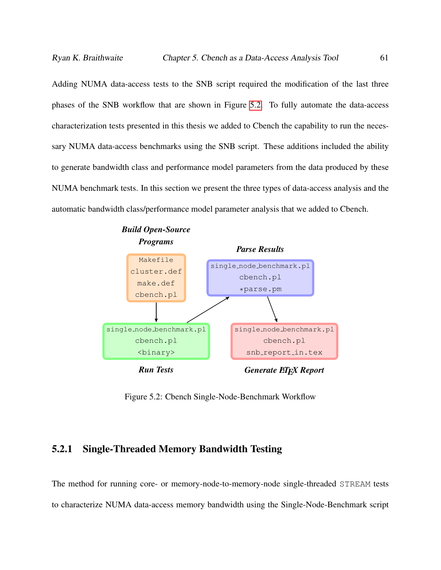Adding NUMA data-access tests to the SNB script required the modification of the last three phases of the SNB workflow that are shown in Figure [5.2.](#page-72-0) To fully automate the data-access characterization tests presented in this thesis we added to Cbench the capability to run the necessary NUMA data-access benchmarks using the SNB script. These additions included the ability to generate bandwidth class and performance model parameters from the data produced by these NUMA benchmark tests. In this section we present the three types of data-access analysis and the automatic bandwidth class/performance model parameter analysis that we added to Cbench.

<span id="page-72-0"></span>

Figure 5.2: Cbench Single-Node-Benchmark Workflow

### 5.2.1 Single-Threaded Memory Bandwidth Testing

The method for running core- or memory-node-to-memory-node single-threaded STREAM tests to characterize NUMA data-access memory bandwidth using the Single-Node-Benchmark script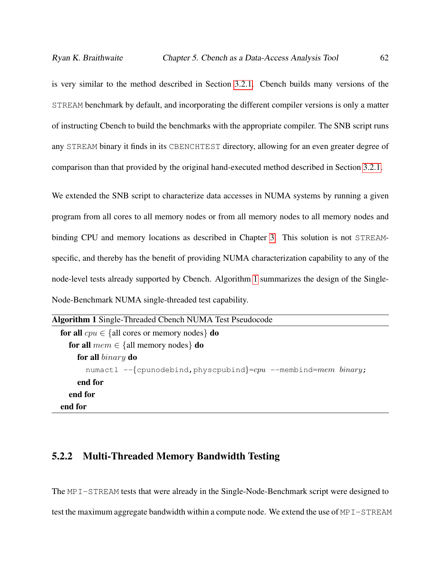is very similar to the method described in Section [3.2.1.](#page-36-0) Cbench builds many versions of the STREAM benchmark by default, and incorporating the different compiler versions is only a matter of instructing Cbench to build the benchmarks with the appropriate compiler. The SNB script runs any STREAM binary it finds in its CBENCHTEST directory, allowing for an even greater degree of comparison than that provided by the original hand-executed method described in Section [3.2.1.](#page-36-0)

We extended the SNB script to characterize data accesses in NUMA systems by running a given program from all cores to all memory nodes or from all memory nodes to all memory nodes and binding CPU and memory locations as described in Chapter [3.](#page-34-0) This solution is not STREAMspecific, and thereby has the benefit of providing NUMA characterization capability to any of the node-level tests already supported by Cbench. Algorithm [1](#page-73-0) summarizes the design of the Single-Node-Benchmark NUMA single-threaded test capability.

```
Algorithm 1 Single-Threaded Cbench NUMA Test Pseudocode
  for all cpu \in \{all cores or memory nodes\} do
    for all mem \in \{all\, memory\, nodes\} do
       for all binary do
         numactl -\{\text{cpunodebind},\text{physical}=cpu --membind=mem binary;
       end for
    end for
  end for
```
#### 5.2.2 Multi-Threaded Memory Bandwidth Testing

The MPI-STREAM tests that were already in the Single-Node-Benchmark script were designed to test the maximum aggregate bandwidth within a compute node. We extend the use of MPI-STREAM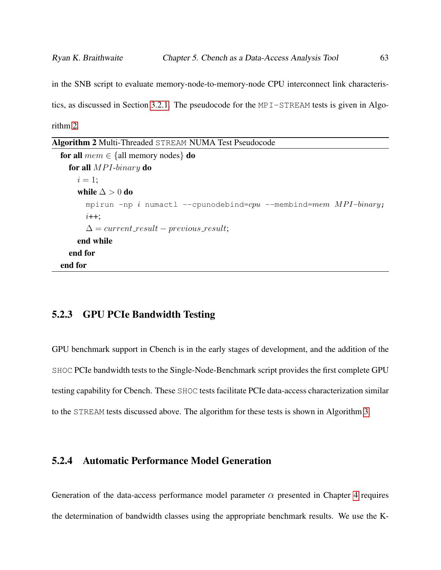in the SNB script to evaluate memory-node-to-memory-node CPU interconnect link characteristics, as discussed in Section [3.2.1.](#page-38-0) The pseudocode for the MPI-STREAM tests is given in Algorithm [2.](#page-74-0)

<span id="page-74-0"></span>

| Algorithm 2 Multi-Threaded STREAM NUMA Test Pseudocode |  |  |
|--------------------------------------------------------|--|--|
|--------------------------------------------------------|--|--|

```
for all mem \in \{all memory nodes\} do
  for all MPI\text{-}binary do
    i = 1:
    while \Delta > 0 do
      mpirun -np i numactl --cpunodebind=cpu --membind=mem MPI-binary;
      i++:
      \Delta = current\_result - previous\_result;end while
  end for
end for
```
#### 5.2.3 GPU PCIe Bandwidth Testing

GPU benchmark support in Cbench is in the early stages of development, and the addition of the SHOC PCIe bandwidth tests to the Single-Node-Benchmark script provides the first complete GPU testing capability for Cbench. These SHOC tests facilitate PCIe data-access characterization similar to the STREAM tests discussed above. The algorithm for these tests is shown in Algorithm [3.](#page-75-0)

### 5.2.4 Automatic Performance Model Generation

Generation of the data-access performance model parameter  $\alpha$  presented in Chapter [4](#page-51-0) requires the determination of bandwidth classes using the appropriate benchmark results. We use the K-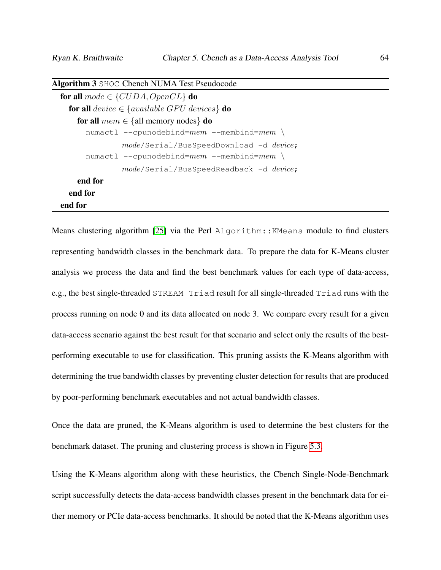| $\mathbf{H}$ of $\mathbf{H}$ and $\mathbf{H}$ of $\mathbf{H}$ and $\mathbf{H}$ are $\mathbf{H}$ and $\mathbf{H}$ are $\mathbf{H}$ and $\mathbf{H}$ |
|----------------------------------------------------------------------------------------------------------------------------------------------------|
| for all $mode \in \{CUDA, OpenCL\}$ do                                                                                                             |
| <b>for all</b> device $\in$ {available GPU devices} <b>do</b>                                                                                      |
| <b>for all</b> $mem \in \{all memory nodes\}$ <b>do</b>                                                                                            |
| numactl --cpunodebind=mem --membind=mem \                                                                                                          |
| mode/Serial/BusSpeedDownload -d device;<br>$numact1 --cpunodebind=mem --membind=mem$                                                               |
| mode/Serial/BusSpeedReadback -d device;                                                                                                            |
| end for                                                                                                                                            |
| end for                                                                                                                                            |
| end for                                                                                                                                            |

<span id="page-75-0"></span>Algorithm 3 SHOC Cbench NUMA Test Pseudocode

Means clustering algorithm [\[25\]](#page-108-0) via the Perl Algorithm:: KMeans module to find clusters representing bandwidth classes in the benchmark data. To prepare the data for K-Means cluster analysis we process the data and find the best benchmark values for each type of data-access, e.g., the best single-threaded STREAM Triad result for all single-threaded Triad runs with the process running on node 0 and its data allocated on node 3. We compare every result for a given data-access scenario against the best result for that scenario and select only the results of the bestperforming executable to use for classification. This pruning assists the K-Means algorithm with determining the true bandwidth classes by preventing cluster detection for results that are produced by poor-performing benchmark executables and not actual bandwidth classes.

Once the data are pruned, the K-Means algorithm is used to determine the best clusters for the benchmark dataset. The pruning and clustering process is shown in Figure [5.3.](#page-76-0)

Using the K-Means algorithm along with these heuristics, the Cbench Single-Node-Benchmark script successfully detects the data-access bandwidth classes present in the benchmark data for either memory or PCIe data-access benchmarks. It should be noted that the K-Means algorithm uses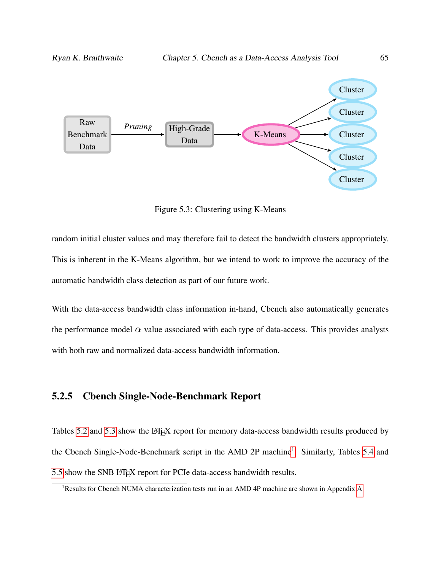<span id="page-76-0"></span>

Figure 5.3: Clustering using K-Means

random initial cluster values and may therefore fail to detect the bandwidth clusters appropriately. This is inherent in the K-Means algorithm, but we intend to work to improve the accuracy of the automatic bandwidth class detection as part of our future work.

With the data-access bandwidth class information in-hand, Cbench also automatically generates the performance model  $\alpha$  value associated with each type of data-access. This provides analysts with both raw and normalized data-access bandwidth information.

#### 5.2.5 Cbench Single-Node-Benchmark Report

Tables [5.2](#page-77-0) and [5.3](#page-77-0) show the LATEX report for memory data-access bandwidth results produced by the Cbench Single-Node-Benchmark script in the AMD 2P machine<sup>[1](#page-76-1)</sup>. Similarly, Tables [5.4](#page-78-0) and [5.5](#page-78-0) show the SNB LATEX report for PCIe data-access bandwidth results.

<span id="page-76-1"></span><sup>1</sup>Results for Cbench NUMA characterization tests run in an AMD 4P machine are shown in Appendix [A](#page-98-0)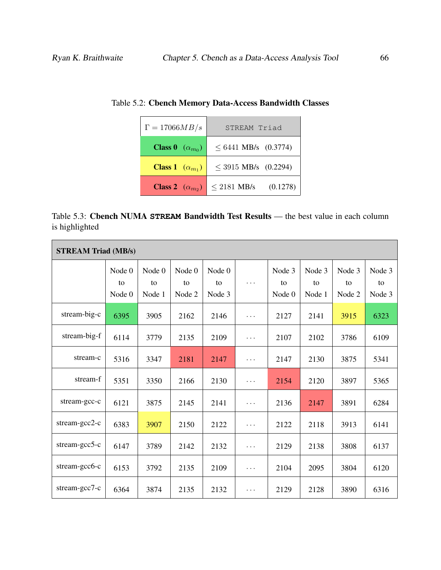| $\Gamma = 17066MB/s$            | STREAM Triad                 |  |  |  |  |
|---------------------------------|------------------------------|--|--|--|--|
| <b>Class 0</b> $(\alpha_{m_0})$ | $\leq 6441$ MB/s (0.3774)    |  |  |  |  |
| <b>Class 1</b> $(\alpha_{m_1})$ | $\leq$ 3915 MB/s (0.2294)    |  |  |  |  |
| <b>Class 2</b> $(\alpha_{m_2})$ | (0.1278)<br>$\leq$ 2181 MB/s |  |  |  |  |

<span id="page-77-0"></span>

| Table 5.3: Cbench NUMA STREAM Bandwidth Test Results — the best value in each column |  |  |  |  |  |
|--------------------------------------------------------------------------------------|--|--|--|--|--|
| is highlighted                                                                       |  |  |  |  |  |

| <b>STREAM Triad (MB/s)</b> |                        |                        |                        |                        |          |                        |                        |                        |                        |
|----------------------------|------------------------|------------------------|------------------------|------------------------|----------|------------------------|------------------------|------------------------|------------------------|
|                            | Node 0<br>to<br>Node 0 | Node 0<br>to<br>Node 1 | Node 0<br>to<br>Node 2 | Node 0<br>to<br>Node 3 | $\cdots$ | Node 3<br>to<br>Node 0 | Node 3<br>to<br>Node 1 | Node 3<br>to<br>Node 2 | Node 3<br>to<br>Node 3 |
| stream-big-c               | 6395                   | 3905                   | 2162                   | 2146                   | $\cdots$ | 2127                   | 2141                   | 3915                   | 6323                   |
| stream-big-f               | 6114                   | 3779                   | 2135                   | 2109                   | .        | 2107                   | 2102                   | 3786                   | 6109                   |
| stream-c                   | 5316                   | 3347                   | 2181                   | 2147                   | .        | 2147                   | 2130                   | 3875                   | 5341                   |
| stream-f                   | 5351                   | 3350                   | 2166                   | 2130                   | .        | 2154                   | 2120                   | 3897                   | 5365                   |
| stream-gcc-c               | 6121                   | 3875                   | 2145                   | 2141                   | $\cdots$ | 2136                   | 2147                   | 3891                   | 6284                   |
| stream-gcc2- $c$           | 6383                   | 3907                   | 2150                   | 2122                   | $\cdots$ | 2122                   | 2118                   | 3913                   | 6141                   |
| $stream-gcc5-c$            | 6147                   | 3789                   | 2142                   | 2132                   | $\cdots$ | 2129                   | 2138                   | 3808                   | 6137                   |
| stream-gcc6-c              | 6153                   | 3792                   | 2135                   | 2109                   | $\cdots$ | 2104                   | 2095                   | 3804                   | 6120                   |
| stream-gcc7-c              | 6364                   | 3874                   | 2135                   | 2132                   | $\cdots$ | 2129                   | 2128                   | 3890                   | 6316                   |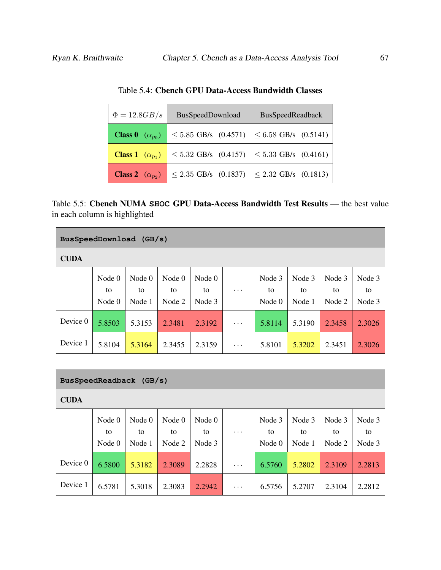<span id="page-78-0"></span>

| $\Phi = 12.8GB/s$<br>BusSpeedDownload |                           | BusSpeedReadback          |  |  |  |
|---------------------------------------|---------------------------|---------------------------|--|--|--|
| <b>Class 0</b> $(\alpha_{p_0})$       | $\leq 5.85$ GB/s (0.4571) | $\leq$ 6.58 GB/s (0.5141) |  |  |  |
| <b>Class 1</b> $(\alpha_{p_1})$       | $\leq 5.32$ GB/s (0.4157) | $\leq$ 5.33 GB/s (0.4161) |  |  |  |
| <b>Class 2</b> $(\alpha_{p_2})$       | $\leq$ 2.35 GB/s (0.1837) | $\leq$ 2.32 GB/s (0.1813) |  |  |  |

Table 5.4: Cbench GPU Data-Access Bandwidth Classes

| Table 5.5: Cbench NUMA SHOC GPU Data-Access Bandwidth Test Results — the best value |  |  |
|-------------------------------------------------------------------------------------|--|--|
| in each column is highlighted                                                       |  |  |

| BusSpeedDownload (GB/s) |                            |                          |                          |                          |           |                          |                        |                        |                        |
|-------------------------|----------------------------|--------------------------|--------------------------|--------------------------|-----------|--------------------------|------------------------|------------------------|------------------------|
| <b>CUDA</b>             |                            |                          |                          |                          |           |                          |                        |                        |                        |
|                         | Node $0$<br>to<br>Node $0$ | Node $0$<br>to<br>Node 1 | Node $0$<br>to<br>Node 2 | Node $0$<br>to<br>Node 3 | $\cdot$ . | Node 3<br>to<br>Node $0$ | Node 3<br>to<br>Node 1 | Node 3<br>to<br>Node 2 | Node 3<br>to<br>Node 3 |
| Device 0                | 5.8503                     | 5.3153                   | 2.3481                   | 2.3192                   | $\cdots$  | 5.8114                   | 5.3190                 | 2.3458                 | 2.3026                 |
| Device 1                | 5.8104                     | 5.3164                   | 2.3455                   | 2.3159                   | $\cdots$  | 5.8101                   | 5.3202                 | 2.3451                 | 2.3026                 |

| BusSpeedReadback (GB/s) |                            |                          |                          |                        |          |                          |                        |                        |                        |
|-------------------------|----------------------------|--------------------------|--------------------------|------------------------|----------|--------------------------|------------------------|------------------------|------------------------|
| <b>CUDA</b>             |                            |                          |                          |                        |          |                          |                        |                        |                        |
|                         | Node $0$<br>to<br>Node $0$ | Node $0$<br>to<br>Node 1 | Node $0$<br>to<br>Node 2 | Node 0<br>to<br>Node 3 | .        | Node 3<br>to<br>Node $0$ | Node 3<br>to<br>Node 1 | Node 3<br>to<br>Node 2 | Node 3<br>to<br>Node 3 |
| Device 0                | 6.5800                     | 5.3182                   | 2.3089                   | 2.2828                 | $\cdots$ | 6.5760                   | 5.2802                 | 2.3109                 | 2.2813                 |
| Device 1                | 6.5781                     | 5.3018                   | 2.3083                   | 2.2942                 | $\cdots$ | 6.5756                   | 5.2707                 | 2.3104                 | 2.2812                 |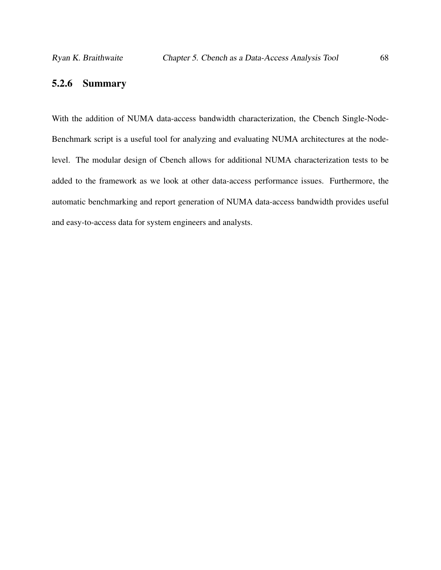### 5.2.6 Summary

With the addition of NUMA data-access bandwidth characterization, the Cbench Single-Node-Benchmark script is a useful tool for analyzing and evaluating NUMA architectures at the nodelevel. The modular design of Cbench allows for additional NUMA characterization tests to be added to the framework as we look at other data-access performance issues. Furthermore, the automatic benchmarking and report generation of NUMA data-access bandwidth provides useful and easy-to-access data for system engineers and analysts.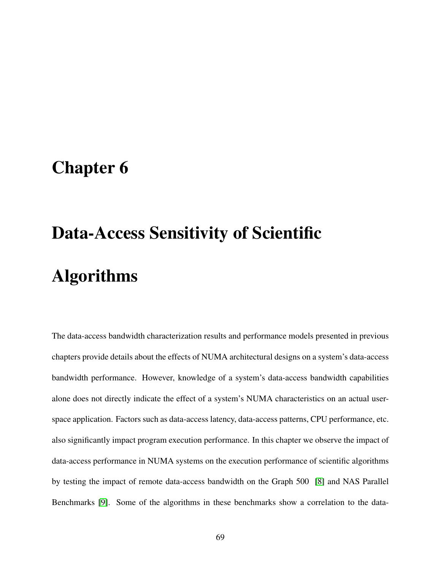# <span id="page-80-0"></span>Chapter 6

# Data-Access Sensitivity of Scientific Algorithms

The data-access bandwidth characterization results and performance models presented in previous chapters provide details about the effects of NUMA architectural designs on a system's data-access bandwidth performance. However, knowledge of a system's data-access bandwidth capabilities alone does not directly indicate the effect of a system's NUMA characteristics on an actual userspace application. Factors such as data-access latency, data-access patterns, CPU performance, etc. also significantly impact program execution performance. In this chapter we observe the impact of data-access performance in NUMA systems on the execution performance of scientific algorithms by testing the impact of remote data-access bandwidth on the Graph 500 [\[8\]](#page-105-0) and NAS Parallel Benchmarks [\[9\]](#page-105-1). Some of the algorithms in these benchmarks show a correlation to the data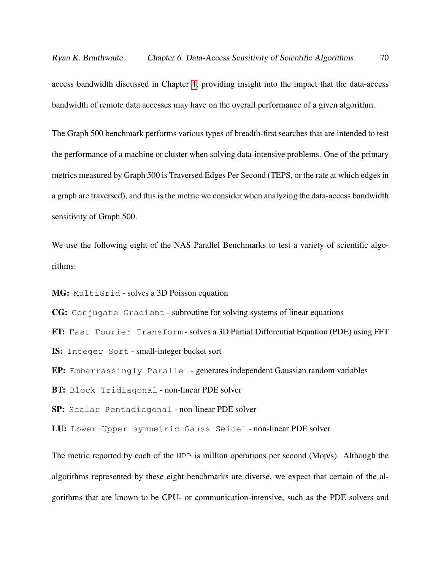access bandwidth discussed in Chapter [4,](#page-51-0) providing insight into the impact that the data-access bandwidth of remote data accesses may have on the overall performance of a given algorithm.

The Graph 500 benchmark performs various types of breadth-first searches that are intended to test the performance of a machine or cluster when solving data-intensive problems. One of the primary metrics measured by Graph 500 is Traversed Edges Per Second (TEPS, or the rate at which edges in a graph are traversed), and this is the metric we consider when analyzing the data-access bandwidth sensitivity of Graph 500.

We use the following eight of the NAS Parallel Benchmarks to test a variety of scientific algorithms:

MG: MultiGrid - solves a 3D Poisson equation

CG: Conjugate Gradient - subroutine for solving systems of linear equations

FT: Fast Fourier Transform - solves a 3D Partial Differential Equation (PDE) using FFT

IS: Integer Sort - small-integer bucket sort

EP: Embarrassingly Parallel - generates independent Gaussian random variables

BT: Block Tridiagonal - non-linear PDE solver

SP: Scalar Pentadiagonal - non-linear PDE solver

LU: Lower-Upper symmetric Gauss-Seidel - non-linear PDE solver

The metric reported by each of the NPB is million operations per second (Mop/s). Although the algorithms represented by these eight benchmarks are diverse, we expect that certain of the algorithms that are known to be CPU- or communication-intensive, such as the PDE solvers and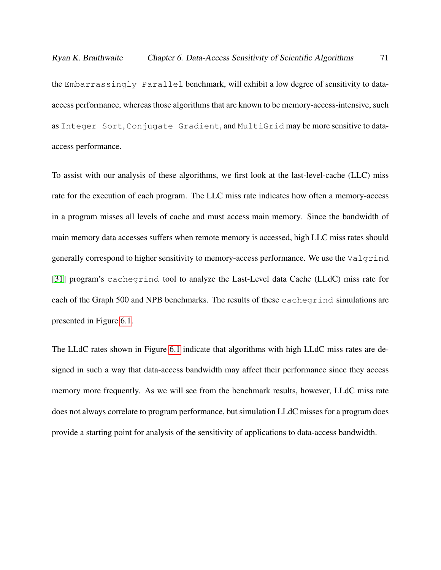the Embarrassingly Parallel benchmark, will exhibit a low degree of sensitivity to dataaccess performance, whereas those algorithms that are known to be memory-access-intensive, such as Integer Sort, Conjugate Gradient, and MultiGrid may be more sensitive to dataaccess performance.

To assist with our analysis of these algorithms, we first look at the last-level-cache (LLC) miss rate for the execution of each program. The LLC miss rate indicates how often a memory-access in a program misses all levels of cache and must access main memory. Since the bandwidth of main memory data accesses suffers when remote memory is accessed, high LLC miss rates should generally correspond to higher sensitivity to memory-access performance. We use the Valgrind [\[31\]](#page-109-0) program's cachegrind tool to analyze the Last-Level data Cache (LLdC) miss rate for each of the Graph 500 and NPB benchmarks. The results of these cachegrind simulations are presented in Figure [6.1.](#page-83-0)

The LLdC rates shown in Figure [6.1](#page-83-0) indicate that algorithms with high LLdC miss rates are designed in such a way that data-access bandwidth may affect their performance since they access memory more frequently. As we will see from the benchmark results, however, LLdC miss rate does not always correlate to program performance, but simulation LLdC misses for a program does provide a starting point for analysis of the sensitivity of applications to data-access bandwidth.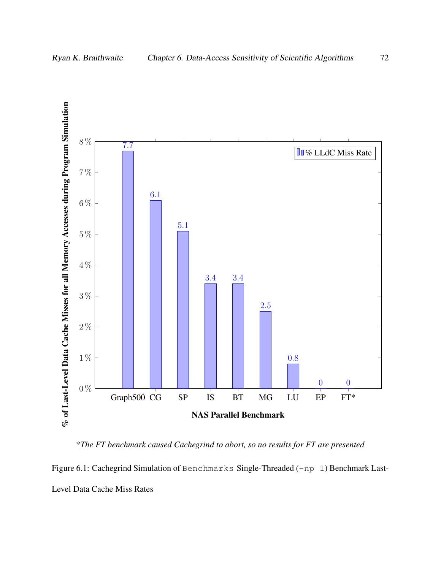<span id="page-83-0"></span>

\**The FT benchmark caused Cachegrind to abort, so no results for FT are presented*

Figure 6.1: Cachegrind Simulation of Benchmarks Single-Threaded (-np 1) Benchmark Last-Level Data Cache Miss Rates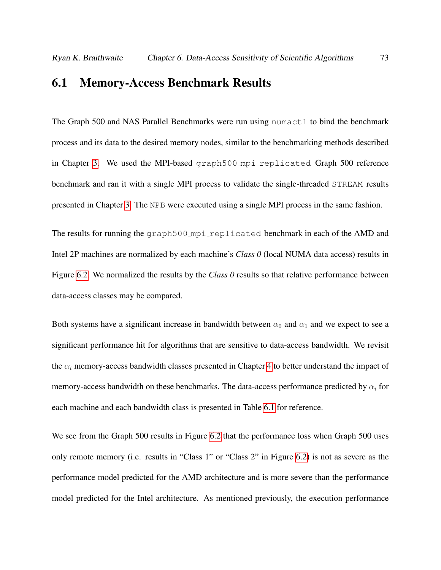### 6.1 Memory-Access Benchmark Results

The Graph 500 and NAS Parallel Benchmarks were run using numact  $1$  to bind the benchmark process and its data to the desired memory nodes, similar to the benchmarking methods described in Chapter [3.](#page-34-0) We used the MPI-based graph500 mpi replicated Graph 500 reference benchmark and ran it with a single MPI process to validate the single-threaded STREAM results presented in Chapter [3.](#page-34-0) The NPB were executed using a single MPI process in the same fashion.

The results for running the graph500\_mpi\_replicated benchmark in each of the AMD and Intel 2P machines are normalized by each machine's *Class 0* (local NUMA data access) results in Figure [6.2.](#page-86-0) We normalized the results by the *Class 0* results so that relative performance between data-access classes may be compared.

Both systems have a significant increase in bandwidth between  $\alpha_0$  and  $\alpha_1$  and we expect to see a significant performance hit for algorithms that are sensitive to data-access bandwidth. We revisit the  $\alpha_i$  memory-access bandwidth classes presented in Chapter [4](#page-51-0) to better understand the impact of memory-access bandwidth on these benchmarks. The data-access performance predicted by  $\alpha_i$  for each machine and each bandwidth class is presented in Table [6.1](#page-85-0) for reference.

We see from the Graph 500 results in Figure [6.2](#page-86-0) that the performance loss when Graph 500 uses only remote memory (i.e. results in "Class 1" or "Class 2" in Figure [6.2\)](#page-86-0) is not as severe as the performance model predicted for the AMD architecture and is more severe than the performance model predicted for the Intel architecture. As mentioned previously, the execution performance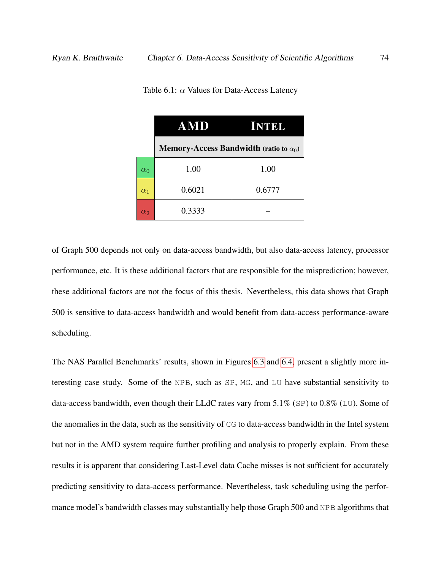|            | AMD                                                             | <b>KITTE</b> |
|------------|-----------------------------------------------------------------|--------------|
|            | <b>Memory-Access Bandwidth (ratio to <math>\alpha_0</math>)</b> |              |
| $\alpha_0$ | 1.00                                                            | 1.00         |
| $\alpha_1$ | 0.6021                                                          | 0.6777       |
| $\alpha_2$ | 0.3333                                                          |              |

<span id="page-85-0"></span>Table 6.1:  $\alpha$  Values for Data-Access Latency

of Graph 500 depends not only on data-access bandwidth, but also data-access latency, processor performance, etc. It is these additional factors that are responsible for the misprediction; however, these additional factors are not the focus of this thesis. Nevertheless, this data shows that Graph 500 is sensitive to data-access bandwidth and would benefit from data-access performance-aware scheduling.

The NAS Parallel Benchmarks' results, shown in Figures [6.3](#page-87-0) and [6.4,](#page-88-0) present a slightly more interesting case study. Some of the NPB, such as SP, MG, and LU have substantial sensitivity to data-access bandwidth, even though their LLdC rates vary from 5.1% (SP) to 0.8% (LU). Some of the anomalies in the data, such as the sensitivity of CG to data-access bandwidth in the Intel system but not in the AMD system require further profiling and analysis to properly explain. From these results it is apparent that considering Last-Level data Cache misses is not sufficient for accurately predicting sensitivity to data-access performance. Nevertheless, task scheduling using the performance model's bandwidth classes may substantially help those Graph 500 and NPB algorithms that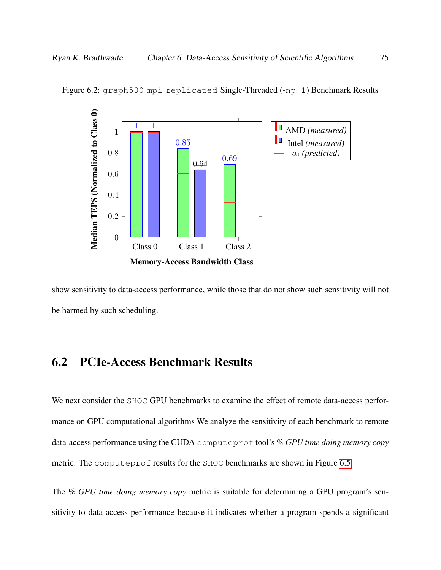

Figure 6.2: graph500\_mpi\_replicated Single-Threaded (-np 1) Benchmark Results

<span id="page-86-0"></span>show sensitivity to data-access performance, while those that do not show such sensitivity will not be harmed by such scheduling.

# 6.2 PCIe-Access Benchmark Results

We next consider the SHOC GPU benchmarks to examine the effect of remote data-access performance on GPU computational algorithms We analyze the sensitivity of each benchmark to remote data-access performance using the CUDA computeprof tool's *% GPU time doing memory copy* metric. The computeprof results for the SHOC benchmarks are shown in Figure [6.5.](#page-89-0)

The *% GPU time doing memory copy* metric is suitable for determining a GPU program's sensitivity to data-access performance because it indicates whether a program spends a significant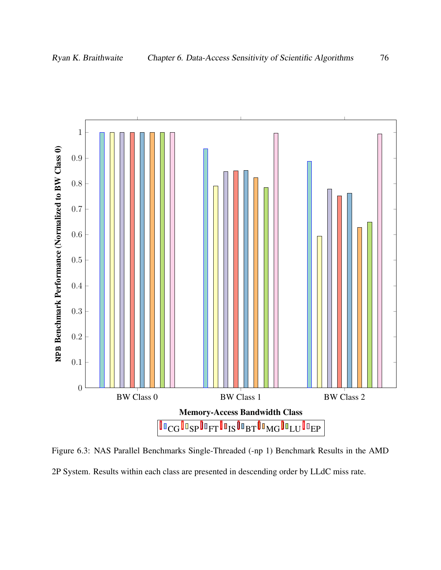<span id="page-87-0"></span>

Figure 6.3: NAS Parallel Benchmarks Single-Threaded (-np 1) Benchmark Results in the AMD 2P System. Results within each class are presented in descending order by LLdC miss rate.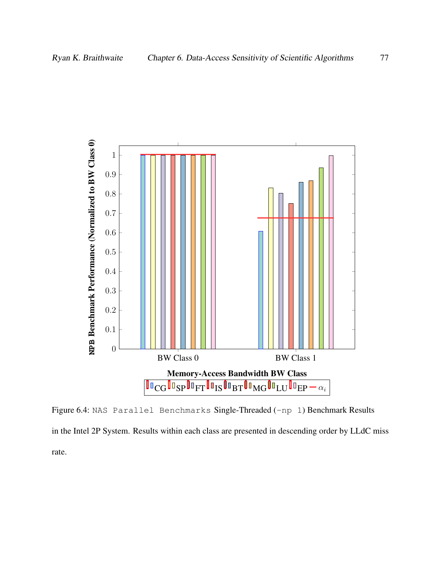<span id="page-88-0"></span>

Figure 6.4: NAS Parallel Benchmarks Single-Threaded (-np 1) Benchmark Results in the Intel 2P System. Results within each class are presented in descending order by LLdC miss rate.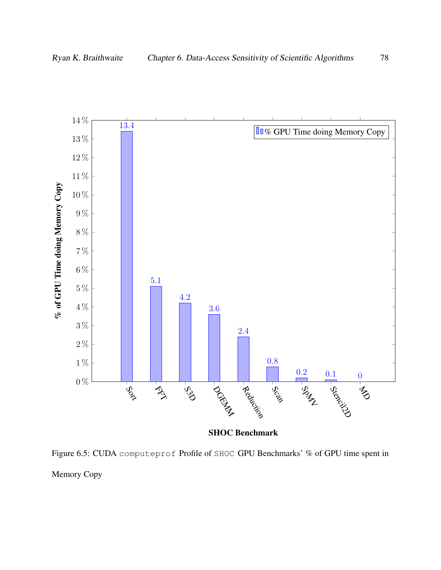<span id="page-89-0"></span>

SHOC Benchmark

Figure 6.5: CUDA computeprof Profile of SHOC GPU Benchmarks' % of GPU time spent in Memory Copy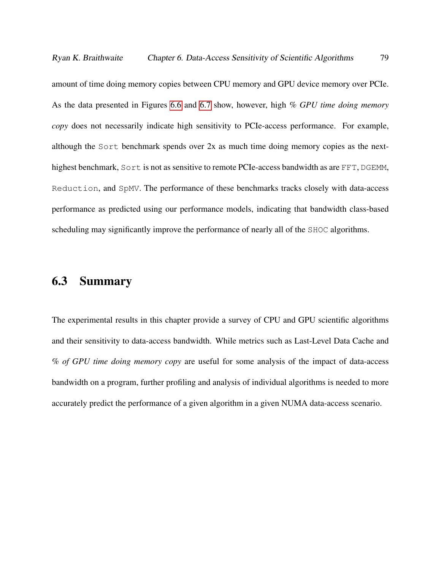amount of time doing memory copies between CPU memory and GPU device memory over PCIe. As the data presented in Figures [6.6](#page-91-0) and [6.7](#page-92-0) show, however, high *% GPU time doing memory copy* does not necessarily indicate high sensitivity to PCIe-access performance. For example, although the Sort benchmark spends over 2x as much time doing memory copies as the nexthighest benchmark, Sort is not as sensitive to remote PCIe-access bandwidth as are FFT, DGEMM, Reduction, and SpMV. The performance of these benchmarks tracks closely with data-access performance as predicted using our performance models, indicating that bandwidth class-based scheduling may significantly improve the performance of nearly all of the SHOC algorithms.

# 6.3 Summary

The experimental results in this chapter provide a survey of CPU and GPU scientific algorithms and their sensitivity to data-access bandwidth. While metrics such as Last-Level Data Cache and *% of GPU time doing memory copy* are useful for some analysis of the impact of data-access bandwidth on a program, further profiling and analysis of individual algorithms is needed to more accurately predict the performance of a given algorithm in a given NUMA data-access scenario.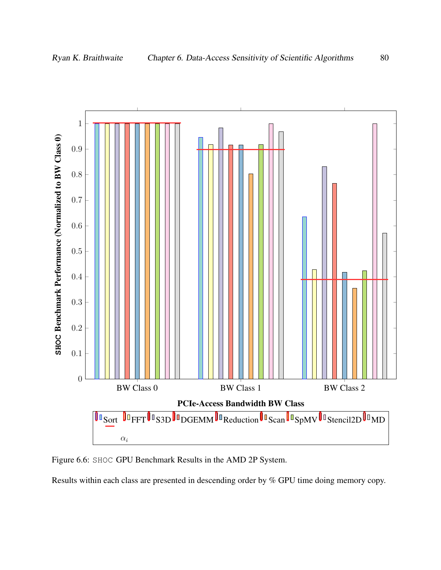

<span id="page-91-0"></span>

Figure 6.6: SHOC GPU Benchmark Results in the AMD 2P System.

Results within each class are presented in descending order by % GPU time doing memory copy.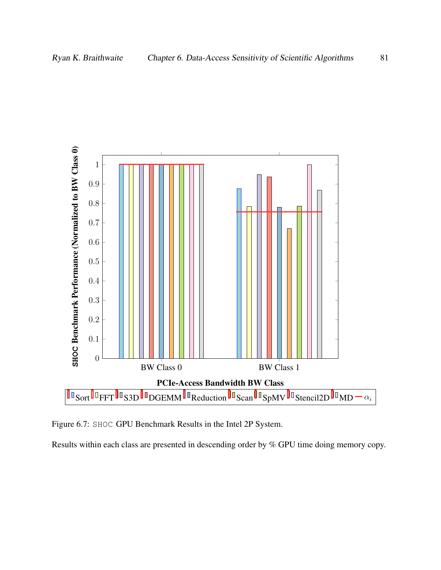<span id="page-92-0"></span>

Figure 6.7: SHOC GPU Benchmark Results in the Intel 2P System.

Results within each class are presented in descending order by % GPU time doing memory copy.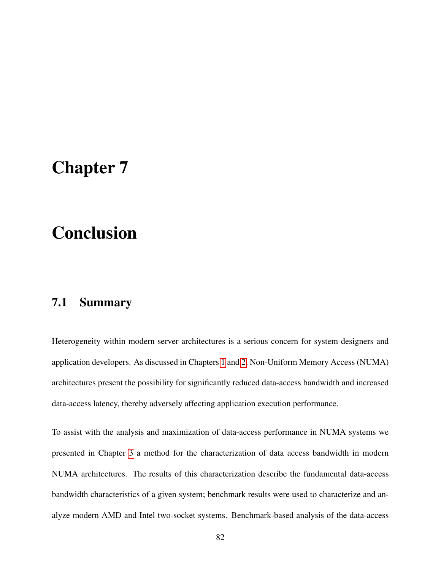# Chapter 7

# Conclusion

# 7.1 Summary

Heterogeneity within modern server architectures is a serious concern for system designers and application developers. As discussed in Chapters [1](#page-12-0) and [2,](#page-24-0) Non-Uniform Memory Access (NUMA) architectures present the possibility for significantly reduced data-access bandwidth and increased data-access latency, thereby adversely affecting application execution performance.

To assist with the analysis and maximization of data-access performance in NUMA systems we presented in Chapter [3](#page-34-0) a method for the characterization of data access bandwidth in modern NUMA architectures. The results of this characterization describe the fundamental data-access bandwidth characteristics of a given system; benchmark results were used to characterize and analyze modern AMD and Intel two-socket systems. Benchmark-based analysis of the data-access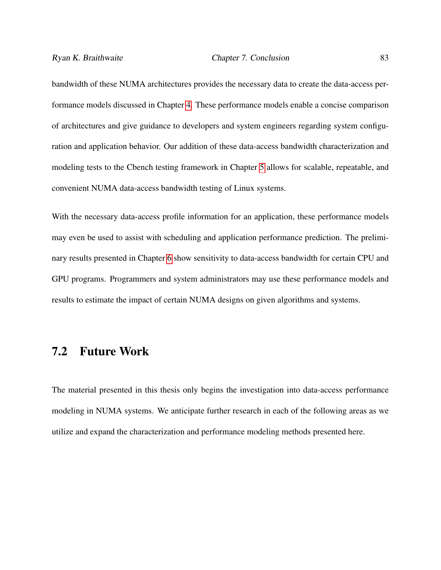bandwidth of these NUMA architectures provides the necessary data to create the data-access performance models discussed in Chapter [4.](#page-51-0) These performance models enable a concise comparison of architectures and give guidance to developers and system engineers regarding system configuration and application behavior. Our addition of these data-access bandwidth characterization and modeling tests to the Cbench testing framework in Chapter [5](#page-68-0) allows for scalable, repeatable, and convenient NUMA data-access bandwidth testing of Linux systems.

With the necessary data-access profile information for an application, these performance models may even be used to assist with scheduling and application performance prediction. The preliminary results presented in Chapter [6](#page-80-0) show sensitivity to data-access bandwidth for certain CPU and GPU programs. Programmers and system administrators may use these performance models and results to estimate the impact of certain NUMA designs on given algorithms and systems.

### 7.2 Future Work

The material presented in this thesis only begins the investigation into data-access performance modeling in NUMA systems. We anticipate further research in each of the following areas as we utilize and expand the characterization and performance modeling methods presented here.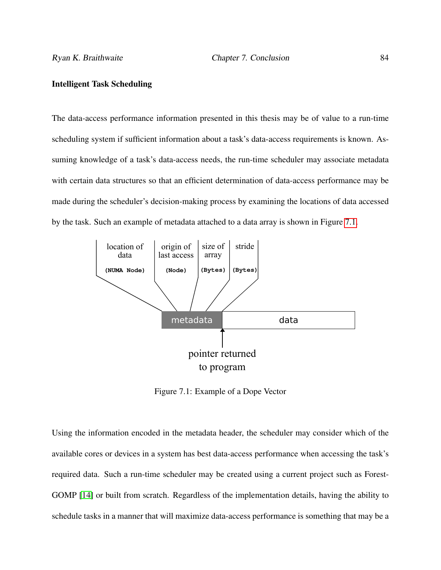#### Intelligent Task Scheduling

The data-access performance information presented in this thesis may be of value to a run-time scheduling system if sufficient information about a task's data-access requirements is known. Assuming knowledge of a task's data-access needs, the run-time scheduler may associate metadata with certain data structures so that an efficient determination of data-access performance may be made during the scheduler's decision-making process by examining the locations of data accessed by the task. Such an example of metadata attached to a data array is shown in Figure [7.1.](#page-95-0)

<span id="page-95-0"></span>

Figure 7.1: Example of a Dope Vector

Using the information encoded in the metadata header, the scheduler may consider which of the available cores or devices in a system has best data-access performance when accessing the task's required data. Such a run-time scheduler may be created using a current project such as Forest-GOMP [\[14\]](#page-106-0) or built from scratch. Regardless of the implementation details, having the ability to schedule tasks in a manner that will maximize data-access performance is something that may be a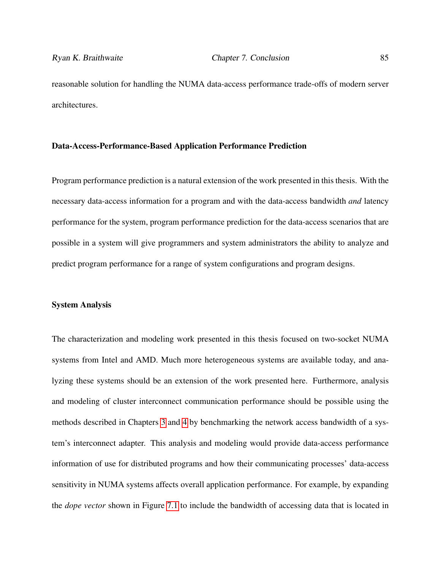reasonable solution for handling the NUMA data-access performance trade-offs of modern server architectures.

#### Data-Access-Performance-Based Application Performance Prediction

Program performance prediction is a natural extension of the work presented in this thesis. With the necessary data-access information for a program and with the data-access bandwidth *and* latency performance for the system, program performance prediction for the data-access scenarios that are possible in a system will give programmers and system administrators the ability to analyze and predict program performance for a range of system configurations and program designs.

#### System Analysis

The characterization and modeling work presented in this thesis focused on two-socket NUMA systems from Intel and AMD. Much more heterogeneous systems are available today, and analyzing these systems should be an extension of the work presented here. Furthermore, analysis and modeling of cluster interconnect communication performance should be possible using the methods described in Chapters [3](#page-34-0) and [4](#page-51-0) by benchmarking the network access bandwidth of a system's interconnect adapter. This analysis and modeling would provide data-access performance information of use for distributed programs and how their communicating processes' data-access sensitivity in NUMA systems affects overall application performance. For example, by expanding the *dope vector* shown in Figure [7.1](#page-95-0) to include the bandwidth of accessing data that is located in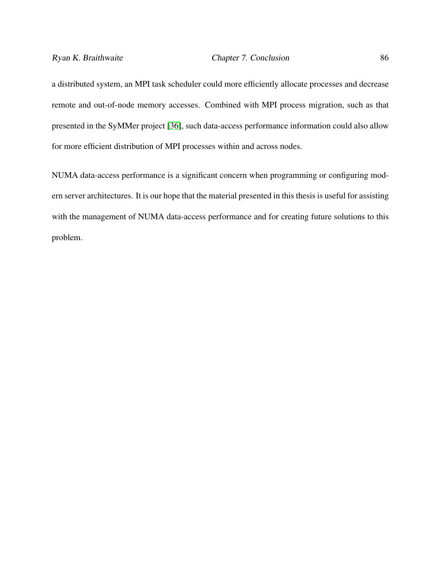a distributed system, an MPI task scheduler could more efficiently allocate processes and decrease remote and out-of-node memory accesses. Combined with MPI process migration, such as that presented in the SyMMer project [\[36\]](#page-109-1), such data-access performance information could also allow for more efficient distribution of MPI processes within and across nodes.

NUMA data-access performance is a significant concern when programming or configuring modern server architectures. It is our hope that the material presented in this thesis is useful for assisting with the management of NUMA data-access performance and for creating future solutions to this problem.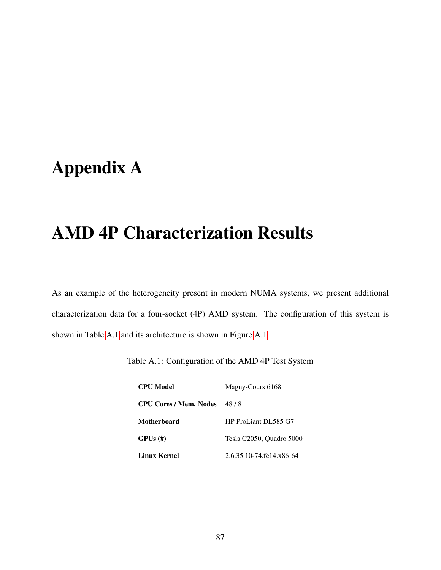# <span id="page-98-0"></span>Appendix A

# AMD 4P Characterization Results

<span id="page-98-1"></span>As an example of the heterogeneity present in modern NUMA systems, we present additional characterization data for a four-socket (4P) AMD system. The configuration of this system is shown in Table [A.1](#page-98-1) and its architecture is shown in Figure [A.1.](#page-99-0)

| Table A.1: Configuration of the AMD 4P Test System |  |  |
|----------------------------------------------------|--|--|
|----------------------------------------------------|--|--|

| <b>CPU</b> Model              | Magny-Cours 6168         |
|-------------------------------|--------------------------|
| <b>CPU Cores / Mem. Nodes</b> | 48/8                     |
| Motherboard                   | HP ProLiant DL585 G7     |
| $GPUs$ (#)                    | Tesla C2050, Quadro 5000 |
| <b>Linux Kernel</b>           | 2.6.35.10-74.fc14.x86_64 |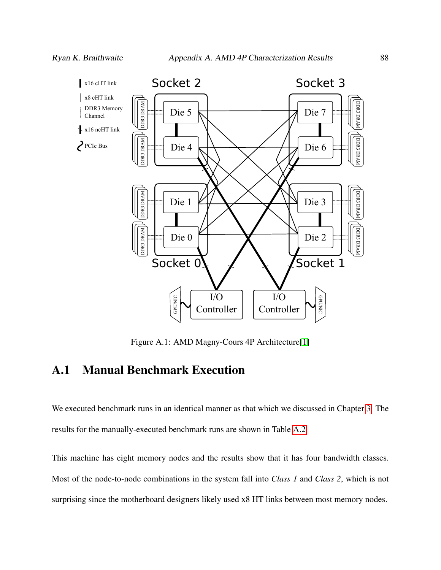<span id="page-99-0"></span>

Figure A.1: AMD Magny-Cours 4P Architecture[\[1\]](#page-104-0)

# A.1 Manual Benchmark Execution

We executed benchmark runs in an identical manner as that which we discussed in Chapter [3.](#page-34-0) The results for the manually-executed benchmark runs are shown in Table [A.2.](#page-100-0)

This machine has eight memory nodes and the results show that it has four bandwidth classes. Most of the node-to-node combinations in the system fall into *Class 1* and *Class 2*, which is not surprising since the motherboard designers likely used x8 HT links between most memory nodes.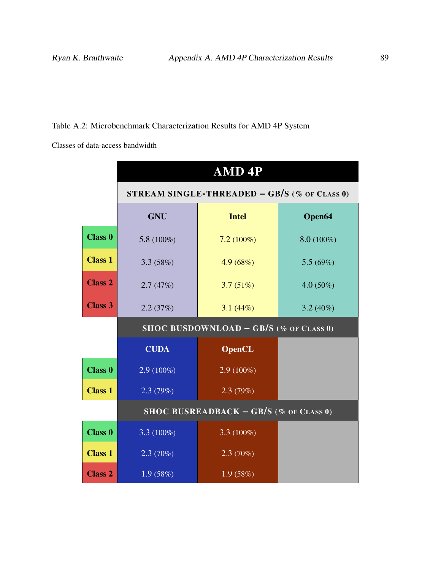### <span id="page-100-0"></span>Table A.2: Microbenchmark Characterization Results for AMD 4P System

Classes of data-access bandwidth

|                | AMD <sub>4P</sub>                      |                                              |              |  |  |  |  |  |  |
|----------------|----------------------------------------|----------------------------------------------|--------------|--|--|--|--|--|--|
|                |                                        | STREAM SINGLE-THREADED - GB/S (% OF CLASS 0) |              |  |  |  |  |  |  |
|                | <b>GNU</b>                             | <b>Intel</b>                                 | Open64       |  |  |  |  |  |  |
| <b>Class 0</b> | 5.8 $(100\%)$                          | $7.2(100\%)$                                 | $8.0(100\%)$ |  |  |  |  |  |  |
| <b>Class 1</b> | 3.3(58%)                               | 4.9(68%)                                     | 5.5 $(69\%)$ |  |  |  |  |  |  |
| <b>Class 2</b> | 2.7(47%)                               | 3.7(51%)                                     | $4.0(50\%)$  |  |  |  |  |  |  |
| <b>Class 3</b> | 2.2(37%)                               | 3.1(44%)                                     | $3.2(40\%)$  |  |  |  |  |  |  |
|                | SHOC BUSDOWNLOAD - GB/S (% OF CLASS 0) |                                              |              |  |  |  |  |  |  |
|                | <b>CUDA</b>                            |                                              |              |  |  |  |  |  |  |
| <b>Class 0</b> | $2.9(100\%)$                           | $2.9(100\%)$                                 |              |  |  |  |  |  |  |
| <b>Class 1</b> | 2.3(79%)                               | 2.3(79%)                                     |              |  |  |  |  |  |  |
|                |                                        | SHOC BUSREADBACK $-$ GB/S (% of CLASS 0)     |              |  |  |  |  |  |  |
| <b>Class 0</b> | 3.3 $(100\%)$                          | 3.3 $(100\%)$                                |              |  |  |  |  |  |  |
| <b>Class 1</b> | $2.3(70\%)$                            | 2.3(70%)                                     |              |  |  |  |  |  |  |
| <b>Class 2</b> | 1.9(58%)                               | 1.9(58%)                                     |              |  |  |  |  |  |  |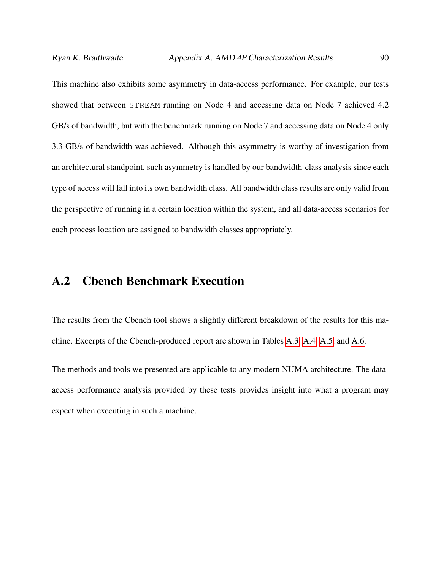This machine also exhibits some asymmetry in data-access performance. For example, our tests showed that between STREAM running on Node 4 and accessing data on Node 7 achieved 4.2 GB/s of bandwidth, but with the benchmark running on Node 7 and accessing data on Node 4 only 3.3 GB/s of bandwidth was achieved. Although this asymmetry is worthy of investigation from an architectural standpoint, such asymmetry is handled by our bandwidth-class analysis since each type of access will fall into its own bandwidth class. All bandwidth class results are only valid from the perspective of running in a certain location within the system, and all data-access scenarios for each process location are assigned to bandwidth classes appropriately.

# A.2 Cbench Benchmark Execution

The results from the Cbench tool shows a slightly different breakdown of the results for this machine. Excerpts of the Cbench-produced report are shown in Tables [A.3, A.4,](#page-102-0) [A.5,](#page-103-0) and [A.6.](#page-103-0)

The methods and tools we presented are applicable to any modern NUMA architecture. The dataaccess performance analysis provided by these tests provides insight into what a program may expect when executing in such a machine.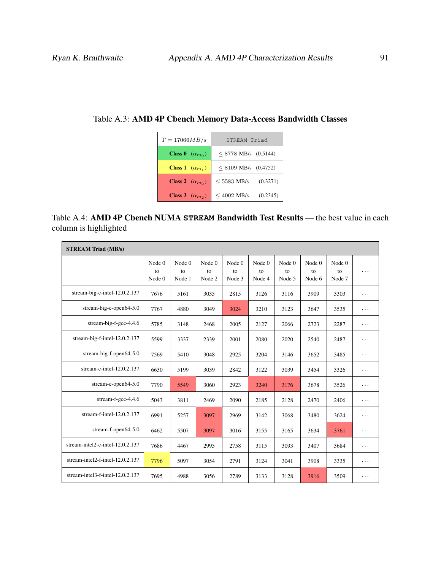| $\Gamma = 17066MB/s$            | STREAM Triad              |
|---------------------------------|---------------------------|
| <b>Class 0</b> $(\alpha_{m_0})$ | $<$ 8778 MB/s (0.5144)    |
| <b>Class 1</b> $(\alpha_{m_1})$ | $< 8109$ MB/s (0.4752)    |
| <b>Class 2</b> $(\alpha_{m_2})$ | (0.3271)<br>$<$ 5583 MB/s |
| Class 3 $(\alpha_{m_2})$        | $<$ 4002 MB/s<br>(0.2345) |

<span id="page-102-0"></span>Table A.3: AMD 4P Cbench Memory Data-Access Bandwidth Classes

| Table A.4: AMD 4P Cbench NUMA STREAM Bandwidth Test Results — the best value in each |  |  |
|--------------------------------------------------------------------------------------|--|--|
| column is highlighted                                                                |  |  |

| <b>STREAM Triad (MB/s)</b>          |                          |                          |                          |                          |                          |                          |                          |                          |          |
|-------------------------------------|--------------------------|--------------------------|--------------------------|--------------------------|--------------------------|--------------------------|--------------------------|--------------------------|----------|
|                                     | Node $0$<br>to<br>Node 0 | Node $0$<br>to<br>Node 1 | Node $0$<br>to<br>Node 2 | Node $0$<br>to<br>Node 3 | Node $0$<br>to<br>Node 4 | Node $0$<br>to<br>Node 5 | Node $0$<br>to<br>Node 6 | Node $0$<br>to<br>Node 7 | .        |
| stream-big-c-intel-12.0.2.137       | 7676                     | 5161                     | 3035                     | 2815                     | 3126                     | 3116                     | 3909                     | 3303                     | .        |
| stream-big-c-open $64-5.0$          | 7767                     | 4880                     | 3049                     | 3024                     | 3210                     | 3123                     | 3647                     | 3535                     | .        |
| stream-big-f-gcc-4.4.6              | 5785                     | 3148                     | 2468                     | 2005                     | 2127                     | 2066                     | 2723                     | 2287                     | .        |
| stream-big-f-intel-12.0.2.137       | 5599                     | 3337                     | 2339                     | 2001                     | 2080                     | 2020                     | 2540                     | 2487                     | $\cdots$ |
| stream-big-f-open64-5.0             | 7569                     | 5410                     | 3048                     | 2925                     | 3204                     | 3146                     | 3652                     | 3485                     | .        |
| stream-c-intel- $12.0.2.137$        | 6630                     | 5199                     | 3039                     | 2842                     | 3122                     | 3039                     | 3454                     | 3326                     | .        |
| stream-c-open $64-5.0$              | 7790                     | 5549                     | 3060                     | 2923                     | 3240                     | 3176                     | 3678                     | 3526                     | .        |
| stream-f-gcc-4.4.6                  | 5043                     | 3811                     | 2469                     | 2090                     | 2185                     | 2128                     | 2470                     | 2406                     | .        |
| stream-f-intel-12.0.2.137           | 6991                     | 5257                     | 3097                     | 2969                     | 3142                     | 3068                     | 3480                     | 3624                     | .        |
| stream-f-open64-5.0                 | 6462                     | 5507                     | 3097                     | 3016                     | 3155                     | 3165                     | 3634                     | 3761                     | .        |
| stream-intel2-c-intel-12.0.2.137    | 7686                     | 4467                     | 2995                     | 2758                     | 3115                     | 3093                     | 3407                     | 3684                     | .        |
| stream-intel2-f-intel- $12.0.2.137$ | 7796                     | 5097                     | 3054                     | 2791                     | 3124                     | 3041                     | 3908                     | 3335                     | .        |
| stream-intel3-f-intel-12.0.2.137    | 7695                     | 4988                     | 3056                     | 2789                     | 3133                     | 3128                     | 3916                     | 3509                     | .        |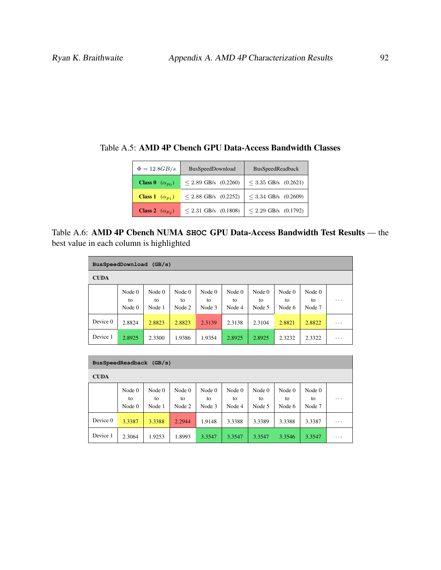| $\Phi = 12.8GB/s$               | BusSpeedDownload         | <b>BusSpeedReadback</b>   |
|---------------------------------|--------------------------|---------------------------|
| <b>Class 0</b> $(\alpha_{p_0})$ | $< 2.89$ GB/s $(0.2260)$ | $\leq$ 3.35 GB/s (0.2621) |
| <b>Class 1</b> $(\alpha_{p_1})$ | $< 2.88$ GB/s $(0.2252)$ | $<$ 3.34 GB/s (0.2609)    |
| Class 2 $(\alpha_{p_2})$        | $< 2.31$ GB/s (0.1808)   | $\leq$ 2.29 GB/s (0.1792) |

<span id="page-103-0"></span>Table A.5: AMD 4P Cbench GPU Data-Access Bandwidth Classes

Table A.6: AMD 4P Cbench NUMA **SHOC** GPU Data-Access Bandwidth Test Results — the best value in each column is highlighted

| BusSpeedDownload (GB/s) |                          |                        |                          |                          |                        |                        |                          |                          |   |
|-------------------------|--------------------------|------------------------|--------------------------|--------------------------|------------------------|------------------------|--------------------------|--------------------------|---|
| <b>CUDA</b>             |                          |                        |                          |                          |                        |                        |                          |                          |   |
|                         | Node $0$<br>to<br>Node 0 | Node 0<br>to<br>Node 1 | Node $0$<br>to<br>Node 2 | Node $0$<br>to<br>Node 3 | Node 0<br>to<br>Node 4 | Node 0<br>to<br>Node 5 | Node $0$<br>to<br>Node 6 | Node $0$<br>to<br>Node 7 | . |
| Device 0                | 2.8824                   | 2.8823                 | 2.8823                   | 2.3139                   | 2.3138                 | 2.3104                 | 2.8821                   | 2.8822                   | . |
| Device 1                | 2.8925                   | 2.3300                 | 1.9386                   | 1.9354                   | 2.8925                 | 2.8925                 | 2.3232                   | 2.3322                   | . |

| BusSpeedReadback<br>(GB/s) |                            |                        |                        |                          |                        |                        |                        |                          |   |
|----------------------------|----------------------------|------------------------|------------------------|--------------------------|------------------------|------------------------|------------------------|--------------------------|---|
| <b>CUDA</b>                |                            |                        |                        |                          |                        |                        |                        |                          |   |
|                            | Node $0$<br>to<br>Node $0$ | Node 0<br>to<br>Node 1 | Node 0<br>to<br>Node 2 | Node $0$<br>to<br>Node 3 | Node 0<br>to<br>Node 4 | Node 0<br>to<br>Node 5 | Node 0<br>to<br>Node 6 | Node $0$<br>to<br>Node 7 | . |
| Device 0                   | 3.3387                     | 3.3388                 | 2.2944                 | 1.9148                   | 3.3388                 | 3.3389                 | 3.3388                 | 3.3387                   | . |
| Device 1                   | 2.3064                     | 1.9253                 | 1.8993                 | 3.3547                   | 3.3547                 | 3.3547                 | 3.3546                 | 3.3547                   | . |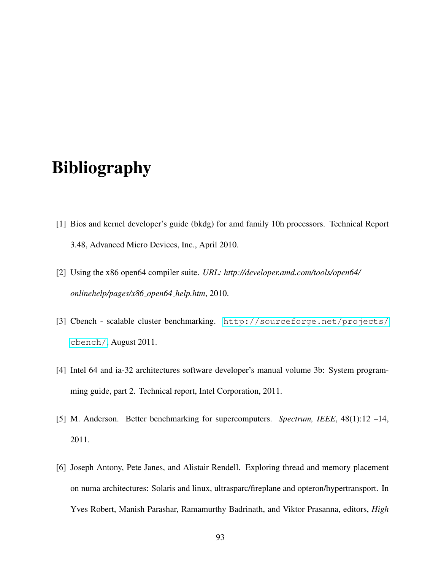# Bibliography

- <span id="page-104-0"></span>[1] Bios and kernel developer's guide (bkdg) for amd family 10h processors. Technical Report 3.48, Advanced Micro Devices, Inc., April 2010.
- [2] Using the x86 open64 compiler suite. *URL: http://developer.amd.com/tools/open64/ onlinehelp/pages/x86 open64 help.htm*, 2010.
- [3] Cbench scalable cluster benchmarking. [http://sourceforge.net/projects/](http://sourceforge.net/projects/cbench/) [cbench/](http://sourceforge.net/projects/cbench/), August 2011.
- [4] Intel 64 and ia-32 architectures software developer's manual volume 3b: System programming guide, part 2. Technical report, Intel Corporation, 2011.
- [5] M. Anderson. Better benchmarking for supercomputers. *Spectrum, IEEE*, 48(1):12 –14, 2011.
- [6] Joseph Antony, Pete Janes, and Alistair Rendell. Exploring thread and memory placement on numa architectures: Solaris and linux, ultrasparc/fireplane and opteron/hypertransport. In Yves Robert, Manish Parashar, Ramamurthy Badrinath, and Viktor Prasanna, editors, *High*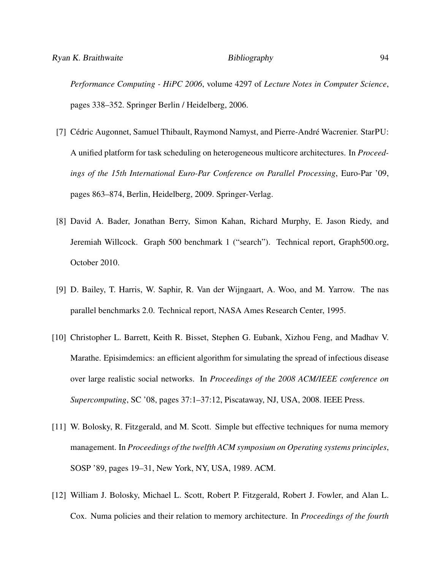*Performance Computing - HiPC 2006*, volume 4297 of *Lecture Notes in Computer Science*, pages 338–352. Springer Berlin / Heidelberg, 2006.

- [7] Cédric Augonnet, Samuel Thibault, Raymond Namyst, and Pierre-André Wacrenier. StarPU: A unified platform for task scheduling on heterogeneous multicore architectures. In *Proceedings of the 15th International Euro-Par Conference on Parallel Processing*, Euro-Par '09, pages 863–874, Berlin, Heidelberg, 2009. Springer-Verlag.
- <span id="page-105-0"></span>[8] David A. Bader, Jonathan Berry, Simon Kahan, Richard Murphy, E. Jason Riedy, and Jeremiah Willcock. Graph 500 benchmark 1 ("search"). Technical report, Graph500.org, October 2010.
- <span id="page-105-1"></span>[9] D. Bailey, T. Harris, W. Saphir, R. Van der Wijngaart, A. Woo, and M. Yarrow. The nas parallel benchmarks 2.0. Technical report, NASA Ames Research Center, 1995.
- [10] Christopher L. Barrett, Keith R. Bisset, Stephen G. Eubank, Xizhou Feng, and Madhav V. Marathe. Episimdemics: an efficient algorithm for simulating the spread of infectious disease over large realistic social networks. In *Proceedings of the 2008 ACM/IEEE conference on Supercomputing*, SC '08, pages 37:1–37:12, Piscataway, NJ, USA, 2008. IEEE Press.
- [11] W. Bolosky, R. Fitzgerald, and M. Scott. Simple but effective techniques for numa memory management. In *Proceedings of the twelfth ACM symposium on Operating systems principles*, SOSP '89, pages 19–31, New York, NY, USA, 1989. ACM.
- [12] William J. Bolosky, Michael L. Scott, Robert P. Fitzgerald, Robert J. Fowler, and Alan L. Cox. Numa policies and their relation to memory architecture. In *Proceedings of the fourth*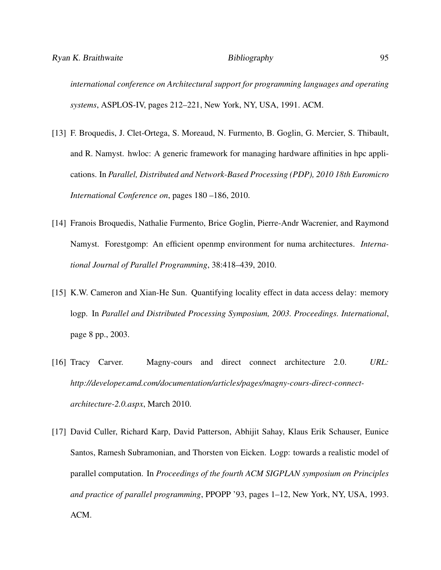*international conference on Architectural support for programming languages and operating systems*, ASPLOS-IV, pages 212–221, New York, NY, USA, 1991. ACM.

- [13] F. Broquedis, J. Clet-Ortega, S. Moreaud, N. Furmento, B. Goglin, G. Mercier, S. Thibault, and R. Namyst. hwloc: A generic framework for managing hardware affinities in hpc applications. In *Parallel, Distributed and Network-Based Processing (PDP), 2010 18th Euromicro International Conference on*, pages 180 –186, 2010.
- <span id="page-106-0"></span>[14] Franois Broquedis, Nathalie Furmento, Brice Goglin, Pierre-Andr Wacrenier, and Raymond Namyst. Forestgomp: An efficient openmp environment for numa architectures. *International Journal of Parallel Programming*, 38:418–439, 2010.
- [15] K.W. Cameron and Xian-He Sun. Quantifying locality effect in data access delay: memory logp. In *Parallel and Distributed Processing Symposium, 2003. Proceedings. International*, page 8 pp., 2003.
- [16] Tracy Carver. Magny-cours and direct connect architecture 2.0. *URL: http://developer.amd.com/documentation/articles/pages/magny-cours-direct-connectarchitecture-2.0.aspx*, March 2010.
- [17] David Culler, Richard Karp, David Patterson, Abhijit Sahay, Klaus Erik Schauser, Eunice Santos, Ramesh Subramonian, and Thorsten von Eicken. Logp: towards a realistic model of parallel computation. In *Proceedings of the fourth ACM SIGPLAN symposium on Principles and practice of parallel programming*, PPOPP '93, pages 1–12, New York, NY, USA, 1993. ACM.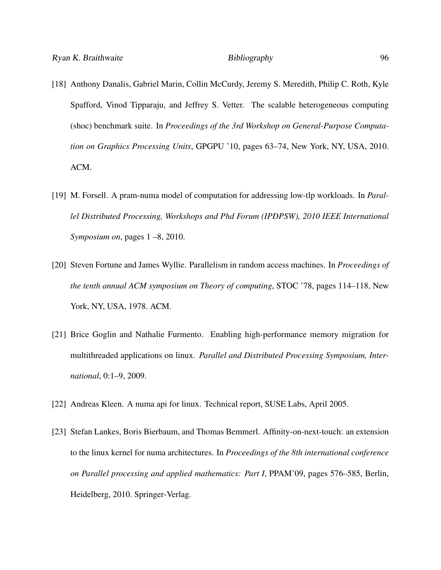- [18] Anthony Danalis, Gabriel Marin, Collin McCurdy, Jeremy S. Meredith, Philip C. Roth, Kyle Spafford, Vinod Tipparaju, and Jeffrey S. Vetter. The scalable heterogeneous computing (shoc) benchmark suite. In *Proceedings of the 3rd Workshop on General-Purpose Computation on Graphics Processing Units*, GPGPU '10, pages 63–74, New York, NY, USA, 2010. ACM.
- [19] M. Forsell. A pram-numa model of computation for addressing low-tlp workloads. In *Parallel Distributed Processing, Workshops and Phd Forum (IPDPSW), 2010 IEEE International Symposium on*, pages 1 –8, 2010.
- [20] Steven Fortune and James Wyllie. Parallelism in random access machines. In *Proceedings of the tenth annual ACM symposium on Theory of computing*, STOC '78, pages 114–118, New York, NY, USA, 1978. ACM.
- [21] Brice Goglin and Nathalie Furmento. Enabling high-performance memory migration for multithreaded applications on linux. *Parallel and Distributed Processing Symposium, International*, 0:1–9, 2009.
- [22] Andreas Kleen. A numa api for linux. Technical report, SUSE Labs, April 2005.
- [23] Stefan Lankes, Boris Bierbaum, and Thomas Bemmerl. Affinity-on-next-touch: an extension to the linux kernel for numa architectures. In *Proceedings of the 8th international conference on Parallel processing and applied mathematics: Part I*, PPAM'09, pages 576–585, Berlin, Heidelberg, 2010. Springer-Verlag.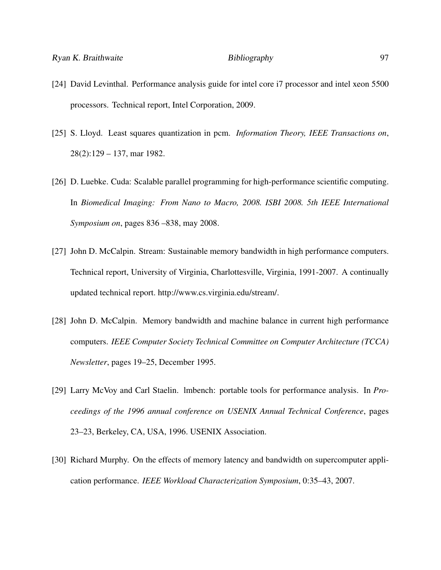- [24] David Levinthal. Performance analysis guide for intel core i7 processor and intel xeon 5500 processors. Technical report, Intel Corporation, 2009.
- [25] S. Lloyd. Least squares quantization in pcm. *Information Theory, IEEE Transactions on*, 28(2):129 – 137, mar 1982.
- [26] D. Luebke. Cuda: Scalable parallel programming for high-performance scientific computing. In *Biomedical Imaging: From Nano to Macro, 2008. ISBI 2008. 5th IEEE International Symposium on*, pages 836 –838, may 2008.
- [27] John D. McCalpin. Stream: Sustainable memory bandwidth in high performance computers. Technical report, University of Virginia, Charlottesville, Virginia, 1991-2007. A continually updated technical report. http://www.cs.virginia.edu/stream/.
- [28] John D. McCalpin. Memory bandwidth and machine balance in current high performance computers. *IEEE Computer Society Technical Committee on Computer Architecture (TCCA) Newsletter*, pages 19–25, December 1995.
- [29] Larry McVoy and Carl Staelin. lmbench: portable tools for performance analysis. In *Proceedings of the 1996 annual conference on USENIX Annual Technical Conference*, pages 23–23, Berkeley, CA, USA, 1996. USENIX Association.
- [30] Richard Murphy. On the effects of memory latency and bandwidth on supercomputer application performance. *IEEE Workload Characterization Symposium*, 0:35–43, 2007.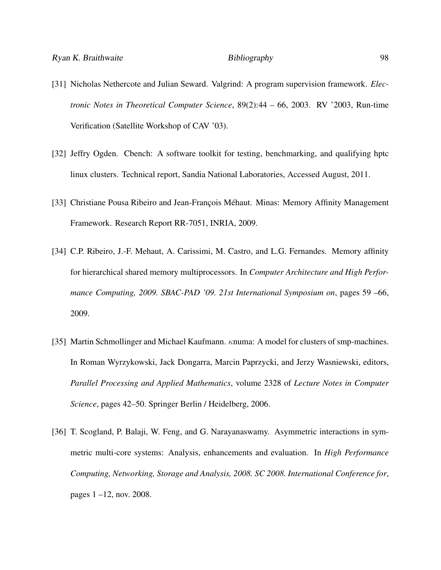- [31] Nicholas Nethercote and Julian Seward. Valgrind: A program supervision framework. *Electronic Notes in Theoretical Computer Science*, 89(2):44 – 66, 2003. RV '2003, Run-time Verification (Satellite Workshop of CAV '03).
- [32] Jeffry Ogden. Cbench: A software toolkit for testing, benchmarking, and qualifying hptc linux clusters. Technical report, Sandia National Laboratories, Accessed August, 2011.
- [33] Christiane Pousa Ribeiro and Jean-Francois Méhaut. Minas: Memory Affinity Management Framework. Research Report RR-7051, INRIA, 2009.
- [34] C.P. Ribeiro, J.-F. Mehaut, A. Carissimi, M. Castro, and L.G. Fernandes. Memory affinity for hierarchical shared memory multiprocessors. In *Computer Architecture and High Performance Computing, 2009. SBAC-PAD '09. 21st International Symposium on*, pages 59 –66, 2009.
- [35] Martin Schmollinger and Michael Kaufmann. κnuma: A model for clusters of smp-machines. In Roman Wyrzykowski, Jack Dongarra, Marcin Paprzycki, and Jerzy Wasniewski, editors, *Parallel Processing and Applied Mathematics*, volume 2328 of *Lecture Notes in Computer Science*, pages 42–50. Springer Berlin / Heidelberg, 2006.
- [36] T. Scogland, P. Balaji, W. Feng, and G. Narayanaswamy. Asymmetric interactions in symmetric multi-core systems: Analysis, enhancements and evaluation. In *High Performance Computing, Networking, Storage and Analysis, 2008. SC 2008. International Conference for*, pages 1 –12, nov. 2008.